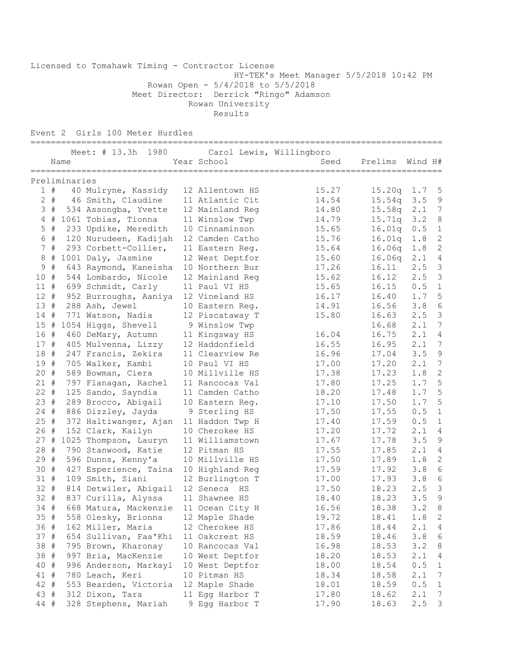Licensed to Tomahawk Timing - Contractor License HY-TEK's Meet Manager 5/5/2018 10:42 PM Rowan Open - 5/4/2018 to 5/5/2018 Meet Director: Derrick "Ringo" Adamson Rowan University Results

Event 2 Girls 100 Meter Hurdles

|             |             |               | Meet: # 13.3h 1980                          | Carol Lewis, Willingboro           | _____________                  |                  |            |                  |
|-------------|-------------|---------------|---------------------------------------------|------------------------------------|--------------------------------|------------------|------------|------------------|
|             |             | Name          |                                             | Year School                        | Seed                           | Prelims          | Wind H#    |                  |
|             |             |               | ==================                          | =====================              | ============================== |                  |            |                  |
|             |             | Preliminaries |                                             |                                    |                                |                  |            |                  |
|             | 1#<br>$2 +$ |               | 40 Mulryne, Kassidy<br>46 Smith, Claudine   | 12 Allentown HS<br>11 Atlantic Cit | 15.27                          | 15.20q<br>15.54q | 1.7        | 5<br>$\mathsf 9$ |
|             | 3#          |               |                                             |                                    | 14.54<br>14.80                 | 15.58q           | 3.5<br>2.1 | $7\phantom{.0}$  |
|             | $4$ #       |               | 534 Assongba, Yvette<br>1061 Tobias, Tionna | 12 Mainland Reg<br>11 Winslow Twp  | 14.79                          | 15.71q           | 3.2        | $\,8\,$          |
| $\mathsf S$ | #           |               | 233 Updike, Meredith                        | 10 Cinnaminson                     | 15.65                          | 16.01q           | 0.5        | $\mathbf{1}$     |
|             | 6 #         |               | 120 Nurudeen, Kadijah                       | 12 Camden Catho                    | 15.76                          | 16.01q           | 1.8        | $\sqrt{2}$       |
|             | 7#          |               | 293 Corbett-Collier,                        | 11 Eastern Req.                    | 15.64                          | 16.06q           | 1.8        | $\mathbf{2}$     |
| 8           | #           |               | 1001 Daly, Jasmine                          | 12 West Deptfor                    | 15.60                          | 16.06q           | 2.1        | 4                |
| 9           | $\#$        |               | 643 Raymond, Kaneisha                       | 10 Northern Bur                    | 17.26                          | 16.11            | 2.5        | $\mathfrak{Z}$   |
| 10 #        |             |               | 544 Lombardo, Nicole                        | 12 Mainland Req                    | 15.62                          | 16.12            | 2.5        | $\mathfrak{Z}$   |
| 11#         |             |               | 699 Schmidt, Carly                          | 11 Paul VI HS                      | 15.65                          | 16.15            | 0.5        | $\,1\,$          |
| 12#         |             |               | 952 Burroughs, Aaniya                       | 12 Vineland HS                     | 16.17                          | 16.40            | 1.7        | $\mathsf S$      |
| 13#         |             |               | 288 Ash, Jewel                              | 10 Eastern Reg.                    | 14.91                          | 16.56            | 3.8        | $\epsilon$       |
| 14#         |             |               | 771 Watson, Nadia                           | 12 Piscataway T                    | 15.80                          | 16.63            | 2.5        | $\mathcal{S}$    |
| 15#         |             |               | 1054 Higgs, Shevell                         | 9 Winslow Twp                      |                                | 16.68            | 2.1        | 7                |
| 16 #        |             |               | 460 DeMary, Autumn                          | 11 Kingsway HS                     | 16.04                          | 16.75            | 2.1        | 4                |
| 17#         |             |               | 405 Mulvenna, Lizzy                         | 12 Haddonfield                     | 16.55                          | 16.95            | 2.1        | 7                |
| 18#         |             |               | 247 Francis, Zekira                         | 11 Clearview Re                    | 16.96                          | 17.04            | 3.5        | 9                |
| 19#         |             |               | 705 Walker, Kambi                           | 10 Paul VI HS                      | 17.00                          | 17.20            | 2.1        | 7                |
| 20#         |             |               | 589 Bowman, Ciera                           | 10 Millville HS                    | 17.38                          | 17.23            | 1.8        | 2                |
| $21 +$      |             |               | 797 Flanagan, Rachel                        | 11 Rancocas Val                    | 17.80                          | 17.25            | 1.7        | 5                |
| $22 +$      |             |               | 125 Sando, Sayndia                          | 11 Camden Catho                    | 18.20                          | 17.48            | 1.7        | $\mathsf S$      |
| 23#         |             |               | 289 Brocco, Abigail                         | 10 Eastern Reg.                    | 17.10                          | 17.50            | 1.7        | $\mathsf S$      |
| $24$ #      |             |               | 886 Dizzley, Jayda                          | 9 Sterling HS                      | 17.50                          | 17.55            | 0.5        | $\mathbf{1}$     |
| 25#         |             |               | 372 Haltiwanger, Ajan                       | 11 Haddon Twp H                    | 17.40                          | 17.59            | 0.5        | $\mathbf{1}$     |
| 26#         |             |               | 152 Clark, Kailyn                           | 10 Cherokee HS                     | 17.20                          | 17.72            | 2.1        | 4                |
| 27#         |             |               | 1025 Thompson, Lauryn                       | 11 Williamstown                    | 17.67                          | 17.78            | 3.5        | 9                |
| 28#         |             |               | 790 Stanwood, Katie                         | 12 Pitman HS                       | 17.55                          | 17.85            | 2.1        | 4                |
| 29#         |             |               | 596 Dunns, Kenny'a                          | 10 Millville HS                    | 17.50                          | 17.89            | 1.8        | $\overline{c}$   |
| 30 #        |             |               | 427 Esperience, Taina                       | 10 Highland Reg                    | 17.59                          | 17.92            | 3.8        | $\sqrt{6}$       |
| 31#         |             |               | 109 Smith, Siani                            | 12 Burlington T                    | 17.00                          | 17.93            | 3.8        | 6                |
| 32 #        |             |               | 814 Detwiler, Abigail                       | 12 Seneca HS                       | 17.50                          | 18.23            | 2.5        | $\mathfrak{Z}$   |
| 32 #        |             |               | 837 Curilla, Alyssa                         | 11 Shawnee HS                      | 18.40                          | 18.23            | 3.5        | $\mathsf 9$      |
| 34 #        |             |               | 668 Matura, Mackenzie                       | 11 Ocean City H                    | 16.56                          | 18.38            | 3.2        | $\,8\,$          |
| 35 #        |             |               | 558 Olesky, Brionna                         | 12 Maple Shade                     | 19.72                          | 18.41            | 1.8        | $\overline{2}$   |
| 36 #        |             |               | 162 Miller, Maria                           | 12 Cherokee HS                     | 17.86                          | 18.44            | 2.1        | 4                |
| 37#         |             |               | 654 Sullivan, Faa'Khi                       | 11 Oakcrest HS                     | 18.59                          | 18.46            | 3.8        | 6                |
| 38 #        |             |               | 795 Brown, Kharonay                         | 10 Rancocas Val                    | 16.98                          | 18.53            | 3.2        | 8                |
| 38 #        |             |               | 997 Bria, MacKenzie                         | 10 West Deptfor                    | 18.20                          | 18.53            | 2.1        | 4                |
| 40 #        |             |               | 996 Anderson, Markayl                       | 10 West Deptfor                    | 18.00                          | 18.54            | 0.5        | $\mathbf 1$      |
| 41 #        |             |               | 780 Leach, Keri                             | 10 Pitman HS                       | 18.34                          | 18.58            | 2.1        | $\overline{7}$   |
| 42 #        |             |               | 553 Bearden, Victoria                       | 12 Maple Shade                     | 18.01                          | 18.59            | 0.5        | $\mathbf{1}$     |
| 43 #        |             |               | 312 Dixon, Tara                             | 11 Egg Harbor T                    | 17.80                          | 18.62            | 2.1        | 7                |
| 44 #        |             |               | 328 Stephens, Mariah                        | 9 Egg Harbor T                     | 17.90                          | 18.63            | 2.5        | 3                |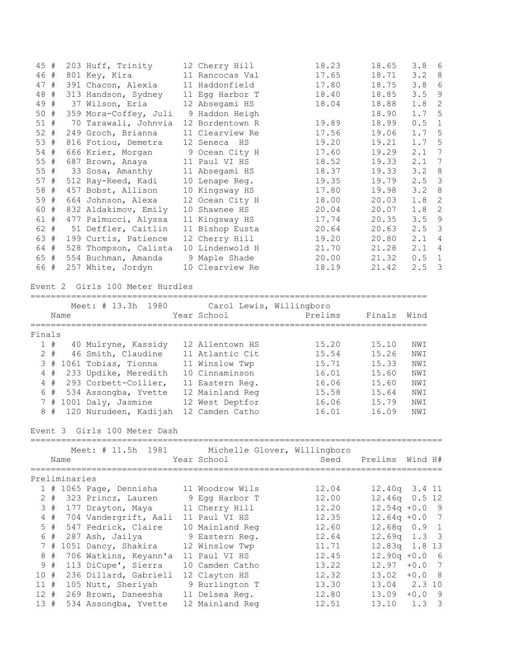| 45#    |  | 203 Huff, Trinity     | 12 Cherry Hill  | 18.23 | 18.65 | 3.8 | -6           |
|--------|--|-----------------------|-----------------|-------|-------|-----|--------------|
| 46 #   |  | 801 Key, Kira         | 11 Rancocas Val | 17.65 | 18.71 | 3.2 | 8            |
| 47#    |  | 391 Chacon, Alexia    | 11 Haddonfield  | 17.80 | 18.75 | 3.8 | 6            |
| 48#    |  | 313 Handson, Sydney   | 11 Egg Harbor T | 18.40 | 18.85 | 3.5 | 9            |
| 49#    |  | 37 Wilson, Eria       | 12 Absegami HS  | 18.04 | 18.88 | 1.8 | 2            |
| 50#    |  | 359 Mora-Coffey, Juli | 9 Haddon Heigh  |       | 18.90 | 1.7 | 5            |
| 51#    |  | 70 Tarawali, Johnvia  | 12 Bordentown R | 19.89 | 18.99 | 0.5 | 1            |
| $52 +$ |  | 249 Groch, Brianna    | 11 Clearview Re | 17.56 | 19.06 | 1.7 | .5           |
| 53#    |  | 816 Fotiou, Demetra   | 12 Seneca HS    | 19.20 | 19.21 | 1.7 | 5            |
| 54 #   |  | 666 Krier, Morgan     | 9 Ocean City H  | 17.60 | 19.29 | 2.1 | 7            |
| $55$ # |  | 687 Brown, Anaya      | 11 Paul VI HS   | 18.52 | 19.33 | 2.1 | 7            |
| $55$ # |  | 33 Sosa, Amanthy      | 11 Absegami HS  | 18.37 | 19.33 | 3.2 | 8            |
| 57#    |  | 512 Ray-Reed, Kadi    | 10 Lenape Req.  | 19.35 | 19.79 | 2.5 | 3            |
| 58 #   |  | 457 Bobst, Allison    | 10 Kingsway HS  | 17.80 | 19.98 | 3.2 | 8            |
| 59 #   |  | 664 Johnson, Alexa    | 12 Ocean City H | 18.00 | 20.03 | 1.8 | 2            |
| 60 #   |  | 832 Aldakimov, Emily  | 10 Shawnee HS   | 20.04 | 20.07 | 1.8 | 2            |
| 61 #   |  | 477 Palmucci, Alyssa  | 11 Kingsway HS  | 17.74 | 20.35 | 3.5 | 9            |
| 62 #   |  | 51 Deffler, Caitlin   | 11 Bishop Eusta | 20.64 | 20.63 | 2.5 | 3            |
| 63 #   |  | 199 Curtis, Patience  | 12 Cherry Hill  | 19.20 | 20.80 | 2.1 | 4            |
| 64 #   |  | 528 Thompson, Calista | 10 Lindenwold H | 21.70 | 21.28 | 2.1 | 4            |
| 65 #   |  | 554 Buchman, Amanda   | 9 Maple Shade   | 20.00 | 21.32 | 0.5 | $\mathbf{1}$ |
| 66 #   |  | 257 White, Jordyn     | 10 Clearview Re | 18.19 | 21.42 | 2.5 | 3            |

## Event 2 Girls 100 Meter Hurdles

==============================================================================

|               |       |               | Meet: # 13.3h 1980                              | Carol Lewis, Willingboro |         |         |                  |
|---------------|-------|---------------|-------------------------------------------------|--------------------------|---------|---------|------------------|
|               |       | Name          |                                                 | Year School              | Prelims | Finals  | Wind             |
| Finals        |       |               |                                                 |                          |         |         |                  |
|               |       |               | 1 # 40 Mulryne, Kassidy                         | 12 Allentown HS          | 15.20   | 15.10   | NWI              |
|               | $2 +$ |               | 46 Smith, Claudine                              | 11 Atlantic Cit          | 15.54   | 15.26   | NWI              |
|               | 3#    |               | 1061 Tobias, Tionna                             | 11 Winslow Twp           | 15.71   | 15.33   | NWI              |
|               | 4#    |               | 233 Updike, Meredith                            | 10 Cinnaminson           | 16.01   | 15.60   | NWI              |
|               |       |               | 4 # 293 Corbett-Collier,                        | 11 Eastern Reg.          | 16.06   | 15.60   | NWI              |
|               |       |               | 6 # 534 Assongba, Yvette                        | 12 Mainland Reg          | 15.58   | 15.64   | NWI              |
|               |       |               | 7 # 1001 Daly, Jasmine                          | 12 West Deptfor          | 16.06   | 15.79   | NWI              |
|               | 8#    |               | 120 Nurudeen, Kadijah                           | 12 Camden Catho          | 16.01   | 16.09   | NWI              |
|               |       |               | Event 3 Girls 100 Meter Dash                    |                          |         |         |                  |
|               |       |               | Meet: # 11.5h 1981 Michelle Glover, Willingboro |                          |         |         |                  |
|               |       | Name          |                                                 | Year School              | Seed    | Prelims | Wind H#          |
|               |       | Preliminaries |                                                 |                          |         |         |                  |
|               |       |               | 1 # 1065 Page, Dennisha                         | 11 Woodrow Wils          | 12.04   |         | 12.40q 3.4 11    |
|               |       |               | 2 # 323 Princz, Lauren                          | 9 Egg Harbor T           | 12.00   |         | 12.46q 0.5 12    |
| $\mathcal{S}$ | #     |               | 177 Drayton, Maya                               | 11 Cherry Hill           | 12.20   |         | $12.54q + 0.0$ 9 |
|               | $4$ # |               | 704 Vandergrift, Aali                           | 11 Paul VI HS            | 12.35   |         | $12.64q + 0.0$ 7 |
|               | $5$ # |               | 547 Pedrick, Claire                             | 10 Mainland Reg          | 12.60   |         | $12.68q$ 0.9 1   |
|               | 6 #   |               | 287 Ash, Jailya                                 | 9 Eastern Req.           | 12.64   |         | $12.69q$ 1.3 3   |
|               | 7#    |               | 1051 Dancy, Shakira                             | 12 Winslow Twp           | 11.71   |         | 12.83q 1.8 13    |
| 8             | #     |               | 706 Watkins, Keyann'a                           | 11 Paul VI HS            | 12.45   |         | $12.90q + 0.0$ 6 |
| 9             | #     |               | 113 DiCupe', Sierra                             | 10 Camden Catho          | 13.22   | 12.97   | $+0.0$<br>7      |
| 10#           |       |               | 236 Dillard, Gabriell                           | 12 Clayton HS            | 12.32   |         | $13.02 + 0.08$   |
| 11#           |       |               | 105 Nutt, Sheriyah                              | 9 Burlington T           | 13.30   |         | 13.04 2.3 10     |
|               |       |               |                                                 |                          |         |         |                  |
|               | 12#   |               | 269 Brown, Daneesha                             | 11 Delsea Reg.           | 12.80   | 13.09   | $+0.0$ 9         |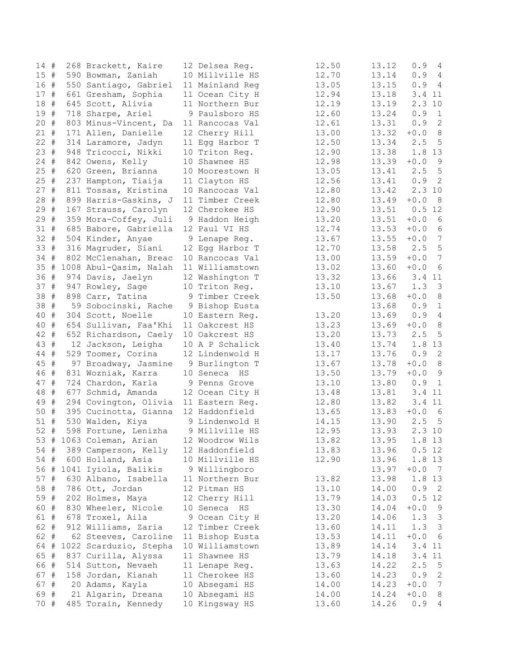| $14$ # |      | 268 Brackett, Kaire       | 12 Delsea Reg.  | 12.50 | 13.12 | 0.94                              |
|--------|------|---------------------------|-----------------|-------|-------|-----------------------------------|
| 15#    |      | 590 Bowman, Zaniah        | 10 Millville HS | 12.70 | 13.14 | 0.94                              |
| 16 #   |      | 550 Santiago, Gabriel     | 11 Mainland Reg | 13.05 | 13.15 | 0.94                              |
| 17#    |      | 661 Gresham, Sophia       | 11 Ocean City H | 12.94 | 13.18 | 3.4 11                            |
| 18     | #    | 645 Scott, Alivia         | 11 Northern Bur | 12.19 | 13.19 | 2.3 10                            |
| 19     | #    | 718 Sharpe, Ariel         | 9 Paulsboro HS  | 12.60 | 13.24 | 0.9<br>$\mathbf{1}$               |
| 20     | $\#$ | 803 Minus-Vincent, Da     | 11 Rancocas Val | 12.61 | 13.31 | 0.9<br>2                          |
| 21     | $\#$ | 171 Allen, Danielle       | 12 Cherry Hill  | 13.00 | 13.32 | 8<br>$+0.0$                       |
| $22 +$ |      | 314 Laramore, Jadyn       | 11 Egg Harbor T | 12.50 | 13.34 | $5^{\circ}$<br>2.5                |
| 23#    |      | 948 Tricocci, Nikki       | 10 Triton Reg.  | 12.90 | 13.38 | 1.8 13                            |
| $24$ # |      |                           | 10 Shawnee HS   | 12.98 | 13.39 | 9<br>$+0.0$                       |
| 25 #   |      | 842 Owens, Kelly          |                 |       | 13.41 | 5                                 |
|        |      | 620 Green, Brianna        | 10 Moorestown H | 13.05 |       | 2.5                               |
| $25$ # |      | 237 Hampton, Tiaija       | 11 Clayton HS   | 12.56 | 13.41 | $0.9$ 2                           |
| 27#    |      | 811 Tossas, Kristina      | 10 Rancocas Val | 12.80 | 13.42 | 2.310                             |
| 28 #   |      | 899 Harris-Gaskins, J     | 11 Timber Creek | 12.80 | 13.49 | $+0.0$<br>- 8                     |
| 29     | $\#$ | 167 Strauss, Carolyn      | 12 Cherokee HS  | 12.90 | 13.51 | $0.5$ 12                          |
| 29     | #    | 359 Mora-Coffey, Juli     | 9 Haddon Heigh  | 13.20 | 13.51 | $+0.0$<br>- 6                     |
| 31#    |      | 685 Babore, Gabriella     | 12 Paul VI HS   | 12.74 | 13.53 | $+0.0$<br>- 6                     |
| $32 +$ |      | 504 Kinder, Anyae         | 9 Lenape Reg.   | 13.67 | 13.55 | $7\phantom{.0}$<br>$+0.0$         |
| 33 #   |      | 316 Magruder, Siani       | 12 Egg Harbor T | 12.70 | 13.58 | 5<br>2.5                          |
| 34 #   |      | 802 McClenahan, Breac     | 10 Rancocas Val | 13.00 | 13.59 | $+0.0$<br>7                       |
| 35#    |      | 1008 Abul-Qasim, Nalah    | 11 Williamstown | 13.02 | 13.60 | $+0.0$<br>6                       |
| 36 #   |      | 974 Davis, Jaelyn         | 12 Washington T | 13.32 | 13.66 | 3.4 11                            |
| 37#    |      | 947 Rowley, Sage          | 10 Triton Req.  | 13.10 | 13.67 | 1.3<br>3                          |
| 38     | #    | 898 Carr, Tatina          | 9 Timber Creek  | 13.50 | 13.68 | $+0.0$<br>8                       |
| 38     | $\#$ | 59 Sobocinski, Rache      | 9 Bishop Eusta  |       | 13.68 | 0.9<br>$\mathbf{1}$               |
| 40     | $\#$ | 304 Scott, Noelle         | 10 Eastern Reg. | 13.20 | 13.69 | 0.9<br>$\overline{4}$             |
| 40     | #    | 654 Sullivan, Faa'Khi     | 11 Oakcrest HS  | 13.23 | 13.69 | 8<br>$+0.0$                       |
| 42 #   |      | 652 Richardson, Caely     | 10 Oakcrest HS  | 13.20 | 13.73 | 2.5<br>5                          |
| 43 #   |      | 12 Jackson, Leigha        | 10 A P Schalick | 13.40 | 13.74 | 1.8 13                            |
| 44 #   |      | 529 Toomer, Corina        | 12 Lindenwold H | 13.17 | 13.76 | 0.92                              |
|        |      |                           |                 |       |       |                                   |
| 45 #   |      | 97 Broadway, Jasmine      | 9 Burlington T  | 13.67 | 13.78 | $+0.0$<br>8                       |
| 46 #   |      | 831 Wozniak, Karra        | 10 Seneca HS    | 13.50 | 13.79 | $+0.0$<br>9                       |
| 47     | #    | 724 Chardon, Karla        | 9 Penns Grove   | 13.10 | 13.80 | 0.9<br>$\overline{1}$             |
| 48     | #    | 677 Schmid, Amanda        | 12 Ocean City H | 13.48 | 13.81 | 3.4 11                            |
| 49     | $\#$ | 294 Covington, Olivia     | 11 Eastern Reg. | 12.80 | 13.82 | 3.4 11                            |
| 50 #   |      | 395 Cucinotta, Gianna     | 12 Haddonfield  | 13.65 | 13.83 | $+0.0$<br>6                       |
| $51$ # |      | 530 Walden, Kiya          | 9 Lindenwold H  | 14.15 | 13.90 | 2.5<br>$5\phantom{.0}$            |
| 52 #   |      | 598 Fortune, Lenizha      | 9 Millville HS  | 12.95 | 13.93 | 2.310                             |
|        |      | 53 # 1063 Coleman, Arian  | 12 Woodrow Wils | 13.82 |       | 13.95 1.8 13                      |
| 54 #   |      | 389 Camperson, Kelly      | 12 Haddonfield  | 13.83 | 13.96 | 0.5 12                            |
| 54 #   |      | 600 Holland, Asia         | 10 Millville HS | 12.90 | 13.96 | 1.8 13                            |
|        |      | 56 # 1041 Iyiola, Balikis | 9 Willingboro   |       | 13.97 | $+0.0$ 7                          |
| 57 #   |      | 630 Albano, Isabella      | 11 Northern Bur | 13.82 | 13.98 | 1.8 13                            |
| 58 #   |      | 786 Ott, Jordan           | 12 Pitman HS    | 13.10 | 14.00 | 0.9<br>$\overline{\phantom{0}}^2$ |
| 59 #   |      | 202 Holmes, Maya          | 12 Cherry Hill  | 13.79 | 14.03 | 0.5 12                            |
| 60 #   |      | 830 Wheeler, Nicole       | 10 Seneca HS    | 13.30 | 14.04 | $+0.0$<br>9                       |
| 61 #   |      | 678 Troxel, Aila          | 9 Ocean City H  | 13.20 | 14.06 | 1.3 <sup>3</sup>                  |
| 62 #   |      | 912 Williams, Zaria       | 12 Timber Creek | 13.60 | 14.11 | 1.3 <sup>3</sup>                  |
| 62 #   |      | 62 Steeves, Caroline      | 11 Bishop Eusta | 13.53 | 14.11 | $+0.06$                           |
| 64 #   |      | 1022 Scarduzio, Stepha    | 10 Williamstown | 13.89 | 14.14 | 3.4 11                            |
| 65 #   |      | 837 Curilla, Alyssa       | 11 Shawnee HS   | 13.79 | 14.18 | 3.4 11                            |
| 66 #   |      | 514 Sutton, Nevaeh        |                 |       | 14.22 | 2.5                               |
|        |      |                           | 11 Lenape Reg.  | 13.63 |       | $5^{\circ}$                       |
| 67 #   |      | 158 Jordan, Kianah        | 11 Cherokee HS  | 13.60 | 14.23 | 0.9<br>$\overline{c}$             |
| 67 #   |      | 20 Adams, Kayla           | 10 Absegami HS  | 14.00 | 14.23 | $7\phantom{.0}$<br>$+0.0$         |
| 69 #   |      | 21 Algarin, Dreana        | 10 Absegami HS  | 14.00 | 14.24 | $+0.0$<br>8                       |
| 70 #   |      | 485 Torain, Kennedy       | 10 Kingsway HS  | 13.60 | 14.26 | 0.94                              |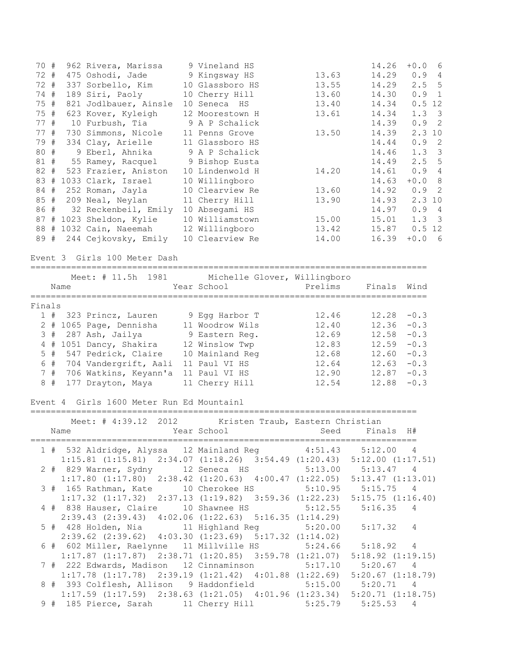| 70 #<br>72 #<br>72 #<br>74 #<br>75 #<br>75 #<br>77 #<br>77#<br>79 #<br>80#<br>81#<br>$82 +$<br>83#<br>84 #<br>85 #<br>86 #<br>89 # |       |      | 962 Rivera, Marissa<br>475 Oshodi, Jade<br>337 Sorbello, Kim<br>189 Siri, Paoly<br>623 Kover, Kyleigh<br>10 Furbush, Tia<br>730 Simmons, Nicole<br>334 Clay, Arielle<br>9 Eberl, Ahnika<br>55 Ramey, Racquel<br>1033 Clark, Israel<br>252 Roman, Jayla<br>209 Neal, Neylan<br>87 # 1023 Sheldon, Kylie<br>88 # 1032 Cain, Naeemah | 821 Jodlbauer, Ainsle<br>523 Frazier, Aniston<br>32 Reckenbeil, Emily<br>244 Cejkovsky, Emily | 9 Vineland HS<br>9 Kingsway HS<br>10 Glassboro HS<br>10 Cherry Hill<br>10 Seneca HS<br>12 Moorestown H<br>9 A P Schalick<br>11 Penns Grove<br>11 Glassboro HS<br>9 A P Schalick<br>9 Bishop Eusta<br>10 Lindenwold H<br>10 Willingboro<br>10 Clearview Re<br>11 Cherry Hill<br>10 Absegami HS<br>10 Williamstown<br>12 Willingboro<br>10 Clearview Re | 13.63<br>13.55<br>13.60<br>13.40<br>13.61<br>13.50<br>14.20<br>13.60<br>13.90<br>15.00<br>13.42<br>14.00 | 14.26<br>14.29<br>14.29<br>14.30<br>14.34<br>14.34<br>14.39<br>14.39<br>14.44<br>14.46<br>14.49<br>14.61<br>14.63<br>14.92<br>14.93<br>14.97<br>15.01<br>15.87<br>16.39 | $+0.0$<br>- 6<br>0.9<br>4<br>2.5<br>5<br>0.9<br>$\mathbf{1}$<br>0.5 12<br>1.3<br>$\mathcal{E}$<br>$\overline{2}$<br>0.9<br>2.310<br>0.9<br>2<br>1.3<br>3<br>2.5<br>5<br>0.9<br>4<br>8<br>$+0.0$<br>2<br>0.9<br>2.310<br>0.9<br>$\overline{4}$<br>1.3<br>-3<br>$0.5$ 12<br>$+0.0$<br>- 6 |
|------------------------------------------------------------------------------------------------------------------------------------|-------|------|-----------------------------------------------------------------------------------------------------------------------------------------------------------------------------------------------------------------------------------------------------------------------------------------------------------------------------------|-----------------------------------------------------------------------------------------------|-------------------------------------------------------------------------------------------------------------------------------------------------------------------------------------------------------------------------------------------------------------------------------------------------------------------------------------------------------|----------------------------------------------------------------------------------------------------------|-------------------------------------------------------------------------------------------------------------------------------------------------------------------------|-----------------------------------------------------------------------------------------------------------------------------------------------------------------------------------------------------------------------------------------------------------------------------------------|
|                                                                                                                                    |       |      |                                                                                                                                                                                                                                                                                                                                   | Event 3 Girls 100 Meter Dash                                                                  |                                                                                                                                                                                                                                                                                                                                                       |                                                                                                          |                                                                                                                                                                         |                                                                                                                                                                                                                                                                                         |
|                                                                                                                                    |       | Name |                                                                                                                                                                                                                                                                                                                                   | Meet: # 11.5h 1981                                                                            | Michelle Glover, Willingboro<br>Year School                                                                                                                                                                                                                                                                                                           | Prelims                                                                                                  | Finals                                                                                                                                                                  | Wind                                                                                                                                                                                                                                                                                    |
| Finals                                                                                                                             |       |      |                                                                                                                                                                                                                                                                                                                                   |                                                                                               |                                                                                                                                                                                                                                                                                                                                                       |                                                                                                          |                                                                                                                                                                         |                                                                                                                                                                                                                                                                                         |
|                                                                                                                                    |       |      | 1 # 323 Princz, Lauren                                                                                                                                                                                                                                                                                                            |                                                                                               | 9 Egg Harbor T                                                                                                                                                                                                                                                                                                                                        | 12.46                                                                                                    | 12.28                                                                                                                                                                   | $-0.3$                                                                                                                                                                                                                                                                                  |
|                                                                                                                                    |       |      | 2 # 1065 Page, Dennisha                                                                                                                                                                                                                                                                                                           |                                                                                               | 11 Woodrow Wils                                                                                                                                                                                                                                                                                                                                       | 12.40                                                                                                    | 12.36                                                                                                                                                                   | $-0.3$                                                                                                                                                                                                                                                                                  |
|                                                                                                                                    | 3#    |      | 287 Ash, Jailya                                                                                                                                                                                                                                                                                                                   |                                                                                               | 9 Eastern Req.                                                                                                                                                                                                                                                                                                                                        | 12.69                                                                                                    | 12.58                                                                                                                                                                   | $-0.3$                                                                                                                                                                                                                                                                                  |
|                                                                                                                                    | 4#    |      | 1051 Dancy, Shakira                                                                                                                                                                                                                                                                                                               |                                                                                               | 12 Winslow Twp                                                                                                                                                                                                                                                                                                                                        | 12.83                                                                                                    | 12.59                                                                                                                                                                   | $-0.3$                                                                                                                                                                                                                                                                                  |
|                                                                                                                                    | $5$ # |      | 547 Pedrick, Claire                                                                                                                                                                                                                                                                                                               |                                                                                               | 10 Mainland Reg                                                                                                                                                                                                                                                                                                                                       | 12.68                                                                                                    | 12.60                                                                                                                                                                   | $-0.3$                                                                                                                                                                                                                                                                                  |
|                                                                                                                                    | 6 #   |      |                                                                                                                                                                                                                                                                                                                                   | 704 Vandergrift, Aali                                                                         | 11 Paul VI HS                                                                                                                                                                                                                                                                                                                                         | 12.64                                                                                                    | 12.63                                                                                                                                                                   | $-0.3$                                                                                                                                                                                                                                                                                  |
|                                                                                                                                    | 7#    |      |                                                                                                                                                                                                                                                                                                                                   | 706 Watkins, Keyann'a                                                                         | 11 Paul VI HS                                                                                                                                                                                                                                                                                                                                         | 12.90                                                                                                    | 12.87                                                                                                                                                                   | $-0.3$                                                                                                                                                                                                                                                                                  |
|                                                                                                                                    | 8#    |      | 177 Drayton, Maya                                                                                                                                                                                                                                                                                                                 |                                                                                               | 11 Cherry Hill                                                                                                                                                                                                                                                                                                                                        | 12.54                                                                                                    | 12.88                                                                                                                                                                   | $-0.3$                                                                                                                                                                                                                                                                                  |
|                                                                                                                                    |       |      |                                                                                                                                                                                                                                                                                                                                   | Event 4 Girls 1600 Meter Run Ed Mountainl                                                     |                                                                                                                                                                                                                                                                                                                                                       | ------------------------------                                                                           |                                                                                                                                                                         |                                                                                                                                                                                                                                                                                         |
|                                                                                                                                    |       |      | Meet: # 4:39.12                                                                                                                                                                                                                                                                                                                   | 2012                                                                                          | Kristen Traub, Eastern Christian                                                                                                                                                                                                                                                                                                                      |                                                                                                          |                                                                                                                                                                         |                                                                                                                                                                                                                                                                                         |
|                                                                                                                                    |       | Name |                                                                                                                                                                                                                                                                                                                                   |                                                                                               | Year School                                                                                                                                                                                                                                                                                                                                           | Seed                                                                                                     | Finals                                                                                                                                                                  | H#                                                                                                                                                                                                                                                                                      |
|                                                                                                                                    |       |      |                                                                                                                                                                                                                                                                                                                                   |                                                                                               |                                                                                                                                                                                                                                                                                                                                                       |                                                                                                          | ===============                                                                                                                                                         |                                                                                                                                                                                                                                                                                         |
|                                                                                                                                    |       |      |                                                                                                                                                                                                                                                                                                                                   |                                                                                               | 1 # 532 Aldridge, Alyssa 12 Mainland Reg 4:51.43<br>$1:15.81$ (1:15.81) $2:34.07$ (1:18.26) $3:54.49$ (1:20.43) $5:12.00$ (1:17.51)                                                                                                                                                                                                                   |                                                                                                          | 5:12.00 4                                                                                                                                                               |                                                                                                                                                                                                                                                                                         |
|                                                                                                                                    |       |      |                                                                                                                                                                                                                                                                                                                                   | 2 # 829 Warner, Sydny                                                                         | 12 Seneca HS                                                                                                                                                                                                                                                                                                                                          | 5:13.00                                                                                                  | 5:13.47 4                                                                                                                                                               |                                                                                                                                                                                                                                                                                         |
|                                                                                                                                    |       |      |                                                                                                                                                                                                                                                                                                                                   |                                                                                               | $1:17.80$ $(1:17.80)$ $2:38.42$ $(1:20.63)$ $4:00.47$ $(1:22.05)$                                                                                                                                                                                                                                                                                     |                                                                                                          | $5:13.47$ $(1:13.01)$                                                                                                                                                   |                                                                                                                                                                                                                                                                                         |
|                                                                                                                                    |       |      |                                                                                                                                                                                                                                                                                                                                   | 3 # 165 Rathman, Kate                                                                         | 10 Cherokee HS                                                                                                                                                                                                                                                                                                                                        | 5:10.95                                                                                                  | $5:15.75$ 4                                                                                                                                                             |                                                                                                                                                                                                                                                                                         |
|                                                                                                                                    |       |      |                                                                                                                                                                                                                                                                                                                                   |                                                                                               | $1:17.32$ $(1:17.32)$ $2:37.13$ $(1:19.82)$ $3:59.36$ $(1:22.23)$ $5:15.75$ $(1:16.40)$                                                                                                                                                                                                                                                               |                                                                                                          |                                                                                                                                                                         |                                                                                                                                                                                                                                                                                         |
|                                                                                                                                    |       |      |                                                                                                                                                                                                                                                                                                                                   | 4 # 838 Hauser, Claire                                                                        | 10 Shawnee HS                                                                                                                                                                                                                                                                                                                                         | 5:12.55                                                                                                  | 5:16.35 4                                                                                                                                                               |                                                                                                                                                                                                                                                                                         |
|                                                                                                                                    |       |      |                                                                                                                                                                                                                                                                                                                                   |                                                                                               | $2:39.43$ $(2:39.43)$ $4:02.06$ $(1:22.63)$ $5:16.35$ $(1:14.29)$                                                                                                                                                                                                                                                                                     |                                                                                                          |                                                                                                                                                                         |                                                                                                                                                                                                                                                                                         |
|                                                                                                                                    |       |      |                                                                                                                                                                                                                                                                                                                                   | 5 # 428 Holden, Nia                                                                           | 11 Highland Reg                                                                                                                                                                                                                                                                                                                                       | 5:20.00                                                                                                  | 5:17.32 4                                                                                                                                                               |                                                                                                                                                                                                                                                                                         |
|                                                                                                                                    |       |      |                                                                                                                                                                                                                                                                                                                                   |                                                                                               | $2:39.62$ $(2:39.62)$ $4:03.30$ $(1:23.69)$ $5:17.32$ $(1:14.02)$                                                                                                                                                                                                                                                                                     |                                                                                                          |                                                                                                                                                                         |                                                                                                                                                                                                                                                                                         |
|                                                                                                                                    |       |      |                                                                                                                                                                                                                                                                                                                                   | 6 # 602 Miller, Raelynne                                                                      | 11 Millville HS                                                                                                                                                                                                                                                                                                                                       | 5:24.66                                                                                                  | 5:18.92 4                                                                                                                                                               |                                                                                                                                                                                                                                                                                         |
|                                                                                                                                    |       |      |                                                                                                                                                                                                                                                                                                                                   |                                                                                               | $1:17.87$ $(1:17.87)$ $2:38.71$ $(1:20.85)$ $3:59.78$ $(1:21.07)$                                                                                                                                                                                                                                                                                     |                                                                                                          | $5:18.92$ $(1:19.15)$                                                                                                                                                   |                                                                                                                                                                                                                                                                                         |
|                                                                                                                                    |       |      |                                                                                                                                                                                                                                                                                                                                   |                                                                                               | 7 # 222 Edwards, Madison 12 Cinnaminson                                                                                                                                                                                                                                                                                                               | 5:17.10                                                                                                  | 5:20.67 4                                                                                                                                                               |                                                                                                                                                                                                                                                                                         |
|                                                                                                                                    |       |      |                                                                                                                                                                                                                                                                                                                                   |                                                                                               | $1:17.78$ $(1:17.78)$ $2:39.19$ $(1:21.42)$ $4:01.88$ $(1:22.69)$                                                                                                                                                                                                                                                                                     |                                                                                                          | $5:20.67$ $(1:18.79)$                                                                                                                                                   |                                                                                                                                                                                                                                                                                         |
|                                                                                                                                    |       |      |                                                                                                                                                                                                                                                                                                                                   |                                                                                               | 8 # 393 Colflesh, Allison 9 Haddonfield 5:15.00                                                                                                                                                                                                                                                                                                       |                                                                                                          | 5:20.71 4                                                                                                                                                               |                                                                                                                                                                                                                                                                                         |
|                                                                                                                                    |       |      |                                                                                                                                                                                                                                                                                                                                   |                                                                                               | $1:17.59$ $(1:17.59)$ $2:38.63$ $(1:21.05)$ $4:01.96$ $(1:23.34)$ $5:20.71$ $(1:18.75)$                                                                                                                                                                                                                                                               |                                                                                                          |                                                                                                                                                                         |                                                                                                                                                                                                                                                                                         |
|                                                                                                                                    |       |      |                                                                                                                                                                                                                                                                                                                                   |                                                                                               | 9 # 185 Pierce, Sarah 11 Cherry Hill                                                                                                                                                                                                                                                                                                                  | 5:25.79                                                                                                  | 5:25.53                                                                                                                                                                 | $\overline{4}$                                                                                                                                                                                                                                                                          |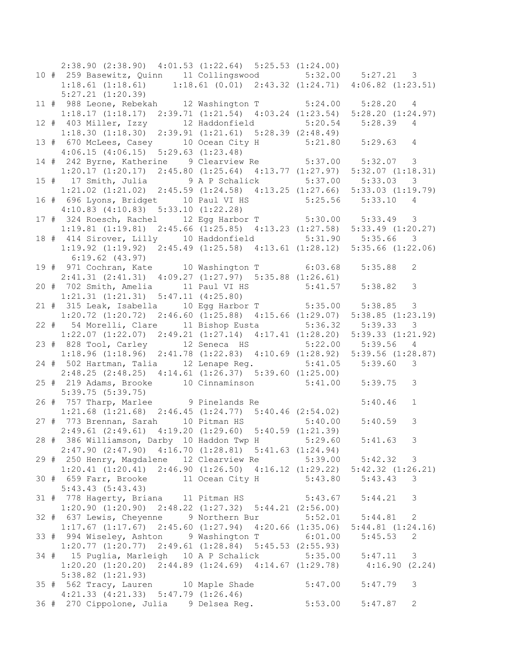2:38.90 (2:38.90) 4:01.53 (1:22.64) 5:25.53 (1:24.00) 10 # 259 Basewitz, Quinn 11 Collingswood 5:32.00 5:27.21 3 1:18.61 (1:18.61) 1:18.61 (0.01) 2:43.32 (1:24.71) 4:06.82 (1:23.51) 5:27.21 (1:20.39) 11 # 988 Leone, Rebekah 12 Washington T 5:24.00 5:28.20 4 1:18.17 (1:18.17) 2:39.71 (1:21.54) 4:03.24 (1:23.54) 5:28.20 (1:24.97) 12 # 403 Miller, Izzy 12 Haddonfield 5:20.54 5:28.39 4 1:18.30 (1:18.30) 2:39.91 (1:21.61) 5:28.39 (2:48.49) 13 # 670 McLees, Casey 10 Ocean City H 5:21.80 5:29.63 4 4:06.15 (4:06.15) 5:29.63 (1:23.48) 14 # 242 Byrne, Katherine 9 Clearview Re 5:37.00 5:32.07 3 1:20.17 (1:20.17) 2:45.80 (1:25.64) 4:13.77 (1:27.97) 5:32.07 (1:18.31) 15 # 17 Smith, Julia 9 A P Schalick 5:37.00 5:33.03 3 1:21.02 (1:21.02) 2:45.59 (1:24.58) 4:13.25 (1:27.66) 5:33.03 (1:19.79) 16 # 696 Lyons, Bridget 10 Paul VI HS 5:25.56 5:33.10 4 4:10.83 (4:10.83) 5:33.10 (1:22.28) 17 # 324 Roesch, Rachel 12 Egg Harbor T 5:30.00 5:33.49 3 1:19.81 (1:19.81) 2:45.66 (1:25.85) 4:13.23 (1:27.58) 5:33.49 (1:20.27) 18 # 414 Sirover, Lilly 10 Haddonfield 5:31.90 5:35.66 3 1:19.92 (1:19.92) 2:45.49 (1:25.58) 4:13.61 (1:28.12) 5:35.66 (1:22.06) 6:19.62 (43.97) 19 # 971 Cochran, Kate 10 Washington T 6:03.68 5:35.88 2 2:41.31 (2:41.31) 4:09.27 (1:27.97) 5:35.88 (1:26.61) 20 # 702 Smith, Amelia 11 Paul VI HS 5:41.57 5:38.82 3 1:21.31 (1:21.31) 5:47.11 (4:25.80) 21 # 315 Leak, Isabella 10 Egg Harbor T 5:35.00 5:38.85 3 1:20.72 (1:20.72) 2:46.60 (1:25.88) 4:15.66 (1:29.07) 5:38.85 (1:23.19) 22 # 54 Morelli, Clare 11 Bishop Eusta 5:36.32 5:39.33 3 1:22.07 (1:22.07) 2:49.21 (1:27.14) 4:17.41 (1:28.20) 5:39.33 (1:21.92) 23 # 828 Tool, Carley 12 Seneca HS 5:22.00 5:39.56 4 1:18.96 (1:18.96) 2:41.78 (1:22.83) 4:10.69 (1:28.92) 5:39.56 (1:28.87) 24 # 502 Hartman, Talia 12 Lenape Reg. 5:41.05 5:39.60 3 2:48.25 (2:48.25) 4:14.61 (1:26.37) 5:39.60 (1:25.00) 25 # 219 Adams, Brooke 10 Cinnaminson 5:41.00 5:39.75 3 5:39.75 (5:39.75) 26 # 757 Tharp, Marlee 9 Pinelands Re 5:40.46 1 1:21.68 (1:21.68) 2:46.45 (1:24.77) 5:40.46 (2:54.02) 27 # 773 Brennan, Sarah 10 Pitman HS 5:40.00 5:40.59 3 2:49.61 (2:49.61) 4:19.20 (1:29.60) 5:40.59 (1:21.39) 28 # 386 Williamson, Darby 10 Haddon Twp H 5:29.60 5:41.63 3 2:47.90 (2:47.90) 4:16.70 (1:28.81) 5:41.63 (1:24.94) 29 # 250 Henry, Magdalene 12 Clearview Re 5:39.00 5:42.32 3 1:20.41 (1:20.41) 2:46.90 (1:26.50) 4:16.12 (1:29.22) 5:42.32 (1:26.21) 30 # 659 Farr, Brooke 11 Ocean City H 5:43.80 5:43.43 3 5:43.43 (5:43.43) 31 # 778 Hagerty, Briana 11 Pitman HS 5:43.67 5:44.21 3 1:20.90 (1:20.90) 2:48.22 (1:27.32) 5:44.21 (2:56.00) 32 # 637 Lewis, Cheyenne 9 Northern Bur 5:52.01 5:44.81 2 1:17.67 (1:17.67) 2:45.60 (1:27.94) 4:20.66 (1:35.06) 5:44.81 (1:24.16) 33 # 994 Wiseley, Ashton 9 Washington T 6:01.00 5:45.53 2 1:20.77 (1:20.77) 2:49.61 (1:28.84) 5:45.53 (2:55.93) 34 # 15 Puglia, Marleigh 10 A P Schalick 5:35.00 5:47.11 3 1:20.20 (1:20.20) 2:44.89 (1:24.69) 4:14.67 (1:29.78) 4:16.90 (2.24) 5:38.82 (1:21.93) 35 # 562 Tracy, Lauren 10 Maple Shade 5:47.00 5:47.79 3 4:21.33 (4:21.33) 5:47.79 (1:26.46) 36 # 270 Cippolone, Julia 9 Delsea Reg. 5:53.00 5:47.87 2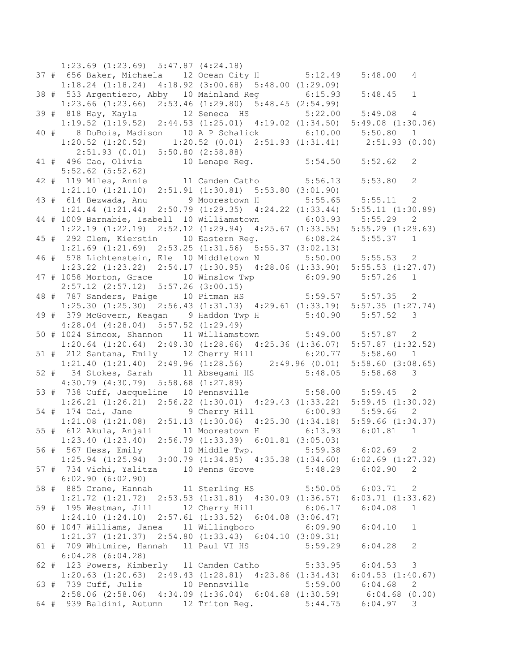1:23.69 (1:23.69) 5:47.87 (4:24.18) 37 # 656 Baker, Michaela 12 Ocean City H 5:12.49 5:48.00 4 1:18.24 (1:18.24) 4:18.92 (3:00.68) 5:48.00 (1:29.09) 38 # 533 Argentiero, Abby 10 Mainland Reg 6:15.93 5:48.45 1 1:23.66 (1:23.66) 2:53.46 (1:29.80) 5:48.45 (2:54.99) 39 # 818 Hay, Kayla 5:12 Seneca HS 1:19.52 (1:19.52) 2:44.53 (1:25.01) 4:19.02 (1:34.50) 5:49.08 (1:30.06) 40 # 8 DuBois, Madison 10 A P Schalick 6:10.00 5:50.80 1 1:20.52 (1:20.52) 1:20.52 (0.01) 2:51.93 (1:31.41) 2:51.93 (0.00) 2:51.93 (0.01) 5:50.80 (2:58.88) 41 # 496 Cao, Olivia 10 Lenape Reg. 5:54.50 5:52.62 2 5:52.62 (5:52.62) 42 # 119 Miles, Annie 11 Camden Catho 5:56.13 5:53.80 2 1:21.10 (1:21.10) 2:51.91 (1:30.81) 5:53.80 (3:01.90) 43 # 614 Bezwada, Anu 9 Moorestown H 5:55.65 5:55.11 2 1:21.44 (1:21.44) 2:50.79 (1:29.35) 4:24.22 (1:33.44) 5:55.11 (1:30.89) 44 # 1009 Barnabie, Isabell 10 Williamstown 6:03.93 5:55.29 2 1:22.19 (1:22.19) 2:52.12 (1:29.94) 4:25.67 (1:33.55) 5:55.29 (1:29.63) 45 # 292 Clem, Kierstin 10 Eastern Reg. 6:08.24 5:55.37 1 1:21.69 (1:21.69) 2:53.25 (1:31.56) 5:55.37 (3:02.13) 46 # 578 Lichtenstein, Ele 10 Middletown N 5:50.00 5:55.53 2 1:23.22 (1:23.22) 2:54.17 (1:30.95) 4:28.06 (1:33.90) 5:55.53 (1:27.47) 47 # 1058 Morton, Grace 10 Winslow Twp 6:09.90 5:57.26 1 2:57.12 (2:57.12) 5:57.26 (3:00.15) 48 # 787 Sanders, Paige 10 Pitman HS 5:59.57 5:57.35 2 1:25.30 (1:25.30) 2:56.43 (1:31.13) 4:29.61 (1:33.19) 5:57.35 (1:27.74) 49 # 379 McGovern, Keagan 9 Haddon Twp H 5:40.90 5:57.52 3 4:28.04 (4:28.04) 5:57.52 (1:29.49) 50 # 1024 Simcox, Shannon 11 Williamstown 5:49.00 5:57.87 2 1:20.64 (1:20.64) 2:49.30 (1:28.66) 4:25.36 (1:36.07) 5:57.87 (1:32.52) 51 # 212 Santana, Emily 12 Cherry Hill 6:20.77 5:58.60 1 1:21.40 (1:21.40) 2:49.96 (1:28.56) 2:49.96 (0.01) 5:58.60 (3:08.65) 52 # 34 Stokes, Sarah 11 Absegami HS 5:48.05 5:58.68 3 4:30.79 (4:30.79) 5:58.68 (1:27.89) 53 # 738 Cuff, Jacqueline 10 Pennsville 5:58.00 5:59.45 2 1:26.21 (1:26.21) 2:56.22 (1:30.01) 4:29.43 (1:33.22) 5:59.45 (1:30.02) 54 # 174 Cai, Jane 9 Cherry Hill 6:00.93 5:59.66 2 1:21.08 (1:21.08) 2:51.13 (1:30.06) 4:25.30 (1:34.18) 5:59.66 (1:34.37) 55 # 612 Akula, Anjali 11 Moorestown H 6:13.93 6:01.81 1 1:23.40 (1:23.40) 2:56.79 (1:33.39) 6:01.81 (3:05.03) 56 # 567 Hess, Emily 10 Middle Twp. 5:59.38 6:02.69 2 1:25.94 (1:25.94) 3:00.79 (1:34.85) 4:35.38 (1:34.60) 6:02.69 (1:27.32) 57 # 734 Vichi, Yalitza 10 Penns Grove 5:48.29 6:02.90 2 6:02.90 (6:02.90) 58 # 885 Crane, Hannah 11 Sterling HS 5:50.05 6:03.71 2 1:21.72 (1:21.72) 2:53.53 (1:31.81) 4:30.09 (1:36.57) 6:03.71 (1:33.62) 59 # 195 Westman, Jill 12 Cherry Hill 6:06.17 6:04.08 1 1:24.10 (1:24.10) 2:57.61 (1:33.52) 6:04.08 (3:06.47) 60 # 1047 Williams, Janea 11 Willingboro 6:09.90 6:04.10 1 1:21.37 (1:21.37) 2:54.80 (1:33.43) 6:04.10 (3:09.31) 61 # 709 Whitmire, Hannah 11 Paul VI HS 5:59.29 6:04.28 2 6:04.28 (6:04.28) 62 # 123 Powers, Kimberly 11 Camden Catho 5:33.95 6:04.53 3 1:20.63 (1:20.63) 2:49.43 (1:28.81) 4:23.86 (1:34.43) 6:04.53 (1:40.67) 63 # 739 Cuff, Julie 10 Pennsville 5:59.00 6:04.68 2 2:58.06 (2:58.06) 4:34.09 (1:36.04) 6:04.68 (1:30.59) 6:04.68 (0.00) 64 # 939 Baldini, Autumn 12 Triton Reg. 5:44.75 6:04.97 3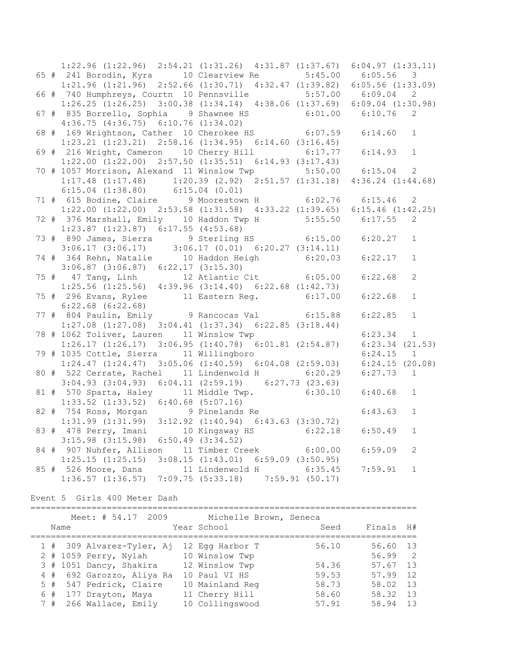|  | 1:22.96 (1:22.96) 2:54.21 (1:31.26) 4:31.87 (1:37.67) 6:04.97 (1:33.11)                                                                                       |  |             |                |
|--|---------------------------------------------------------------------------------------------------------------------------------------------------------------|--|-------------|----------------|
|  |                                                                                                                                                               |  |             |                |
|  | 1:21.96 (1:21.96) 2:52.66 (1:30.71) 4:32.47 (1:39.82) 6:05.56 (1:33.09)                                                                                       |  |             |                |
|  | 66 # 740 Humphreys, Courtn 10 Pennsville 5:57.00 6:09.04 2                                                                                                    |  |             |                |
|  | $1:26.25$ (1:26.25) 3:00.38 (1:34.14) 4:38.06 (1:37.69) 6:09.04 (1:30.98)                                                                                     |  |             |                |
|  | 67 # 835 Borrello, Sophia 9 Shawnee HS 6:01.00 6:10.76                                                                                                        |  |             | 2              |
|  | $4:36.75$ $(4:36.75)$ $6:10.76$ $(1:34.02)$                                                                                                                   |  |             |                |
|  | 4:36.75 (4:36.75) 6:10.76 (1:34.02)<br>68 # 169 Wrightson, Cather 10 Cherokee HS 6:07.59 6:14.60                                                              |  |             | $\mathbf{1}$   |
|  | $1:23.21$ $(1:23.21)$ $2:58.16$ $(1:34.95)$ $6:14.60$ $(3:16.45)$                                                                                             |  |             |                |
|  | 69 # 216 Wright, Cameron 10 Cherry Hill 6:17.77                                                                                                               |  | 6:14.93     | $\mathbf{1}$   |
|  | $1:22.00$ $(1:22.00)$ $2:57.50$ $(1:35.51)$ $6:14.93$ $(3:17.43)$                                                                                             |  |             |                |
|  | 70 # 1057 Morrison, Alexand 11 Winslow Twp 5:50.00 6:15.04                                                                                                    |  |             | $\mathbf{2}$   |
|  | $1:17.48$ (1:17.48) $1:20.39$ (2.92) $2:51.57$ (1:31.18) $4:36.24$ (1:44.68)                                                                                  |  |             |                |
|  |                                                                                                                                                               |  |             |                |
|  | 6:15.04 (1:38.80)    6:15.04 (0.01)<br>71 # 615 Bodine, Claire    9 Moorestown H    6:02.76    6:15.46    2                                                   |  |             |                |
|  | 1:22.00 (1:22.00) 2:53.58 (1:31.58) 4:33.22 (1:39.65) 6:15.46 (1:42.25)                                                                                       |  |             |                |
|  | 72 # 376 Marshall, Emily 10 Haddon Twp H 5:55.50 6:17.55                                                                                                      |  |             | 2              |
|  | $1:23.87$ $(1:23.87)$ $6:17.55$ $(4:53.68)$                                                                                                                   |  |             |                |
|  | 73 # 890 James, Sierra 9 Sterling HS 6:15.00 6:20.27                                                                                                          |  |             | $\mathbf{1}$   |
|  | $3:06.17$ $(3:06.17)$ $3:06.17$ $(0.01)$ $6:20.27$ $(3:14.11)$                                                                                                |  |             |                |
|  | 74 # 364 Rehn, Natalie 10 Haddon Heigh 6:20.03 6:22.17                                                                                                        |  |             | $\mathbf{1}$   |
|  | $3:06.87$ $(3:06.87)$ $6:22.17$ $(3:15.30)$                                                                                                                   |  |             |                |
|  | 75 # 47 Tang, Linh 12 Atlantic Cit 6:05.00<br>1:25.56 (1:25.56) 4:39.96 (3:14.40) 6:22.68 (1:42.73)                                                           |  | 6:22.68     | $\overline{c}$ |
|  |                                                                                                                                                               |  |             |                |
|  | 75 # 296 Evans, Rylee 11 Eastern Reg. 6:17.00                                                                                                                 |  | 6:22.68     | $\mathbf{1}$   |
|  | $6:22.68$ $(6:22.68)$                                                                                                                                         |  |             |                |
|  | 77 # 804 Paulin, Emily 9 Rancocas Val 6:15.88                                                                                                                 |  | 6:22.85     | $\mathbf{1}$   |
|  | $1:27.08$ $(1:27.08)$ $3:04.41$ $(1:37.34)$ $6:22.85$ $(3:18.44)$                                                                                             |  |             |                |
|  | 78 # 1062 Toliver, Lauren 11 Winslow Twp                                                                                                                      |  | $6:23.34$ 1 |                |
|  | $1:26.17$ $(1:26.17)$ $3:06.95$ $(1:40.78)$ $6:01.81$ $(2:54.87)$ $6:23.34$ $(21.53)$                                                                         |  |             |                |
|  | 79 # 1035 Cottle, Sierra 11 Willingboro                                                                                                                       |  | 6:24.15     | $\overline{1}$ |
|  | $1:24.47$ (1:24.47) 3:05.06 (1:40.59) 6:04.08 (2:59.03) 6:24.15 (20.08)                                                                                       |  |             |                |
|  | 80 # 522 Cerrate, Rachel 11 Lindenwold H 6:20.29 6:27.73 1                                                                                                    |  |             |                |
|  | $3:04.93$ $(3:04.93)$ $6:04.11$ $(2:59.19)$ $6:27.73$ $(23.63)$                                                                                               |  |             |                |
|  | 81 # 570 Sparta, Haley 11 Middle Twp. 6:30.10                                                                                                                 |  | 6:40.68     | $\mathbf{1}$   |
|  | $1:33.52$ $(1:33.52)$ $6:40.68$ $(5:07.16)$                                                                                                                   |  |             |                |
|  | 82 # 754 Ross, Morgan 9 Pinelands Re 6:43.63<br>1:31.99 (1:31.99) 3:12.92 (1:40.94) 6:43.63 (3:30.72)<br>83 # 478 Perry, Imani 10 Kingsway HS 6:22.18 6:50.49 |  |             | $\mathbf{1}$   |
|  |                                                                                                                                                               |  |             |                |
|  |                                                                                                                                                               |  |             | $\mathbf{1}$   |
|  | $3:15.98$ $(3:15.98)$ $6:50.49$ $(3:34.52)$                                                                                                                   |  |             |                |
|  | 84 # 907 Nuhfer, Allison 11 Timber Creek 6:00.00                                                                                                              |  | 6:59.09     | 2              |
|  | $1:25.15$ $(1:25.15)$ $3:08.15$ $(1:43.01)$ $6:59.09$ $(3:50.95)$                                                                                             |  |             |                |
|  | 85 # 526 Moore, Dana 11 Lindenwold H 6:35.45                                                                                                                  |  | 7:59.91     | $\mathbf{1}$   |
|  | $1:36.57$ $(1:36.57)$ $7:09.75$ $(5:33.18)$ $7:59.91$ $(50.17)$                                                                                               |  |             |                |

Event 5 Girls 400 Meter Dash

============================================================================ Meet: # 54.17 2009 Michelle Brown, Seneca Name Year School Seed Finals H# ============================================================================ 1 # 309 Alvarez-Tyler, Aj 12 Egg Harbor T 56.10 56.60 13 2 # 1059 Perry, Nylah 10 Winslow Twp 56.99 2 3 # 1051 Dancy, Shakira 12 Winslow Twp 54.36 57.67 13 4 # 692 Garozzo, Aliya Ra 10 Paul VI HS 59.53 57.99 12 5 # 547 Pedrick, Claire 10 Mainland Reg 58.73 58.02 13 6 # 177 Drayton, Maya 11 Cherry Hill 58.60 58.32 13 7 # 266 Wallace, Emily 10 Collingswood 57.91 58.94 13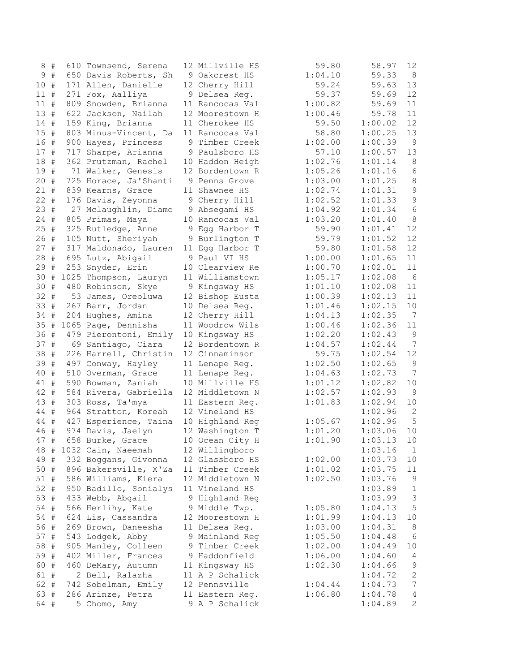|        | 8# | 610 Townsend, Serena                       | 12 Millville HS                  | 59.80   | 58.97   | 12               |
|--------|----|--------------------------------------------|----------------------------------|---------|---------|------------------|
|        | 9# | 650 Davis Roberts, Sh                      | 9 Oakcrest HS                    | 1:04.10 | 59.33   | 8                |
| 10#    |    | 171 Allen, Danielle                        | 12 Cherry Hill                   | 59.24   | 59.63   | 13               |
| $11$ # |    | 271 Fox, Aalliya                           | 9 Delsea Reg.                    | 59.37   | 59.69   | 12               |
| $11$ # |    | 809 Snowden, Brianna                       | 11 Rancocas Val                  | 1:00.82 | 59.69   | 11               |
| 13#    |    | 622 Jackson, Nailah                        | 12 Moorestown H                  | 1:00.46 | 59.78   | 11               |
| 14#    |    | 159 King, Brianna                          | 11 Cherokee HS                   | 59.50   | 1:00.02 | 12               |
| 15     | #  | 803 Minus-Vincent, Da                      | 11 Rancocas Val                  | 58.80   | 1:00.25 | 13               |
| 16 #   |    | 900 Hayes, Princess                        | 9 Timber Creek                   | 1:02.00 | 1:00.39 | $\overline{9}$   |
| 17 #   |    | 717 Sharpe, Arianna                        | 9 Paulsboro HS                   | 57.10   | 1:00.57 | 13               |
| 18 #   |    | 362 Prutzman, Rachel                       | 10 Haddon Heigh                  | 1:02.76 | 1:01.14 | 8                |
| 19 #   |    | 71 Walker, Genesis                         | 12 Bordentown R                  | 1:05.26 | 1:01.16 | $\epsilon$       |
| 20#    |    | 725 Horace, Ja'Shanti                      | 9 Penns Grove                    | 1:03.00 | 1:01.25 | $\,8\,$          |
| $21 +$ |    | 839 Kearns, Grace                          | 11 Shawnee HS                    | 1:02.74 | 1:01.31 | $\mathsf 9$      |
| $22 +$ |    |                                            |                                  | 1:02.52 | 1:01.33 | $\mathsf 9$      |
| 23#    |    | 176 Davis, Zeyonna<br>27 Mclaughlin, Diamo | 9 Cherry Hill                    | 1:04.92 |         | $\epsilon$       |
| $24$ # |    |                                            | 9 Absegami HS<br>10 Rancocas Val | 1:03.20 | 1:01.34 | $\,8\,$          |
|        |    | 805 Primas, Maya                           |                                  |         | 1:01.40 |                  |
| $25 +$ |    | 325 Rutledge, Anne                         | 9 Eqq Harbor T                   | 59.90   | 1:01.41 | 12               |
| 26 #   |    | 105 Nutt, Sheriyah                         | 9 Burlington T                   | 59.79   | 1:01.52 | 12               |
| $27 +$ |    | 317 Maldonado, Lauren                      | 11 Egg Harbor T                  | 59.80   | 1:01.58 | 12               |
| 28     | #  | 695 Lutz, Abigail                          | 9 Paul VI HS                     | 1:00.00 | 1:01.65 | 11               |
| 29     | #  | 253 Snyder, Erin                           | 10 Clearview Re                  | 1:00.70 | 1:02.01 | 11               |
| 30     | #  | 1025 Thompson, Lauryn                      | 11 Williamstown                  | 1:05.17 | 1:02.08 | 6                |
| 30#    |    | 480 Robinson, Skye                         | 9 Kingsway HS                    | 1:01.10 | 1:02.08 | $11$             |
| 32     | #  | 53 James, Oreoluwa                         | 12 Bishop Eusta                  | 1:00.39 | 1:02.13 | 11               |
| 33#    |    | 267 Barr, Jordan                           | 10 Delsea Reg.                   | 1:01.46 | 1:02.15 | 10               |
| 34 #   |    | 204 Hughes, Amina                          | 12 Cherry Hill                   | 1:04.13 | 1:02.35 | $\overline{7}$   |
| 35 #   |    | 1065 Page, Dennisha                        | 11 Woodrow Wils                  | 1:00.46 | 1:02.36 | 11               |
| 36 #   |    | 479 Pierontoni, Emily                      | 10 Kingsway HS                   | 1:02.20 | 1:02.43 | $\mathsf 9$      |
| 37#    |    | 69 Santiago, Ciara                         | 12 Bordentown R                  | 1:04.57 | 1:02.44 | 7                |
| 38 #   |    | 226 Harrell, Christin                      | 12 Cinnaminson                   | 59.75   | 1:02.54 | 12               |
| 39 #   |    | 497 Conway, Hayley                         | 11 Lenape Reg.                   | 1:02.50 | 1:02.65 | $\mathsf 9$      |
| 40 #   |    | 510 Overman, Grace                         | 11 Lenape Reg.                   | 1:04.63 | 1:02.73 | 7                |
| 41 #   |    | 590 Bowman, Zaniah                         | 10 Millville HS                  | 1:01.12 | 1:02.82 | 10               |
| 42 #   |    | 584 Rivera, Gabriella                      | 12 Middletown N                  | 1:02.57 | 1:02.93 | $\mathsf 9$      |
| 43 #   |    | 303 Ross, Ta'mya                           | 11 Eastern Reg.                  | 1:01.83 | 1:02.94 | 10               |
| 44 #   |    | 964 Stratton, Koreah                       | 12 Vineland HS                   |         | 1:02.96 | $\mathbf{2}$     |
| 44 #   |    | 427 Esperience, Taina                      | 10 Highland Reg                  | 1:05.67 | 1:02.96 | 5                |
| 46 #   |    | 974 Davis, Jaelyn                          | 12 Washington T                  | 1:01.20 | 1:03.06 | 10               |
| 47 #   |    | 658 Burke, Grace                           | 10 Ocean City H                  | 1:01.90 | 1:03.13 | 10               |
|        |    | 48 # 1032 Cain, Naeemah                    | 12 Willingboro                   |         | 1:03.16 | $\mathbf{1}$     |
| 49#    |    | 332 Boggans, Givonna                       | 12 Glassboro HS                  | 1:02.00 | 1:03.73 | 10               |
| 50 #   |    | 896 Bakersville, X'Za                      | 11 Timber Creek                  | 1:01.02 | 1:03.75 | 11               |
| $51$ # |    | 586 Williams, Kiera                        | 12 Middletown N                  | 1:02.50 | 1:03.76 | 9                |
| $52 +$ |    | 950 Badillo, Sonialys                      | 11 Vineland HS                   |         | 1:03.89 | $\mathbf{1}$     |
| 53#    |    | 433 Webb, Abgail                           | 9 Highland Reg                   |         | 1:03.99 | $\mathfrak{Z}$   |
| 54 #   |    | 566 Herlihy, Kate                          | 9 Middle Twp.                    | 1:05.80 | 1:04.13 | 5                |
| 54 #   |    | 624 Lis, Cassandra                         | 12 Moorestown H                  | 1:01.99 | 1:04.13 | 10               |
| 56 #   |    | 269 Brown, Daneesha                        | 11 Delsea Reg.                   | 1:03.00 | 1:04.31 | 8                |
| 57#    |    | 543 Lodgek, Abby                           | 9 Mainland Reg                   | 1:05.50 | 1:04.48 | 6                |
| 58 #   |    | 905 Manley, Colleen                        | 9 Timber Creek                   | 1:02.00 | 1:04.49 | 10               |
| 59 #   |    | 402 Miller, Frances                        | 9 Haddonfield                    | 1:06.00 | 1:04.60 | 4                |
| 60 #   |    | 460 DeMary, Autumn                         | 11 Kingsway HS                   | 1:02.30 | 1:04.66 | $\mathsf 9$      |
| 61 #   |    | 2 Bell, Ralazha                            | 11 A P Schalick                  |         | 1:04.72 | $\sqrt{2}$       |
| 62 #   |    | 742 Sobelman, Emily                        | 12 Pennsville                    | 1:04.44 | 1:04.73 | $\boldsymbol{7}$ |
| 63 #   |    | 286 Arinze, Petra                          | 11 Eastern Reg.                  | 1:06.80 | 1:04.78 | 4                |
| 64 #   |    | 5 Chomo, Amy                               | 9 A P Schalick                   |         | 1:04.89 | $\sqrt{2}$       |
|        |    |                                            |                                  |         |         |                  |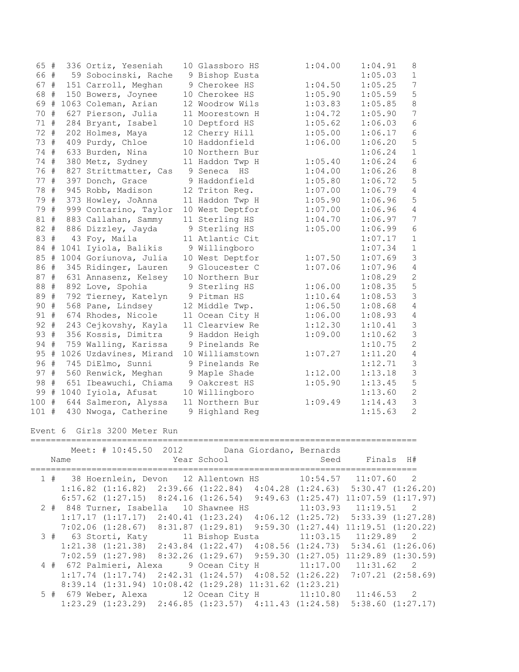| 65 #    |   | 336 Ortiz, Yeseniah    | 10 Glassboro HS | 1:04.00 | 1:04.91 | 8                |
|---------|---|------------------------|-----------------|---------|---------|------------------|
| 66 #    |   | 59 Sobocinski, Rache   | 9 Bishop Eusta  |         | 1:05.03 | $\,1\,$          |
| 67 #    |   | 151 Carroll, Meghan    | 9 Cherokee HS   | 1:04.50 | 1:05.25 | $\boldsymbol{7}$ |
| 68 #    |   | 150 Bowers, Joynee     | 10 Cherokee HS  | 1:05.90 | 1:05.59 | 5                |
| 69 #    |   | 1063 Coleman, Arian    | 12 Woodrow Wils | 1:03.83 | 1:05.85 | $\,8\,$          |
| 70 #    |   | 627 Pierson, Julia     | 11 Moorestown H | 1:04.72 | 1:05.90 | $\boldsymbol{7}$ |
| 71 #    |   | 284 Bryant, Isabel     | 10 Deptford HS  | 1:05.62 | 1:06.03 | $\sqrt{6}$       |
| 72 #    |   | 202 Holmes, Maya       | 12 Cherry Hill  | 1:05.00 | 1:06.17 | $\sqrt{6}$       |
| 73 #    |   | 409 Purdy, Chloe       | 10 Haddonfield  | 1:06.00 | 1:06.20 | 5                |
| 74 #    |   | 633 Burden, Nina       | 10 Northern Bur |         | 1:06.24 | $\mathbf 1$      |
| 74 #    |   | 380 Metz, Sydney       | 11 Haddon Twp H | 1:05.40 | 1:06.24 | $\sqrt{6}$       |
| 76 #    |   | 827 Strittmatter, Cas  | 9 Seneca HS     | 1:04.00 | 1:06.26 | $\,8\,$          |
| 77 #    |   | 397 Donch, Grace       | 9 Haddonfield   | 1:05.80 | 1:06.72 | 5                |
| 78 #    |   | 945 Robb, Madison      | 12 Triton Req.  | 1:07.00 | 1:06.79 | $\sqrt{4}$       |
| 79 #    |   | 373 Howley, JoAnna     | 11 Haddon Twp H | 1:05.90 | 1:06.96 | $\mathsf S$      |
| 79 #    |   | 999 Contarino, Taylor  | 10 West Deptfor | 1:07.00 | 1:06.96 | $\sqrt{4}$       |
| 81 #    |   | 883 Callahan, Sammy    | 11 Sterling HS  | 1:04.70 | 1:06.97 | $\boldsymbol{7}$ |
| 82 #    |   | 886 Dizzley, Jayda     | 9 Sterling HS   | 1:05.00 | 1:06.99 | $\sqrt{6}$       |
| 83 #    |   | 43 Foy, Maila          | 11 Atlantic Cit |         | 1:07.17 | $\mathbf 1$      |
| 84 #    |   | 1041 Iyiola, Balikis   | 9 Willingboro   |         | 1:07.34 | $\mathbf 1$      |
| 85 #    |   | 1004 Goriunova, Julia  | 10 West Deptfor | 1:07.50 | 1:07.69 | $\mathsf 3$      |
| 86 #    |   | 345 Ridinger, Lauren   | 9 Gloucester C  | 1:07.06 | 1:07.96 | $\sqrt{4}$       |
| 87#     |   | 631 Annasenz, Kelsey   | 10 Northern Bur |         | 1:08.29 | $\overline{c}$   |
| 88 #    |   | 892 Love, Spohia       | 9 Sterling HS   | 1:06.00 | 1:08.35 | 5                |
| 89 #    |   | 792 Tierney, Katelyn   | 9 Pitman HS     | 1:10.64 | 1:08.53 | $\mathcal{S}$    |
| 90 #    |   | 568 Pane, Lindsey      | 12 Middle Twp.  | 1:06.50 | 1:08.68 | $\sqrt{4}$       |
| 91 #    |   | 674 Rhodes, Nicole     | 11 Ocean City H | 1:06.00 | 1:08.93 | $\sqrt{4}$       |
| 92 #    |   | 243 Cejkovshy, Kayla   | 11 Clearview Re | 1:12.30 | 1:10.41 | $\mathcal{S}$    |
| 93 #    |   | 356 Kossis, Dimitra    | 9 Haddon Heigh  | 1:09.00 | 1:10.62 | $\mathcal{S}$    |
| 94 #    |   | 759 Walling, Karissa   | 9 Pinelands Re  |         | 1:10.75 | $\overline{c}$   |
| 95 #    |   | 1026 Uzdavines, Mirand | 10 Williamstown | 1:07.27 | 1:11.20 | $\sqrt{4}$       |
| 96 #    |   | 745 DiElmo, Sunni      | 9 Pinelands Re  |         | 1:12.71 | $\mathsf 3$      |
| 97 #    |   | 560 Renwick, Meghan    | 9 Maple Shade   | 1:12.00 | 1:13.18 | 3                |
| 98      | # | 651 Ibeawuchi, Chiama  | 9 Oakcrest HS   | 1:05.90 | 1:13.45 | 5                |
| 99#     |   | 1040 Iyiola, Afusat    | 10 Willingboro  |         | 1:13.60 | $\overline{c}$   |
| $100 +$ |   | 644 Salmeron, Alyssa   | 11 Northern Bur | 1:09.49 | 1:14.43 | $\mathfrak{Z}$   |
| 101 #   |   | 430 Nwoga, Catherine   | 9 Highland Reg  |         | 1:15.63 | $\overline{2}$   |
|         |   |                        |                 |         |         |                  |

Event 6 Girls 3200 Meter Run

| Name |  | Meet: # 10:45.50 2012 Dana Giordano, Bernards                       |  | Year School and Seed Finals H#                                                           |  |
|------|--|---------------------------------------------------------------------|--|------------------------------------------------------------------------------------------|--|
|      |  |                                                                     |  | 1 # 38 Hoernlein, Devon 12 Allentown HS 10:54.57 11:07.60 2                              |  |
|      |  |                                                                     |  | $1:16.82$ $(1:16.82)$ $2:39.66$ $(1:22.84)$ $4:04.28$ $(1:24.63)$ $5:30.47$ $(1:26.20)$  |  |
|      |  |                                                                     |  | $6:57.62$ $(1:27.15)$ $8:24.16$ $(1:26.54)$ $9:49.63$ $(1:25.47)$ $11:07.59$ $(1:17.97)$ |  |
|      |  |                                                                     |  |                                                                                          |  |
|      |  |                                                                     |  | $1:17.17$ $(1:17.17)$ $2:40.41$ $(1:23.24)$ $4:06.12$ $(1:25.72)$ $5:33.39$ $(1:27.28)$  |  |
|      |  |                                                                     |  | 7:02.06 (1:28.67) 8:31.87 (1:29.81) 9:59.30 (1:27.44) 11:19.51 (1:20.22)                 |  |
|      |  |                                                                     |  | 3 # 63 Storti, Katy 11 Bishop Eusta 11:03.15 11:29.89 2                                  |  |
|      |  |                                                                     |  | $1:21.38$ $(1:21.38)$ $2:43.84$ $(1:22.47)$ $4:08.56$ $(1:24.73)$ $5:34.61$ $(1:26.06)$  |  |
|      |  |                                                                     |  | 7:02.59 (1:27.98) 8:32.26 (1:29.67) 9:59.30 (1:27.05) 11:29.89 (1:30.59)                 |  |
|      |  |                                                                     |  | 4 # 672 Palmieri, Alexa 9 Ocean City H 11:17.00 11:31.62 2                               |  |
|      |  |                                                                     |  | $1:17.74$ $(1:17.74)$ $2:42.31$ $(1:24.57)$ $4:08.52$ $(1:26.22)$ $7:07.21$ $(2:58.69)$  |  |
|      |  | $8:39.14$ $(1:31.94)$ $10:08.42$ $(1:29.28)$ $11:31.62$ $(1:23.21)$ |  |                                                                                          |  |
|      |  |                                                                     |  | 5 # 679 Weber, Alexa 12 Ocean City H 11:10.80 11:46.53 2                                 |  |
|      |  | $1:23.29$ $(1:23.29)$ $2:46.85$ $(1:23.57)$ $4:11.43$ $(1:24.58)$   |  | $5:38.60$ $(1:27.17)$                                                                    |  |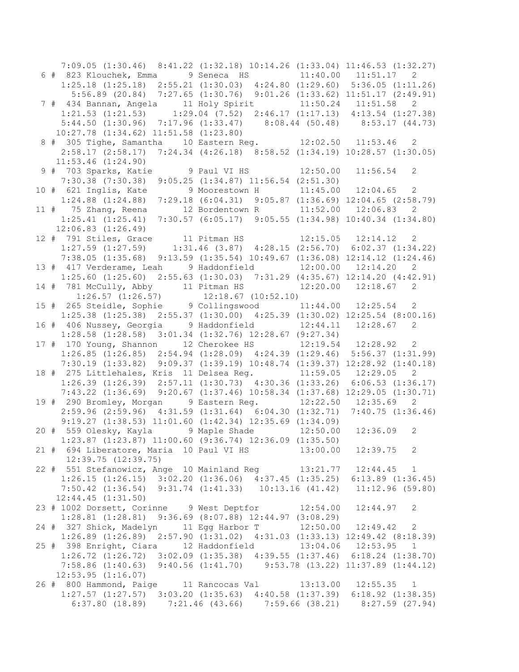7:09.05 (1:30.46) 8:41.22 (1:32.18) 10:14.26 (1:33.04) 11:46.53 (1:32.27) 6 # 823 Klouchek, Emma 9 Seneca HS 11:40.00 11:51.17 2 1:25.18 (1:25.18) 2:55.21 (1:30.03) 4:24.80 (1:29.60) 5:36.05 (1:11.26) 5:56.89 (20.84) 7:27.65 (1:30.76) 9:01.26 (1:33.62) 11:51.17 (2:49.91) 7 # 434 Bannan, Angela 11 Holy Spirit 11:50.24 11:51.58 2 1:21.53 (1:21.53) 1:29.04 (7.52) 2:46.17 (1:17.13) 4:13.54 (1:27.38) 5:44.50 (1:30.96) 7:17.96 (1:33.47) 8:08.44 (50.48) 8:53.17 (44.73) 10:27.78 (1:34.62) 11:51.58 (1:23.80) 8 # 305 Tighe, Samantha 10 Eastern Reg. 12:02.50 11:53.46 2 2:58.17 (2:58.17) 7:24.34 (4:26.18) 8:58.52 (1:34.19) 10:28.57 (1:30.05) 11:53.46 (1:24.90) 9 # 703 Sparks, Katie 9 Paul VI HS 12:50.00 11:56.54 2 7:30.38 (7:30.38) 9:05.25 (1:34.87) 11:56.54 (2:51.30) 10 # 621 Inglis, Kate 9 Moorestown H 11:45.00 12:04.65 2 1:24.88 (1:24.88) 7:29.18 (6:04.31) 9:05.87 (1:36.69) 12:04.65 (2:58.79) 11 # 75 Zhang, Reena 12 Bordentown R 11:52.00 12:06.83 2 1:25.41 (1:25.41) 7:30.57 (6:05.17) 9:05.55 (1:34.98) 10:40.34 (1:34.80) 12:06.83 (1:26.49) 12 # 791 Stiles, Grace 11 Pitman HS 12:15.05 12:14.12 2 1:27.59 (1:27.59) 1:31.46 (3.87) 4:28.15 (2:56.70) 6:02.37 (1:34.22) 7:38.05 (1:35.68) 9:13.59 (1:35.54) 10:49.67 (1:36.08) 12:14.12 (1:24.46) 13 # 417 Verderame, Leah 9 Haddonfield 12:00.00 12:14.20 2 1:25.60 (1:25.60) 2:55.63 (1:30.03) 7:31.29 (4:35.67) 12:14.20 (4:42.91) 14 # 781 McCully, Abby 11 Pitman HS 12:20.00 12:18.67 2 1:26.57 (1:26.57) 12:18.67 (10:52.10) 15 # 265 Steidle, Sophie 9 Collingswood 11:44.00 12:25.54 2 1:25.38 (1:25.38) 2:55.37 (1:30.00) 4:25.39 (1:30.02) 12:25.54 (8:00.16) 16 # 406 Nussey, Georgia 9 Haddonfield 12:44.11 12:28.67 2 1:28.58 (1:28.58) 3:01.34 (1:32.76) 12:28.67 (9:27.34) 17 # 170 Young, Shannon 12 Cherokee HS 12:19.54 12:28.92 2 1:26.85 (1:26.85) 2:54.94 (1:28.09) 4:24.39 (1:29.46) 5:56.37 (1:31.99) 7:30.19 (1:33.82) 9:09.37 (1:39.19) 10:48.74 (1:39.37) 12:28.92 (1:40.18) 18 # 275 Littlehales, Kris 11 Delsea Reg. 11:59.05 12:29.05 2 1:26.39 (1:26.39) 2:57.11 (1:30.73) 4:30.36 (1:33.26) 6:06.53 (1:36.17) 7:43.22 (1:36.69) 9:20.67 (1:37.46) 10:58.34 (1:37.68) 12:29.05 (1:30.71) 19 # 290 Bromley, Morgan 9 Eastern Reg. 12:22.50 12:35.69 2 2:59.96 (2:59.96) 4:31.59 (1:31.64) 6:04.30 (1:32.71) 7:40.75 (1:36.46) 9:19.27 (1:38.53) 11:01.60 (1:42.34) 12:35.69 (1:34.09) 20 # 559 Olesky, Kayla 9 Maple Shade 12:50.00 12:36.09 2 1:23.87 (1:23.87) 11:00.60 (9:36.74) 12:36.09 (1:35.50) 21 # 694 Liberatore, Maria 10 Paul VI HS 13:00.00 12:39.75 2 12:39.75 (12:39.75) 22 # 551 Stefanowicz, Ange 10 Mainland Reg 13:21.77 12:44.45 1 1:26.15 (1:26.15) 3:02.20 (1:36.06) 4:37.45 (1:35.25) 6:13.89 (1:36.45) 7:50.42 (1:36.54) 9:31.74 (1:41.33) 10:13.16 (41.42) 11:12.96 (59.80) 12:44.45 (1:31.50) 23 # 1002 Dorsett, Corinne 9 West Deptfor 12:54.00 12:44.97 2 1:28.81 (1:28.81) 9:36.69 (8:07.88) 12:44.97 (3:08.29) 24 # 327 Shick, Madelyn 11 Egg Harbor T 12:50.00 12:49.42 2 1:26.89 (1:26.89) 2:57.90 (1:31.02) 4:31.03 (1:33.13) 12:49.42 (8:18.39) 25 # 398 Enright, Ciara 12 Haddonfield 13:04.06 12:53.95 1 1:26.72 (1:26.72) 3:02.09 (1:35.38) 4:39.55 (1:37.46) 6:18.24 (1:38.70) 7:58.86 (1:40.63) 9:40.56 (1:41.70) 9:53.78 (13.22) 11:37.89 (1:44.12) 12:53.95 (1:16.07) 26 # 800 Hammond, Paige 11 Rancocas Val 13:13.00 12:55.35 1 1:27.57 (1:27.57) 3:03.20 (1:35.63) 4:40.58 (1:37.39) 6:18.92 (1:38.35) 6:37.80 (18.89) 7:21.46 (43.66) 7:59.66 (38.21) 8:27.59 (27.94)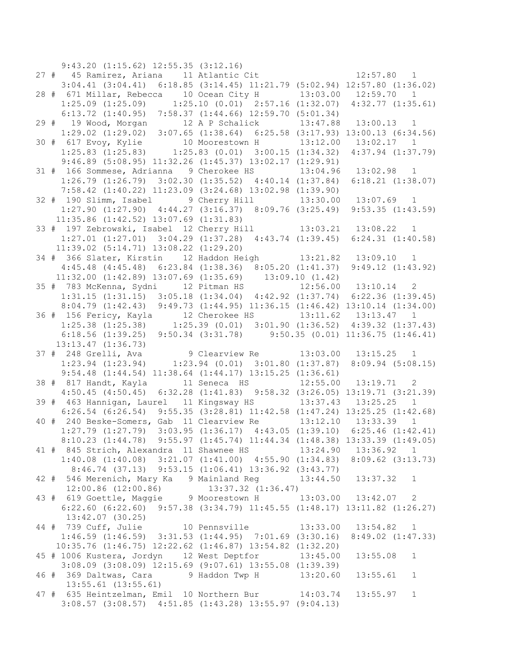9:43.20 (1:15.62) 12:55.35 (3:12.16) 27 # 45 Ramirez, Ariana 11 Atlantic Cit 12:57.80 1 3:04.41 (3:04.41) 6:18.85 (3:14.45) 11:21.79 (5:02.94) 12:57.80 (1:36.02) 28 # 671 Millar, Rebecca 10 Ocean City H 13:03.00 12:59.70 1 1:25.09 (1:25.09) 1:25.10 (0.01) 2:57.16 (1:32.07) 4:32.77 (1:35.61) 6:13.72 (1:40.95) 7:58.37 (1:44.66) 12:59.70 (5:01.34) 29 # 19 Wood, Morgan 12 A P Schalick 13:47.88 13:00.13 1 1:29.02 (1:29.02) 3:07.65 (1:38.64) 6:25.58 (3:17.93) 13:00.13 (6:34.56) 30 # 617 Evoy, Kylie 10 Moorestown H 13:12.00 13:02.17 1 1:25.83 (1:25.83) 1:25.83 (0.01) 3:00.15 (1:34.32) 4:37.94 (1:37.79) 9:46.89 (5:08.95) 11:32.26 (1:45.37) 13:02.17 (1:29.91) 31 # 166 Sommese, Adrianna 9 Cherokee HS 13:04.96 13:02.98 1 1:26.79 (1:26.79) 3:02.30 (1:35.52) 4:40.14 (1:37.84) 6:18.21 (1:38.07) 7:58.42 (1:40.22) 11:23.09 (3:24.68) 13:02.98 (1:39.90) 32 # 190 Slimm, Isabel 9 Cherry Hill 13:30.00 13:07.69 1 1:27.90 (1:27.90) 4:44.27 (3:16.37) 8:09.76 (3:25.49) 9:53.35 (1:43.59) 11:35.86 (1:42.52) 13:07.69 (1:31.83) 33 # 197 Zebrowski, Isabel 12 Cherry Hill 13:03.21 13:08.22 1 1:27.01 (1:27.01) 3:04.29 (1:37.28) 4:43.74 (1:39.45) 6:24.31 (1:40.58) 11:39.02 (5:14.71) 13:08.22 (1:29.20) 34 # 366 Slater, Kirstin 12 Haddon Heigh 13:21.82 13:09.10 1 4:45.48 (4:45.48) 6:23.84 (1:38.36) 8:05.20 (1:41.37) 9:49.12 (1:43.92) 11:32.00 (1:42.89) 13:07.69 (1:35.69) 13:09.10 (1.42) 35 # 783 McKenna, Sydni 12 Pitman HS 12:56.00 13:10.14 2 1:31.15 (1:31.15) 3:05.18 (1:34.04) 4:42.92 (1:37.74) 6:22.36 (1:39.45) 8:04.79 (1:42.43) 9:49.73 (1:44.95) 11:36.15 (1:46.42) 13:10.14 (1:34.00) 36 # 156 Fericy, Kayla 12 Cherokee HS 13:11.62 13:13.47 1 1:25.38 (1:25.38) 1:25.39 (0.01) 3:01.90 (1:36.52) 4:39.32 (1:37.43) 6:18.56 (1:39.25) 9:50.34 (3:31.78) 9:50.35 (0.01) 11:36.75 (1:46.41) 13:13.47 (1:36.73) 37 # 248 Grelli, Ava 9 Clearview Re 13:03.00 13:15.25 1 1:23.94 (1:23.94) 1:23.94 (0.01) 3:01.80 (1:37.87) 8:09.94 (5:08.15) 9:54.48 (1:44.54) 11:38.64 (1:44.17) 13:15.25 (1:36.61) 38 # 817 Handt, Kayla 11 Seneca HS 12:55.00 13:19.71 2 4:50.45 (4:50.45) 6:32.28 (1:41.83) 9:58.32 (3:26.05) 13:19.71 (3:21.39) 39 # 463 Hannigan, Laurel 11 Kingsway HS 13:37.43 13:25.25 1 6:26.54 (6:26.54) 9:55.35 (3:28.81) 11:42.58 (1:47.24) 13:25.25 (1:42.68) 40 # 240 Beske-Somers, Gab 11 Clearview Re 13:12.10 13:33.39 1 1:27.79 (1:27.79) 3:03.95 (1:36.17) 4:43.05 (1:39.10) 6:25.46 (1:42.41) 8:10.23 (1:44.78) 9:55.97 (1:45.74) 11:44.34 (1:48.38) 13:33.39 (1:49.05) 41 # 845 Strich, Alexandra 11 Shawnee HS 13:24.90 13:36.92 1 1:40.08 (1:40.08) 3:21.07 (1:41.00) 4:55.90 (1:34.83) 8:09.62 (3:13.73) 8:46.74 (37.13) 9:53.15 (1:06.41) 13:36.92 (3:43.77) 42 # 546 Merenich, Mary Ka 9 Mainland Reg 13:44.50 13:37.32 1 12:00.86 (12:00.86) 13:37.32 (1:36.47) 43 # 619 Goettle, Maggie 9 Moorestown H 13:03.00 13:42.07 2 6:22.60 (6:22.60) 9:57.38 (3:34.79) 11:45.55 (1:48.17) 13:11.82 (1:26.27) 13:42.07 (30.25) 44 # 739 Cuff, Julie 10 Pennsville 13:33.00 13:54.82 1 1:46.59 (1:46.59) 3:31.53 (1:44.95) 7:01.69 (3:30.16) 8:49.02 (1:47.33) 10:35.76 (1:46.75) 12:22.62 (1:46.87) 13:54.82 (1:32.20) 45 # 1006 Kustera, Jordyn 12 West Deptfor 13:45.00 13:55.08 1 3:08.09 (3:08.09) 12:15.69 (9:07.61) 13:55.08 (1:39.39) 46 # 369 Daltwas, Cara 9 Haddon Twp H 13:20.60 13:55.61 1 13:55.61 (13:55.61) 47 # 635 Heintzelman, Emil 10 Northern Bur 14:03.74 13:55.97 1 3:08.57 (3:08.57) 4:51.85 (1:43.28) 13:55.97 (9:04.13)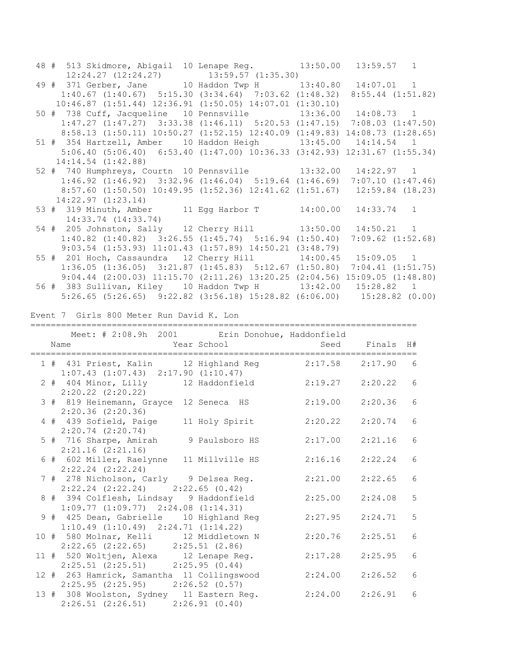|  | 48 # 513 Skidmore, Abigail 10 Lenape Reg. 13:50.00 13:59.57 1                                       |  |         |                     |                 |  |
|--|-----------------------------------------------------------------------------------------------------|--|---------|---------------------|-----------------|--|
|  | 12:24.27 (12:24.27) 13:59.57 (1:35.30)<br>49 # 371 Gerber, Jane 10 Haddon Twp H 13:40.80 14:07.01 1 |  |         |                     |                 |  |
|  |                                                                                                     |  |         |                     |                 |  |
|  | 1:40.67 (1:40.67) 5:15.30 (3:34.64) 7:03.62 (1:48.32) 8:55.44 (1:51.82)                             |  |         |                     |                 |  |
|  | $10:46.87$ $(1:51.44)$ $12:36.91$ $(1:50.05)$ $14:07.01$ $(1:30.10)$                                |  |         |                     |                 |  |
|  | 50 # 738 Cuff, Jacqueline 10 Pennsville 13:36.00 14:08.73 1                                         |  |         |                     |                 |  |
|  | 1:47.27 (1:47.27) 3:33.38 (1:46.11) 5:20.53 (1:47.15) 7:08.03 (1:47.50)                             |  |         |                     |                 |  |
|  | 8:58.13 (1:50.11) 10:50.27 (1:52.15) 12:40.09 (1:49.83) 14:08.73 (1:28.65)                          |  |         |                     |                 |  |
|  | 51 # 354 Hartzell, Amber 10 Haddon Heigh 13:45.00 14:14.54 1                                        |  |         |                     |                 |  |
|  | 5:06.40 (5:06.40) 6:53.40 (1:47.00) 10:36.33 (3:42.93) 12:31.67 (1:55.34)                           |  |         |                     |                 |  |
|  | $14:14.54$ $(1:42.88)$                                                                              |  |         |                     |                 |  |
|  | 52 # 740 Humphreys, Courtn 10 Pennsville 13:32.00 14:22.97 1                                        |  |         |                     |                 |  |
|  | $1:46.92$ $(1:46.92)$ $3:32.96$ $(1:46.04)$ $5:19.64$ $(1:46.69)$ $7:07.10$ $(1:47.46)$             |  |         |                     |                 |  |
|  |                                                                                                     |  |         |                     |                 |  |
|  | 8:57.60 (1:50.50) 10:49.95 (1:52.36) 12:41.62 (1:51.67) 12:59.84 (18.23)                            |  |         |                     |                 |  |
|  | 14:22.97(1:23.14)                                                                                   |  |         |                     |                 |  |
|  | 53 # 319 Minuth, Amber 11 Egg Harbor T 14:00.00 14:33.74 1                                          |  |         |                     |                 |  |
|  | 14:33.74 (14:33.74)                                                                                 |  |         |                     |                 |  |
|  | 54 # 205 Johnston, Sally 12 Cherry Hill 13:50.00 14:50.21 1                                         |  |         |                     |                 |  |
|  | 1:40.82 (1:40.82) 3:26.55 (1:45.74) 5:16.94 (1:50.40) 7:09.62 (1:52.68)                             |  |         |                     |                 |  |
|  | 9:03.54 (1:53.93) 11:01.43 (1:57.89) 14:50.21 (3:48.79)                                             |  |         |                     |                 |  |
|  | 55 # 201 Hoch, Cassaundra 12 Cherry Hill 14:00.45 15:09.05 1                                        |  |         |                     |                 |  |
|  |                                                                                                     |  |         |                     |                 |  |
|  | $1:36.05$ $(1:36.05)$ $3:21.87$ $(1:45.83)$ $5:12.67$ $(1:50.80)$ $7:04.41$ $(1:51.75)$             |  |         |                     |                 |  |
|  | 9:04.44 (2:00.03) 11:15.70 (2:11.26) 13:20.25 (2:04.56) 15:09.05 (1:48.80)                          |  |         |                     |                 |  |
|  | 56 # 383 Sullivan, Kiley 10 Haddon Twp H 13:42.00 15:28.82 1                                        |  |         |                     |                 |  |
|  | 5:26.65 (5:26.65) 9:22.82 (3:56.18) 15:28.82 (6:06.00) 15:28.82 (0.00)                              |  |         |                     |                 |  |
|  |                                                                                                     |  |         |                     |                 |  |
|  | Event 7 Girls 800 Meter Run David K. Lon                                                            |  |         |                     |                 |  |
|  |                                                                                                     |  |         |                     |                 |  |
|  |                                                                                                     |  |         |                     |                 |  |
|  | Meet: # 2:08.9h 2001 Erin Donohue, Haddonfield                                                      |  |         |                     |                 |  |
|  |                                                                                                     |  |         |                     |                 |  |
|  |                                                                                                     |  |         |                     |                 |  |
|  |                                                                                                     |  |         |                     |                 |  |
|  | 1 # 431 Priest, Kalin 12 Highland Reg 2:17.58 2:17.90 6                                             |  |         |                     |                 |  |
|  |                                                                                                     |  |         |                     |                 |  |
|  | 1:07.43 (1:07.43) 2:17.90 (1:10.47)<br>2 # 404 Minor, Lilly 12 Haddonfield 2:19.27 2:20.22 6        |  |         |                     |                 |  |
|  | $2:20.22$ $(2:20.22)$                                                                               |  |         |                     |                 |  |
|  | 3 # 819 Heinemann, Grayce 12 Seneca HS 2:19.00 2:20.36                                              |  |         |                     | $\epsilon$      |  |
|  | $2:20.36$ $(2:20.36)$                                                                               |  |         |                     |                 |  |
|  | 4 # 439 Sofield, Paige 11 Holy Spirit 2:20.22 2:20.74 6                                             |  |         |                     |                 |  |
|  | $2:20.74$ $(2:20.74)$                                                                               |  |         |                     |                 |  |
|  |                                                                                                     |  |         |                     |                 |  |
|  | 5 # 716 Sharpe, Amirah 9 Paulsboro HS 2:17.00 2:21.16 6                                             |  |         |                     |                 |  |
|  | $2:21.16$ $(2:21.16)$                                                                               |  |         |                     |                 |  |
|  | 6 # 602 Miller, Raelynne 11 Millville HS 2:16.16 2:22.24                                            |  |         |                     | 6               |  |
|  | $2:22.24$ $(2:22.24)$                                                                               |  |         |                     |                 |  |
|  | 7 # 278 Nicholson, Carly 9 Delsea Reg.                                                              |  |         | $2:21.00$ $2:22.65$ | 6               |  |
|  | $2:22.24$ $(2:22.24)$ $2:22.65$ $(0.42)$                                                            |  |         |                     |                 |  |
|  | 8 # 394 Colflesh, Lindsay 9 Haddonfield                                                             |  |         | $2:25.00$ $2:24.08$ | $5\phantom{.0}$ |  |
|  | $1:09.77$ $(1:09.77)$ $2:24.08$ $(1:14.31)$                                                         |  |         |                     |                 |  |
|  | 9 # 425 Dean, Gabrielle 10 Highland Reg                                                             |  | 2:27.95 | 2:24.71             | $5\phantom{.0}$ |  |
|  |                                                                                                     |  |         |                     |                 |  |
|  | $1:10.49$ $(1:10.49)$ $2:24.71$ $(1:14.22)$                                                         |  |         |                     |                 |  |
|  | 10 # 580 Molnar, Kelli 12 Middletown N                                                              |  | 2:20.76 | 2:25.51             | 6               |  |
|  | $2:22.65$ $(2:22.65)$ $2:25.51$ $(2.86)$                                                            |  |         |                     |                 |  |
|  | 11 # 520 Woltjen, Alexa 12 Lenape Reg.                                                              |  |         | $2:17.28$ $2:25.95$ | 6               |  |
|  | $2:25.51$ $(2:25.51)$ $2:25.95$ $(0.44)$                                                            |  |         |                     |                 |  |
|  | 12 # 263 Hamrick, Samantha 11 Collingswood                                                          |  |         | $2:24.00$ $2:26.52$ | 6               |  |
|  | $2:25.95$ $(2:25.95)$ $2:26.52$ $(0.57)$                                                            |  |         |                     |                 |  |
|  | 13 # 308 Woolston, Sydney 11 Eastern Reg.                                                           |  |         | $2:24.00$ $2:26.91$ | - 6             |  |
|  | $2:26.51$ $(2:26.51)$ $2:26.91$ $(0.40)$                                                            |  |         |                     |                 |  |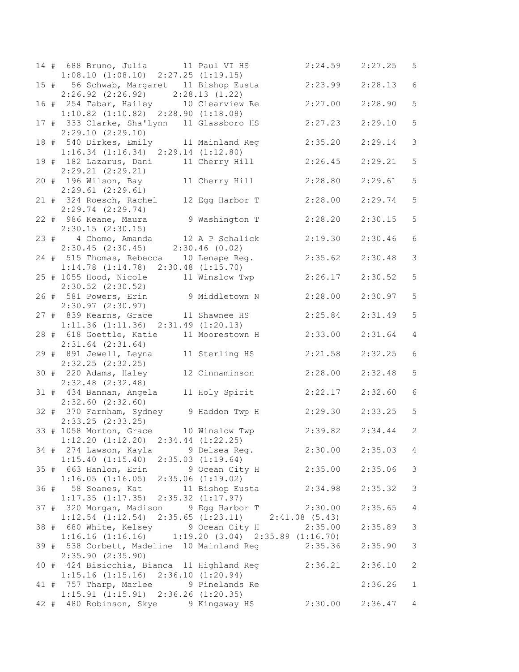|  | 14 # 688 Bruno, Julia 11 Paul VI HS                                                                                  |                        | $2:24.59$ $2:27.25$ |         | 5 <sup>5</sup>  |
|--|----------------------------------------------------------------------------------------------------------------------|------------------------|---------------------|---------|-----------------|
|  | $1:08.10$ $(1:08.10)$ $2:27.25$ $(1:19.15)$<br>15 # 56 Schwab, Margaret 11 Bishop Eusta                              |                        | 2:23.99             | 2:28.13 | $\epsilon$      |
|  | $2:26.92$ $(2:26.92)$ $2:28.13$ $(1.22)$                                                                             |                        |                     |         |                 |
|  | 16 # 254 Tabar, Hailey 10 Clearview Re                                                                               |                        | 2:27.00             | 2:28.90 | 5               |
|  | $1:10.82$ $(1:10.82)$ $2:28.90$ $(1:18.08)$                                                                          |                        |                     |         |                 |
|  | 17 # 333 Clarke, Sha'Lynn 11 Glassboro HS                                                                            |                        | 2:27.23             | 2:29.10 | 5               |
|  | 2:29.10(2:29.10)                                                                                                     |                        |                     |         | $\mathfrak{Z}$  |
|  | 18 # 540 Dirkes, Emily 11 Mainland Reg<br>$1:16.34$ $(1:16.34)$ $2:29.14$ $(1:12.80)$                                |                        | 2:35.20             | 2:29.14 |                 |
|  | 19 # 182 Lazarus, Dani 11 Cherry Hill                                                                                |                        | 2:26.45             | 2:29.21 | 5               |
|  | $2:29.21$ $(2:29.21)$                                                                                                |                        |                     |         |                 |
|  | 20 # 196 Wilson, Bay 11 Cherry Hill                                                                                  |                        | 2:28.80             | 2:29.61 | 5               |
|  | $2:29.61$ $(2:29.61)$<br>21 # 324 Roesch, Rachel 12 Egg Harbor T                                                     |                        |                     |         | 5               |
|  | $2:29.74$ $(2:29.74)$                                                                                                |                        | 2:28.00             | 2:29.74 |                 |
|  | 22 # 986 Keane, Maura 9 Washington T                                                                                 |                        | 2:28.20             | 2:30.15 | 5               |
|  | $2:30.15$ $(2:30.15)$                                                                                                |                        |                     |         |                 |
|  | 23 # 4 Chomo, Amanda 12 A P Schalick<br>2:30.45 (2:30.45) 2:30.46 (0.02)                                             |                        | 2:19.30             | 2:30.46 | $6\,$           |
|  |                                                                                                                      |                        |                     |         | $\mathcal{S}$   |
|  | 24 # 515 Thomas, Rebecca 10 Lenape Reg.<br>$1:14.78$ $(1:14.78)$ $2:30.48$ $(1:15.70)$                               |                        | 2:35.62             | 2:30.48 |                 |
|  | 25 # 1055 Hood, Nicole 11 Winslow Twp                                                                                |                        | 2:26.17             | 2:30.52 | 5               |
|  | $2:30.52$ $(2:30.52)$                                                                                                |                        |                     |         |                 |
|  | 26 # 581 Powers, Erin 9 Middletown N 2:28.00                                                                         |                        |                     | 2:30.97 | $\mathsf S$     |
|  | 2:30.97(2:30.97)                                                                                                     |                        |                     |         | 5               |
|  | 27 # 839 Kearns, Grace 11 Shawnee HS<br>$1:11.36$ $(1:11.36)$ $2:31.49$ $(1:20.13)$                                  |                        | 2:25.84             | 2:31.49 |                 |
|  | 28 # 618 Goettle, Katie 11 Moorestown H                                                                              |                        | 2:33.00             | 2:31.64 | $\overline{4}$  |
|  | $2:31.64$ $(2:31.64)$                                                                                                |                        |                     |         |                 |
|  | 29 # 891 Jewell, Leyna 11 Sterling HS                                                                                |                        | 2:21.58             | 2:32.25 | $\epsilon$      |
|  | $2:32.25$ $(2:32.25)$<br>30 # 220 Adams, Haley 12 Cinnaminson                                                        |                        | 2:28.00             | 2:32.48 | 5               |
|  | $2:32.48$ $(2:32.48)$                                                                                                |                        |                     |         |                 |
|  | 31 # 434 Bannan, Angela 11 Holy Spirit                                                                               |                        | 2:22.17             | 2:32.60 | $\sqrt{6}$      |
|  | $2:32.60$ $(2:32.60)$                                                                                                |                        |                     |         |                 |
|  | 32 # 370 Farnham, Sydney 9 Haddon Twp H 2:29.30                                                                      |                        |                     | 2:33.25 | 5               |
|  | 2:33.25 (2:33.25)<br>33 # 1058 Morton, Grace 10 Winslow Twp 2:39.82 2:34.44 2                                        |                        |                     |         |                 |
|  | $1:12.20$ $(1:12.20)$ $2:34.44$ $(1:22.25)$                                                                          |                        |                     |         |                 |
|  | 34 # 274 Lawson, Kayla 9 Delsea Reg.                                                                                 |                        | $2:30.00$ $2:35.03$ |         | $4\overline{ }$ |
|  | $1:15.40$ $(1:15.40)$ $2:35.03$ $(1:19.64)$                                                                          |                        |                     |         |                 |
|  | 35 # 663 Hanlon, Erin                                                                                                | 9 Ocean City H 2:35.00 |                     | 2:35.06 | 3               |
|  | $1:16.05$ $(1:16.05)$ $2:35.06$ $(1:19.02)$<br>36 # 58 Soanes, Kat                                                   | 11 Bishop Eusta        | 2:34.98             | 2:35.32 | 3               |
|  | $1:17.35$ $(1:17.35)$ $2:35.32$ $(1:17.97)$                                                                          |                        |                     |         |                 |
|  | 37 # 320 Morgan, Madison 9 Egg Harbor T 2:30.00                                                                      |                        |                     | 2:35.65 | $\overline{4}$  |
|  | $1:12.54$ $(1:12.54)$ $2:35.65$ $(1:23.11)$ $2:41.08$ $(5.43)$                                                       |                        |                     |         |                 |
|  | 38 # 680 White, Kelsey 9 Ocean City H 2:35.00                                                                        |                        |                     | 2:35.89 | $\mathfrak{Z}$  |
|  | $1:16.16$ $(1:16.16)$ $1:19.20$ $(3.04)$ $2:35.89$ $(1:16.70)$<br>39 # 538 Corbett, Madeline 10 Mainland Reg 2:35.36 |                        |                     | 2:35.90 | 3               |
|  | $2:35.90$ $(2:35.90)$                                                                                                |                        |                     |         |                 |
|  | 40 # 424 Bisicchia, Bianca 11 Highland Reg                                                                           |                        | 2:36.21             | 2:36.10 | 2               |
|  | $1:15.16$ $(1:15.16)$ $2:36.10$ $(1:20.94)$                                                                          |                        |                     |         |                 |
|  | 41 # 757 Tharp, Marlee 9 Pinelands Re                                                                                |                        |                     | 2:36.26 | $\mathbf{1}$    |
|  | $1:15.91$ $(1:15.91)$ $2:36.26$ $(1:20.35)$<br>42 # 480 Robinson, Skye 9 Kingsway HS                                 |                        | 2:30.00             | 2:36.47 | $\overline{4}$  |
|  |                                                                                                                      |                        |                     |         |                 |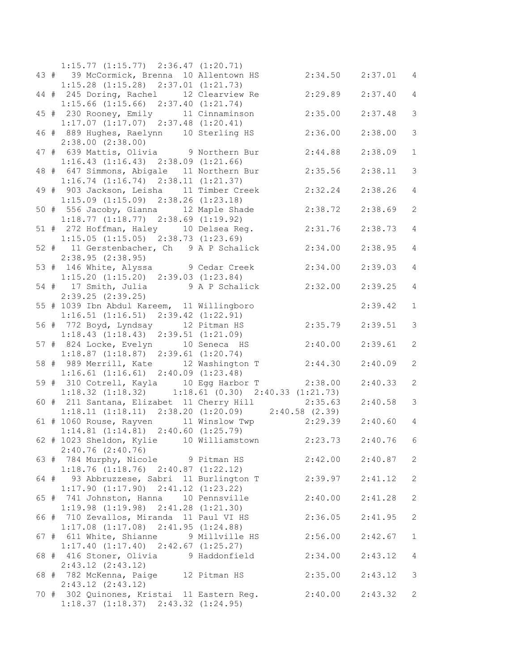|  | $1:15.77$ $(1:15.77)$ $2:36.47$ $(1:20.71)$                                                             |                     |         |                       |
|--|---------------------------------------------------------------------------------------------------------|---------------------|---------|-----------------------|
|  | 43 # 39 McCormick, Brenna 10 Allentown HS                                                               | $2:34.50$ $2:37.01$ |         | $\overline{4}$        |
|  | $1:15.28$ $(1:15.28)$ $2:37.01$ $(1:21.73)$                                                             |                     |         |                       |
|  | 44 # 245 Doring, Rachel 12 Clearview Re                                                                 | 2:29.89             | 2:37.40 | $\overline{4}$        |
|  | $1:15.66$ $(1:15.66)$ $2:37.40$ $(1:21.74)$                                                             |                     |         |                       |
|  | 45 # 230 Rooney, Emily 11 Cinnaminson                                                                   | 2:35.00             | 2:37.48 | $\mathcal{S}$         |
|  | $1:17.07$ $(1:17.07)$ $2:37.48$ $(1:20.41)$                                                             |                     |         |                       |
|  |                                                                                                         |                     |         |                       |
|  | 46 # 889 Hughes, Raelynn 10 Sterling HS                                                                 | 2:36.00             | 2:38.00 | 3                     |
|  | $2:38.00$ $(2:38.00)$                                                                                   |                     |         |                       |
|  | 47 # 639 Mattis, Olivia 9 Northern Bur                                                                  | 2:44.88             | 2:38.09 | $\mathbf{1}$          |
|  | $1:16.43$ $(1:16.43)$ $2:38.09$ $(1:21.66)$                                                             |                     |         |                       |
|  | 48 # 647 Simmons, Abigale 11 Northern Bur                                                               | 2:35.56             | 2:38.11 | $\mathcal{S}$         |
|  | $1:16.74$ $(1:16.74)$ $2:38.11$ $(1:21.37)$                                                             |                     |         |                       |
|  | 49 # 903 Jackson, Leisha 11 Timber Creek                                                                | 2:32.24             | 2:38.26 | $\overline{4}$        |
|  | $1:15.09$ $(1:15.09)$ $2:38.26$ $(1:23.18)$                                                             |                     |         |                       |
|  | 50 # 556 Jacoby, Gianna 12 Maple Shade                                                                  | 2:38.72             | 2:38.69 | $\overline{2}$        |
|  | $1:18.77$ $(1:18.77)$ $2:38.69$ $(1:19.92)$                                                             |                     |         |                       |
|  | 51 # 272 Hoffman, Haley 10 Delsea Reg.                                                                  | 2:31.76             | 2:38.73 | $\overline{4}$        |
|  | $1:15.05$ $(1:15.05)$ $2:38.73$ $(1:23.69)$                                                             |                     |         |                       |
|  |                                                                                                         | 2:34.00             |         | $\overline{4}$        |
|  | 52 # 11 Gerstenbacher, Ch 9 A P Schalick                                                                |                     | 2:38.95 |                       |
|  | 2:38.95(2:38.95)                                                                                        |                     |         |                       |
|  | 53 # 146 White, Alyssa 9 Cedar Creek                                                                    | 2:34.00             | 2:39.03 | $\overline{4}$        |
|  | $1:15.20$ $(1:15.20)$ $2:39.03$ $(1:23.84)$                                                             |                     |         |                       |
|  | 54 # 17 Smith, Julia 9 A P Schalick                                                                     | 2:32.00             | 2:39.25 | $\overline{4}$        |
|  | 2:39.25(2:39.25)                                                                                        |                     |         |                       |
|  | 55 # 1039 Ibn Abdul Kareem, 11 Willingboro                                                              |                     | 2:39.42 | $\mathbf{1}$          |
|  | $1:16.51$ $(1:16.51)$ $2:39.42$ $(1:22.91)$                                                             |                     |         |                       |
|  | 56 # 772 Boyd, Lyndsay 12 Pitman HS                                                                     | 2:35.79             | 2:39.51 | 3                     |
|  | $1:18.43$ $(1:18.43)$ $2:39.51$ $(1:21.09)$                                                             |                     |         |                       |
|  | 57 # 824 Locke, Evelyn 10 Seneca HS 2:40.00                                                             |                     | 2:39.61 | $\overline{2}$        |
|  | $1:18.87$ $(1:18.87)$ $2:39.61$ $(1:20.74)$                                                             |                     |         |                       |
|  | 58 # 989 Merrill, Kate 12 Washington T                                                                  | 2:44.30             | 2:40.09 | $\overline{2}$        |
|  | $1:16.61$ $(1:16.61)$ $2:40.09$ $(1:23.48)$                                                             |                     |         |                       |
|  |                                                                                                         | 2:38.00             |         | $\mathbf{2}^{\prime}$ |
|  | 59 # 310 Cotrell, Kayla 10 Egg Harbor T                                                                 |                     | 2:40.33 |                       |
|  | $1:18.32$ $(1:18.32)$ $1:18.61$ $(0.30)$ $2:40.33$ $(1:21.73)$                                          |                     |         |                       |
|  | 60 # 211 Santana, Elizabet 11 Cherry Hill 2:35.63<br>1:18.11 (1:18.11) 2:38.20 (1:20.09) 2:40.58 (2.39) |                     | 2:40.58 | $\mathcal{S}$         |
|  |                                                                                                         |                     |         |                       |
|  | 61 # 1060 Rouse, Rayven 11 Winslow Twp                                                                  | 2:29.39             | 2:40.60 | $\overline{4}$        |
|  | $1:14.81$ $(1:14.81)$ $2:40.60$ $(1:25.79)$                                                             |                     |         |                       |
|  | $62$ # 1023 Sheldon, Kylie 10 Williamstown                                                              | 2:23.73 2:40.76 6   |         |                       |
|  | $2:40.76$ $(2:40.76)$                                                                                   |                     |         |                       |
|  | 63 # 784 Murphy, Nicole 9 Pitman HS                                                                     | $2:42.00$ $2:40.87$ |         | $\overline{2}$        |
|  | $1:18.76$ $(1:18.76)$ $2:40.87$ $(1:22.12)$                                                             |                     |         |                       |
|  | 64 # 93 Abbruzzese, Sabri 11 Burlington T                                                               | $2:39.97$ $2:41.12$ |         | 2                     |
|  | $1:17.90$ $(1:17.90)$ $2:41.12$ $(1:23.22)$                                                             |                     |         |                       |
|  | 65 # 741 Johnston, Hanna 10 Pennsville                                                                  | 2:40.00             | 2:41.28 | 2                     |
|  | $1:19.98$ $(1:19.98)$ $2:41.28$ $(1:21.30)$                                                             |                     |         |                       |
|  | 66 # 710 Zevallos, Miranda 11 Paul VI HS                                                                | 2:36.05             | 2:41.95 | $\mathbf{2}$          |
|  | $1:17.08$ $(1:17.08)$ $2:41.95$ $(1:24.88)$                                                             |                     |         |                       |
|  | 67 # 611 White, Shianne 9 Millville HS                                                                  | 2:56.00             |         |                       |
|  |                                                                                                         |                     | 2:42.67 | $\mathbf{1}$          |
|  | $1:17.40$ $(1:17.40)$ $2:42.67$ $(1:25.27)$                                                             |                     |         |                       |
|  | 68 # 416 Stoner, Olivia 9 Haddonfield                                                                   | 2:34.00             | 2:43.12 | 4                     |
|  | $2:43.12$ $(2:43.12)$                                                                                   |                     |         |                       |
|  | 68 # 782 McKenna, Paige 12 Pitman HS                                                                    | 2:35.00             | 2:43.12 | $\mathfrak{Z}$        |
|  | $2:43.12$ $(2:43.12)$                                                                                   |                     |         |                       |
|  | 70 # 302 Quinones, Kristai 11 Eastern Reg. 2:40.00                                                      |                     | 2:43.32 | 2                     |
|  | $1:18.37$ $(1:18.37)$ $2:43.32$ $(1:24.95)$                                                             |                     |         |                       |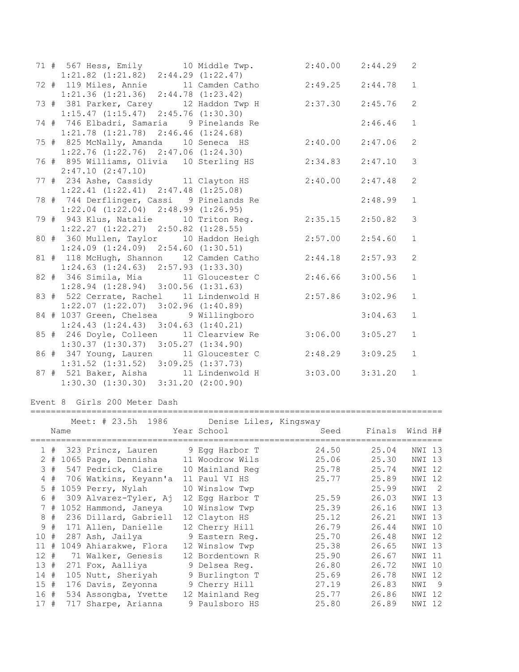|  | 71 # 567 Hess, Emily 10 Middle Twp. 2:40.00 2:44.29   |                     |         | 2              |
|--|-------------------------------------------------------|---------------------|---------|----------------|
|  | $1:21.82$ $(1:21.82)$ $2:44.29$ $(1:22.47)$           |                     |         |                |
|  | 72 # 119 Miles, Annie 11 Camden Catho 2:49.25 2:44.78 |                     |         | $\mathbf{1}$   |
|  | $1:21.36$ $(1:21.36)$ $2:44.78$ $(1:23.42)$           |                     |         |                |
|  | 73 # 381 Parker, Carey 12 Haddon Twp H                | 2:37.30             | 2:45.76 | $\overline{c}$ |
|  | $1:15.47$ $(1:15.47)$ $2:45.76$ $(1:30.30)$           |                     |         |                |
|  | 74 # 746 Elbadri, Samaria 9 Pinelands Re              |                     | 2:46.46 | $\mathbf{1}$   |
|  | $1:21.78$ $(1:21.78)$ $2:46.46$ $(1:24.68)$           |                     |         |                |
|  | 75 # 825 McNally, Amanda 10 Seneca HS                 | 2:40.00             | 2:47.06 | 2              |
|  | $1:22.76$ $(1:22.76)$ $2:47.06$ $(1:24.30)$           |                     |         |                |
|  | 76 # 895 Williams, Olivia 10 Sterling HS 2:34.83      |                     | 2:47.10 | $\mathcal{E}$  |
|  | 2:47.10(2:47.10)                                      |                     |         |                |
|  | 77 # 234 Ashe, Cassidy 11 Clayton HS                  | $2:40.00$ $2:47.48$ |         | 2              |
|  | $1:22.41$ $(1:22.41)$ $2:47.48$ $(1:25.08)$           |                     |         |                |
|  | 78 # 744 Derflinger, Cassi 9 Pinelands Re             |                     | 2:48.99 | $\mathbf{1}$   |
|  | $1:22.04$ $(1:22.04)$ $2:48.99$ $(1:26.95)$           |                     |         |                |
|  | 79 # 943 Klus, Natalie 10 Triton Reg.                 | 2:35.15             | 2:50.82 | $\mathcal{S}$  |
|  | $1:22.27$ $(1:22.27)$ $2:50.82$ $(1:28.55)$           |                     |         |                |
|  | 80 # 360 Mullen, Taylor 10 Haddon Heigh               | 2:57.00             | 2:54.60 | $\mathbf{1}$   |
|  | $1:24.09$ $(1:24.09)$ $2:54.60$ $(1:30.51)$           |                     |         |                |
|  | 81 # 118 McHugh, Shannon 12 Camden Catho              | 2:44.18             | 2:57.93 | 2              |
|  | $1:24.63$ $(1:24.63)$ $2:57.93$ $(1:33.30)$           |                     |         |                |
|  | 82 # 346 Simila, Mia 11 Gloucester C                  | 2:46.66             | 3:00.56 | $\mathbf{1}$   |
|  | $1:28.94$ $(1:28.94)$ $3:00.56$ $(1:31.63)$           |                     |         |                |
|  | 83 # 522 Cerrate, Rachel 11 Lindenwold H              | 2:57.86             | 3:02.96 | $\mathbf{1}$   |
|  | $1:22.07$ $(1:22.07)$ $3:02.96$ $(1:40.89)$           |                     |         |                |
|  | 84 # 1037 Green, Chelsea 9 Willingboro                |                     | 3:04.63 | $\mathbf{1}$   |
|  | $1:24.43$ $(1:24.43)$ $3:04.63$ $(1:40.21)$           |                     |         |                |
|  | 85 # 246 Doyle, Colleen 11 Clearview Re               | 3:06.00             | 3:05.27 | $\mathbf{1}$   |
|  | $1:30.37$ $(1:30.37)$ $3:05.27$ $(1:34.90)$           |                     |         |                |
|  | 86 # 347 Young, Lauren 11 Gloucester C                | 2:48.29             | 3:09.25 | $\mathbf{1}$   |
|  | $1:31.52$ $(1:31.52)$ $3:09.25$ $(1:37.73)$           |                     |         |                |
|  | 87 # 521 Baker, Aisha 11 Lindenwold H                 | $3:03.00$ $3:31.20$ |         | $\mathbf{1}$   |
|  | $1:30.30$ $(1:30.30)$ $3:31.20$ $(2:00.90)$           |                     |         |                |

## Event 8 Girls 200 Meter Dash

|     |       | Name | Meet: # 23.5h 1986 Denise Liles, Kingsway | Year School     | Seed  |       | Finals Wind H#        |
|-----|-------|------|-------------------------------------------|-----------------|-------|-------|-----------------------|
|     |       |      |                                           |                 |       |       |                       |
|     | 1#    |      | 323 Princz, Lauren 9 Egg Harbor T         |                 | 24.50 | 25.04 | NWI 13                |
|     | $2 +$ |      | 1065 Page, Dennisha 11 Woodrow Wils       |                 | 25.06 | 25.30 | NWI 13                |
|     | 3#    |      | 547 Pedrick, Claire 10 Mainland Req       |                 | 25.78 | 25.74 | NWI<br>12             |
| 4   | #     |      | 706 Watkins, Keyann'a                     | 11 Paul VI HS   | 25.77 | 25.89 | NWI 12                |
|     | $5$ # |      | 1059 Perry, Nylah                         | 10 Winslow Twp  |       | 25.99 | NWI<br>$\overline{2}$ |
| 6   | #     |      | 309 Alvarez-Tyler, Aj                     | 12 Eqq Harbor T | 25.59 | 26.03 | NWI 13                |
|     | 7#    |      | 1052 Hammond, Janeya                      | 10 Winslow Twp  | 25.39 | 26.16 | NWI 13                |
| 8   | #     |      | 236 Dillard, Gabriell                     | 12 Clayton HS   | 25.12 | 26.21 | NWI 13                |
| 9   | #     |      | 171 Allen, Danielle                       | 12 Cherry Hill  | 26.79 | 26.44 | NWI 10                |
| 10  | #     |      | 287 Ash, Jailya                           | 9 Eastern Req.  | 25.70 | 26.48 | NWI 12                |
| 11  | #     |      | 1049 Ahiarakwe, Flora                     | 12 Winslow Twp  | 25.38 | 26.65 | NWI 13                |
| 12# |       |      | 71 Walker, Genesis                        | 12 Bordentown R | 25.90 | 26.67 | 11<br>NWI             |
| 13# |       |      | 271 Fox, Aalliya                          | 9 Delsea Req.   | 26.80 | 26.72 | NWI<br>10             |
| 14# |       |      | 105 Nutt, Sheriyah                        | 9 Burlington T  | 25.69 | 26.78 | NWI 12                |
| 15# |       |      | 176 Davis, Zeyonna                        | 9 Cherry Hill   | 27.19 | 26.83 | NWI<br>-9             |
| 16# |       |      | 534 Assongba, Yvette                      | 12 Mainland Req | 25.77 | 26.86 | NWI<br>-12            |
| 17# |       |      | 717 Sharpe, Arianna                       | 9 Paulsboro HS  | 25.80 | 26.89 | NWI<br>12             |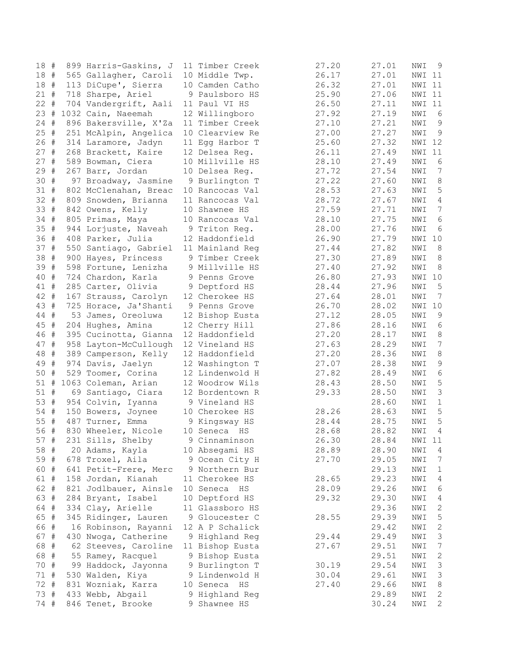| 18 #   |      | 899 Harris-Gaskins, J | 11 Timber Creek | 27.20 | 27.01 | NWI            | 9                |
|--------|------|-----------------------|-----------------|-------|-------|----------------|------------------|
| 18#    |      | 565 Gallagher, Caroli | 10 Middle Twp.  | 26.17 | 27.01 | NWI 11         |                  |
| 18 #   |      | 113 DiCupe', Sierra   | 10 Camden Catho | 26.32 | 27.01 | NWI 11         |                  |
| $21 +$ |      | 718 Sharpe, Ariel     | 9 Paulsboro HS  | 25.90 | 27.06 | NWI 11         |                  |
| 22#    |      | 704 Vandergrift, Aali | 11 Paul VI HS   | 26.50 | 27.11 | NWI 11         |                  |
| 23     | #    | 1032 Cain, Naeemah    | 12 Willingboro  | 27.92 | 27.19 | NWI            | 6                |
| 24     | #    | 896 Bakersville, X'Za | 11 Timber Creek | 27.10 | 27.21 | NWI            | 9                |
| 25     | $\#$ | 251 McAlpin, Angelica | 10 Clearview Re | 27.00 | 27.27 | NWI            | 9                |
| 26     | #    | 314 Laramore, Jadyn   | 11 Egg Harbor T | 25.60 | 27.32 | NWI 12         |                  |
| 27     | #    | 268 Brackett, Kaire   | 12 Delsea Reg.  | 26.11 | 27.49 | NWI 11         |                  |
| 27#    |      | 589 Bowman, Ciera     | 10 Millville HS | 28.10 | 27.49 | NWI            | 6                |
| 29 #   |      | 267 Barr, Jordan      | 10 Delsea Reg.  | 27.72 | 27.54 | NWI            | 7                |
| 30 #   |      | 97 Broadway, Jasmine  | 9 Burlington T  | 27.22 | 27.60 | NWI            | 8                |
| 31#    |      | 802 McClenahan, Breac | 10 Rancocas Val | 28.53 | 27.63 | NWI            | 5                |
| 32 #   |      | 809 Snowden, Brianna  | 11 Rancocas Val | 28.72 | 27.67 | NWI            | 4                |
| 33 #   |      | 842 Owens, Kelly      | 10 Shawnee HS   | 27.59 | 27.71 | NWI            | 7                |
| 34     | #    |                       | 10 Rancocas Val | 28.10 | 27.75 | NWI            | 6                |
| 35     | $\#$ | 805 Primas, Maya      |                 |       |       |                |                  |
|        |      | 944 Lorjuste, Naveah  | 9 Triton Reg.   | 28.00 | 27.76 | NWI            | 6                |
| 36 #   |      | 408 Parker, Julia     | 12 Haddonfield  | 26.90 | 27.79 | NWI 10         |                  |
| 37 #   |      | 550 Santiago, Gabriel | 11 Mainland Reg | 27.44 | 27.82 | NWI            | 8                |
| 38     | #    | 900 Hayes, Princess   | 9 Timber Creek  | 27.30 | 27.89 | NWI            | 8                |
| 39     | #    | 598 Fortune, Lenizha  | 9 Millville HS  | 27.40 | 27.92 | NWI            | 8                |
| 40     | #    | 724 Chardon, Karla    | 9 Penns Grove   | 26.80 | 27.93 | NWI 10         |                  |
| 41 #   |      | 285 Carter, Olivia    | 9 Deptford HS   | 28.44 | 27.96 | NWI            | 5                |
| 42     | #    | 167 Strauss, Carolyn  | 12 Cherokee HS  | 27.64 | 28.01 | NWI            | 7                |
| 43     | $\#$ | 725 Horace, Ja'Shanti | 9 Penns Grove   | 26.70 | 28.02 | NWI 10         |                  |
| 44 #   |      | 53 James, Oreoluwa    | 12 Bishop Eusta | 27.12 | 28.05 | NWI            | 9                |
| 45     | $\#$ | 204 Hughes, Amina     | 12 Cherry Hill  | 27.86 | 28.16 | NWI            | 6                |
| 46 #   |      | 395 Cucinotta, Gianna | 12 Haddonfield  | 27.20 | 28.17 | NWI            | 8                |
| 47 #   |      | 958 Layton-McCullough | 12 Vineland HS  | 27.63 | 28.29 | NWI            | $\boldsymbol{7}$ |
| 48     | $\#$ | 389 Camperson, Kelly  | 12 Haddonfield  | 27.20 | 28.36 | NWI            | 8                |
| 49     | #    | 974 Davis, Jaelyn     | 12 Washington T | 27.07 | 28.38 | NWI            | 9                |
| 50     | #    | 529 Toomer, Corina    | 12 Lindenwold H | 27.82 | 28.49 | NWI            | 6                |
| 51#    |      | 1063 Coleman, Arian   | 12 Woodrow Wils | 28.43 | 28.50 | NWI            | 5                |
| 51 #   |      | 69 Santiago, Ciara    | 12 Bordentown R | 29.33 | 28.50 | NWI            | $\mathsf 3$      |
| 53     | #    | 954 Colvin, Iyanna    | 9 Vineland HS   |       | 28.60 | NWI            | $1\,$            |
| 54 #   |      | 150 Bowers, Joynee    | 10 Cherokee HS  | 28.26 | 28.63 | NWI            | 5                |
| 55 #   |      | 487 Turner, Emma      | 9 Kingsway HS   | 28.44 | 28.75 | NWI            | 5                |
| 56 #   |      | 830 Wheeler, Nicole   | 10 Seneca HS    | 28.68 | 28.82 | NWI            | 4                |
| 57 #   |      | 231 Sills, Shelby     | 9 Cinnaminson   | 26.30 | 28.84 | NWI 11         |                  |
| 58 #   |      | 20 Adams, Kayla       | 10 Absegami HS  | 28.89 | 28.90 | NWI            | 4                |
| 59 #   |      | 678 Troxel, Aila      | 9 Ocean City H  | 27.70 | 29.05 | NWI            | 7                |
| 60 #   |      | 641 Petit-Frere, Merc | 9 Northern Bur  |       | 29.13 | NWI            | 1                |
| 61     | #    | 158 Jordan, Kianah    | 11 Cherokee HS  | 28.65 | 29.23 | $\texttt{NWI}$ | 4                |
| 62     | #    | 821 Jodlbauer, Ainsle | 10 Seneca HS    | 28.09 | 29.26 | NWI            | 6                |
| 63 #   |      | 284 Bryant, Isabel    | 10 Deptford HS  | 29.32 | 29.30 | NWI            | 4                |
| 64 #   |      | 334 Clay, Arielle     | 11 Glassboro HS |       | 29.36 | NWI            | 2                |
| 65 #   |      | 345 Ridinger, Lauren  | 9 Gloucester C  | 28.55 | 29.39 | NWI            | 5                |
| 66 #   |      | 16 Robinson, Rayanni  | 12 A P Schalick |       | 29.42 | NWI            | 2                |
| 67 #   |      | 430 Nwoga, Catherine  | 9 Highland Reg  | 29.44 | 29.49 | NWI            | 3                |
| 68 #   |      | 62 Steeves, Caroline  | 11 Bishop Eusta | 27.67 | 29.51 | NWI            | 7                |
| 68 #   |      | 55 Ramey, Racquel     | 9 Bishop Eusta  |       | 29.51 | NWI            | 2                |
| 70     | $\#$ | 99 Haddock, Jayonna   | 9 Burlington T  | 30.19 | 29.54 | NWI            | 3                |
| 71     | #    | 530 Walden, Kiya      | 9 Lindenwold H  | 30.04 | 29.61 | NWI            | 3                |
| 72 #   |      | 831 Wozniak, Karra    | 10 Seneca HS    | 27.40 | 29.66 | NWI            | 8                |
| 73 #   |      | 433 Webb, Abgail      | 9 Highland Reg  |       | 29.89 | NWI            | 2                |
| 74 #   |      | 846 Tenet, Brooke     | 9 Shawnee HS    |       | 30.24 | NWI            | 2                |
|        |      |                       |                 |       |       |                |                  |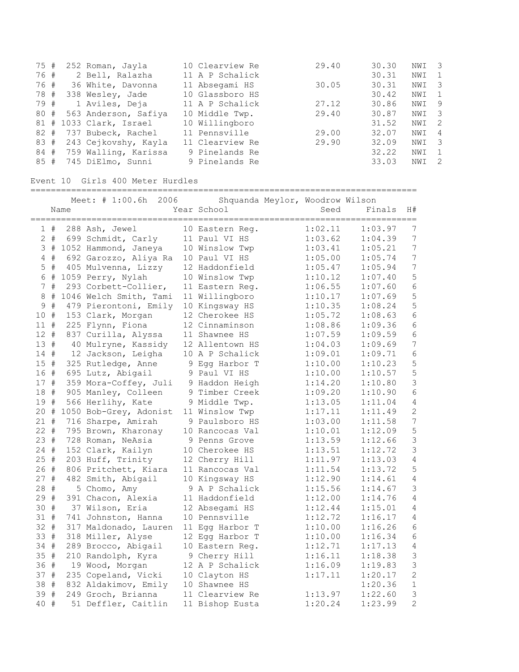| 75#  |  | 252 Roman, Jayla        | 10 Clearview Re | 29.40 | 30.30 | NWI 3 |                |
|------|--|-------------------------|-----------------|-------|-------|-------|----------------|
| 76 # |  | 2 Bell, Ralazha         | 11 A P Schalick |       | 30.31 | NWI   |                |
| 76 # |  | 36 White, Davonna       | 11 Absegami HS  | 30.05 | 30.31 | NWI   | -3             |
| 78 # |  | 338 Wesley, Jade        | 10 Glassboro HS |       | 30.42 | NWI   |                |
| 79#  |  | 1 Aviles, Deja          | 11 A P Schalick | 27.12 | 30.86 | NWI   | -9             |
| 80 # |  | 563 Anderson, Safiya    | 10 Middle Twp.  | 29.40 | 30.87 | NWI   | -3             |
|      |  | 81 # 1033 Clark, Israel | 10 Willingboro  |       | 31.52 | NWI   | -2             |
|      |  | 82 # 737 Bubeck, Rachel | 11 Pennsville   | 29.00 | 32.07 | NWI   | 4              |
| 83 # |  | 243 Cejkovshy, Kayla    | 11 Clearview Re | 29.90 | 32.09 | NWI   | -3             |
| 84 # |  | 759 Walling, Karissa    | 9 Pinelands Re  |       | 32.22 | NWI   | $\overline{1}$ |
|      |  | 85 # 745 DiElmo, Sunni  | 9 Pinelands Re  |       | 33.03 | NWI   | -2             |

Event 10 Girls 400 Meter Hurdles

============================================================================

|        |       |      | Meet: # 1:00.6h<br>2006    | Shquanda Meylor, Woodrow Wilson |         |         |                  |
|--------|-------|------|----------------------------|---------------------------------|---------|---------|------------------|
|        |       | Name |                            | Year School                     | Seed    | Finals  | H#               |
|        |       |      |                            |                                 |         |         |                  |
|        | 1#    |      | 288 Ash, Jewel             | 10 Eastern Reg.                 | 1:02.11 | 1:03.97 | 7                |
|        |       |      | 2 # 699 Schmidt, Carly     | 11 Paul VI HS                   | 1:03.62 | 1:04.39 | $\overline{7}$   |
|        |       |      | 3 # 1052 Hammond, Janeya   | 10 Winslow Twp                  | 1:03.41 | 1:05.21 | 7                |
|        | 4#    |      | 692 Garozzo, Aliya Ra      | 10 Paul VI HS                   | 1:05.00 | 1:05.74 | $\boldsymbol{7}$ |
|        | $5$ # |      | 405 Mulvenna, Lizzy        | 12 Haddonfield                  | 1:05.47 | 1:05.94 | $\overline{7}$   |
|        |       |      | 6 # 1059 Perry, Nylah      | 10 Winslow Twp                  | 1:10.12 | 1:07.40 | 5                |
|        | 7#    |      | 293 Corbett-Collier,       | 11 Eastern Req.                 | 1:06.55 | 1:07.60 | $\sqrt{6}$       |
|        |       |      | 8 # 1046 Welch Smith, Tami | 11 Willingboro                  | 1:10.17 | 1:07.69 | 5                |
| 9      | #     |      | 479 Pierontoni, Emily      | 10 Kingsway HS                  | 1:10.35 | 1:08.24 | 5                |
| 10 #   |       |      | 153 Clark, Morgan          | 12 Cherokee HS                  | 1:05.72 | 1:08.63 | $\sqrt{6}$       |
| 11#    |       |      | 225 Flynn, Fiona           | 12 Cinnaminson                  | 1:08.86 | 1:09.36 | $\epsilon$       |
| 12#    |       |      | 837 Curilla, Alyssa        | 11 Shawnee HS                   | 1:07.59 | 1:09.59 | 6                |
| 13#    |       |      | 40 Mulryne, Kassidy        | 12 Allentown HS                 | 1:04.03 | 1:09.69 | $\boldsymbol{7}$ |
| $14 +$ |       |      | 12 Jackson, Leigha         | 10 A P Schalick                 | 1:09.01 | 1:09.71 | $\sqrt{6}$       |
| 15#    |       |      | 325 Rutledge, Anne         | 9 Egg Harbor T                  | 1:10.00 | 1:10.23 | 5                |
| 16 #   |       |      | 695 Lutz, Abigail          | 9 Paul VI HS                    | 1:10.00 | 1:10.57 | 5                |
| 17#    |       |      | 359 Mora-Coffey, Juli      | 9 Haddon Heigh                  | 1:14.20 | 1:10.80 | 3                |
| 18 #   |       |      | 905 Manley, Colleen        | 9 Timber Creek                  | 1:09.20 | 1:10.90 | $\epsilon$       |
| 19#    |       |      | 566 Herlihy, Kate          | 9 Middle Twp.                   | 1:13.05 | 1:11.04 | $\sqrt{4}$       |
| $20 +$ |       |      | 1050 Bob-Grey, Adonist     | 11 Winslow Twp                  | 1:17.11 | 1:11.49 | $\mathbf{2}$     |
| 21#    |       |      | 716 Sharpe, Amirah         | 9 Paulsboro HS                  | 1:03.00 | 1:11.58 | $\overline{7}$   |
| $22 +$ |       |      | 795 Brown, Kharonay        | 10 Rancocas Val                 | 1:10.01 | 1:12.09 | 5                |
| 23#    |       |      | 728 Roman, NeAsia          | 9 Penns Grove                   | 1:13.59 | 1:12.66 | 3                |
| $24 +$ |       |      | 152 Clark, Kailyn          | 10 Cherokee HS                  | 1:13.51 | 1:12.72 | $\mathfrak{Z}$   |
| 25 #   |       |      | 203 Huff, Trinity          | 12 Cherry Hill                  | 1:11.97 | 1:13.03 | $\sqrt{4}$       |
| 26 #   |       |      | 806 Pritchett, Kiara       | 11 Rancocas Val                 | 1:11.54 | 1:13.72 | 5                |
| 27#    |       |      | 482 Smith, Abigail         | 10 Kingsway HS                  | 1:12.90 | 1:14.61 | $\sqrt{4}$       |
| 28#    |       |      | 5 Chomo, Amy               | 9 A P Schalick                  | 1:15.56 | 1:14.67 | $\mathfrak{Z}$   |
| 29 #   |       |      | 391 Chacon, Alexia         | 11 Haddonfield                  | 1:12.00 | 1:14.76 | $\sqrt{4}$       |
| 30 #   |       |      | 37 Wilson, Eria            | 12 Absegami HS                  | 1:12.44 | 1:15.01 | 4                |
| 31#    |       |      | 741 Johnston, Hanna        | 10 Pennsville                   | 1:12.72 | 1:16.17 | 4                |
| 32 #   |       |      | 317 Maldonado, Lauren      | 11 Egg Harbor T                 | 1:10.00 | 1:16.26 | $\epsilon$       |
| 33 #   |       |      | 318 Miller, Alyse          | 12 Egg Harbor T                 | 1:10.00 | 1:16.34 | $\epsilon$       |
| 34 #   |       |      | 289 Brocco, Abigail        | 10 Eastern Reg.                 | 1:12.71 | 1:17.13 | $\sqrt{4}$       |
| 35#    |       |      | 210 Randolph, Kyra         | 9 Cherry Hill                   | 1:16.11 | 1:18.38 | $\mathfrak{Z}$   |
| 36 #   |       |      | 19 Wood, Morgan            | 12 A P Schalick                 | 1:16.09 | 1:19.83 | $\mathfrak{Z}$   |
| 37#    |       |      | 235 Copeland, Vicki        | 10 Clayton HS                   | 1:17.11 | 1:20.17 | $\overline{c}$   |
| 38 #   |       |      | 832 Aldakimov, Emily       | 10 Shawnee HS                   |         | 1:20.36 | $\mathbf 1$      |
| 39 #   |       |      | 249 Groch, Brianna         | 11 Clearview Re                 | 1:13.97 | 1:22.60 | 3                |
| 40 #   |       |      | 51 Deffler, Caitlin        | 11 Bishop Eusta                 | 1:20.24 | 1:23.99 | $\overline{c}$   |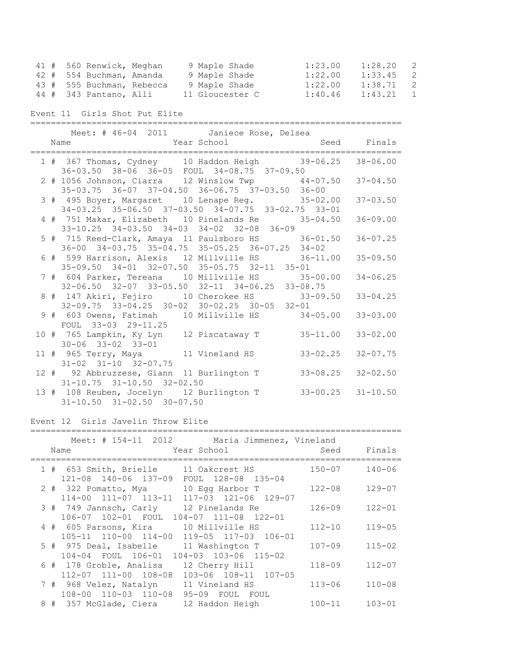| 41 # 560 Renwick, Meghan  | 9 Maple Shade   | 1:23.00 | 1:28.20<br>$\overline{\phantom{0}}$ 2 |   |
|---------------------------|-----------------|---------|---------------------------------------|---|
| 42 # 554 Buchman, Amanda  | 9 Maple Shade   | 1:22.00 | $1:33.45$ 2                           |   |
| 43 # 555 Buchman, Rebecca | 9 Maple Shade   | 1:22.00 | 1:38.71 2                             |   |
| 44 # 343 Pantano, Alli    | 11 Gloucester C | 1:40.46 | 1:43.21                               | 1 |

Event 11 Girls Shot Put Elite

|  | Meet: # 46-04 2011 Janiece Rose, Delsea                     |                           |
|--|-------------------------------------------------------------|---------------------------|
|  | Name Year School Seed Finals                                |                           |
|  |                                                             |                           |
|  | 1 # 367 Thomas, Cydney 10 Haddon Heigh 39-06.25 38-06.00    |                           |
|  | $36-03.50$ $38-06$ $36-05$ FOUL $34-08.75$ $37-09.50$       |                           |
|  | 2 # 1056 Johnson, Ciarra 12 Winslow Twp 44-07.50 37-04.50   |                           |
|  | 35-03.75 36-07 37-04.50 36-06.75 37-03.50 36-00             |                           |
|  | 3 # 495 Boyer, Margaret 10 Lenape Reg. 35-02.00             | $37 - 03.50$              |
|  | 34-03.25 35-06.50 37-03.50 34-07.75 33-02.75 33-01          |                           |
|  | 4 # 751 Makar, Elizabeth 10 Pinelands Re 35-04.50           | $36 - 09.00$              |
|  | 33-10.25 34-03.50 34-03 34-02 32-08 36-09                   |                           |
|  | 5 # 715 Reed-Clark, Amaya 11 Paulsboro HS 36-01.50 36-07.25 |                           |
|  | 36-00 34-03.75 35-04.75 35-05.25 36-07.25 34-02             |                           |
|  | 6 # 599 Harrison, Alexis 12 Millville HS 36-11.00           | $35 - 09.50$              |
|  | 35-09.50 34-01 32-07.50 35-05.75 32-11 35-01                |                           |
|  | 7 # 604 Parker, Tereana 10 Millville HS 35-00.00            | $34 - 06.25$              |
|  | 32-06.50 32-07 33-05.50 32-11 34-06.25 33-08.75             |                           |
|  | 8 # 147 Akiri, Fejiro 10 Cherokee HS 33-09.50               | $33 - 04.25$              |
|  | 32-09.75 33-04.25 30-02 30-02.25 30-05 32-01                |                           |
|  | 9 # 603 Owens, Fatimah 10 Millville HS                      | $34 - 05.00$ $33 - 03.00$ |
|  | FOUL 33-03 29-11.25                                         |                           |
|  | 10 # 765 Lampkin, Ky Lyn 12 Piscataway T<br>$35 - 11.00$    | $33 - 02.00$              |
|  | $30 - 06$ $33 - 02$ $33 - 01$                               |                           |
|  | 11 # 965 Terry, Maya 11 Vineland HS                         | $33 - 02.25$ $32 - 07.75$ |
|  | $31-02$ $31-10$ $32-07.75$                                  |                           |
|  | 12 # 92 Abbruzzese, Giann 11 Burlington T                   | $33 - 08.25$ $32 - 02.50$ |
|  | $31-10.75$ $31-10.50$ $32-02.50$                            |                           |
|  | 13 # 108 Reuben, Jocelyn 12 Burlington T                    | $33 - 00.25$ $31 - 10.50$ |
|  | $31 - 10.50$ $31 - 02.50$ $30 - 07.50$                      |                           |

## Event 12 Girls Javelin Throw Elite

#### =========================================================================

|  |      | Meet: # 154-11 2012                            | Maria Jimmenez, Vineland                                                          |             |            |
|--|------|------------------------------------------------|-----------------------------------------------------------------------------------|-------------|------------|
|  | Name |                                                | Year School                                                                       | Seed Finals |            |
|  |      | 1 # 653 Smith, Brielle                         | 11 Oakcrest HS                                                                    | $150 - 07$  | $140 - 06$ |
|  |      | $121 - 08$ $140 - 06$ $137 - 09$               | FOUL 128-08 135-04<br>2 # 322 Pomatto, Mya 10 Egg Harbor T                        | $122 - 08$  | $129 - 07$ |
|  |      | 114-00 111-07 113-11                           | 117-03 121-06 129-07                                                              |             |            |
|  |      |                                                | 3 # 749 Jannsch, Carly 12 Pinelands Re<br>106-07 102-01 FOUL 104-07 111-08 122-01 | 126-09      | $122 - 01$ |
|  |      |                                                | 4 # 605 Parsons, Kira 10 Millville HS                                             | $112 - 10$  | $119 - 05$ |
|  |      |                                                | 105-11 110-00 114-00 119-05 117-03 106-01                                         |             |            |
|  |      | 5 # 975 Deal, Isabelle                         | 11 Washington T<br>104-04 FOUL 106-01 104-03 103-06 115-02                        | $107 - 09$  | $115 - 02$ |
|  |      |                                                | 6 # 178 Groble, Analisa 12 Cherry Hill                                            | $118 - 09$  | $112 - 07$ |
|  |      | $112 - 07$ $111 - 00$ $108 - 08$               | 103-06 108-11 107-05                                                              |             |            |
|  |      | 7 # 968 Velez, Natalyn<br>108-00 110-03 110-08 | 11 Vineland HS<br>95-09 FOUL FOUL                                                 | $113 - 06$  | $110 - 08$ |
|  |      | 8 # 357 McGlade, Ciera                         | 12 Haddon Heigh                                                                   | $100 - 11$  | $103 - 01$ |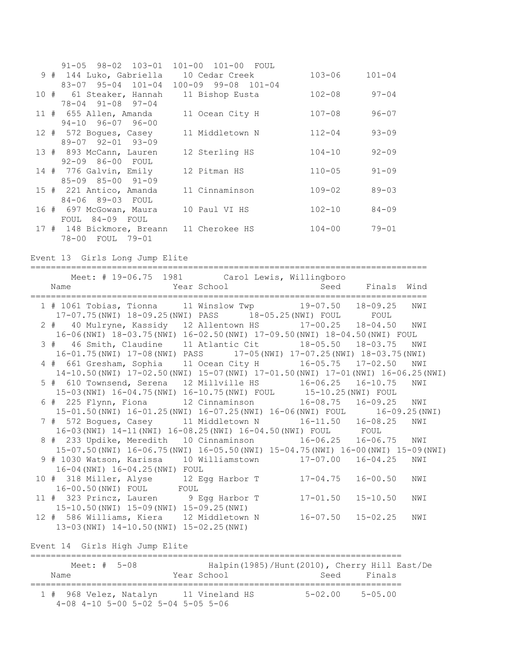|  | $91 - 05$ $98 - 02$ $103 - 01$ | 101-00 101-00 FOUL  |            |            |
|--|--------------------------------|---------------------|------------|------------|
|  | 9 # 144 Luko, Gabriella        | 10 Cedar Creek      | 103-06     | $101 - 04$ |
|  | $83 - 07$ $95 - 04$ $101 - 04$ | 100-09 99-08 101-04 |            |            |
|  | 10 # 61 Steaker, Hannah        | 11 Bishop Eusta     | $102 - 08$ | $97 - 04$  |
|  | $78 - 04$ $91 - 08$ $97 - 04$  |                     |            |            |
|  | 11 # 655 Allen, Amanda         | 11 Ocean City H     | $107 - 08$ | $96 - 07$  |
|  | $94-10$ $96-07$ $96-00$        |                     |            |            |
|  | 12 # 572 Boques, Casey         | 11 Middletown N     | $112 - 04$ | $93 - 09$  |
|  | 89-07 92-01 93-09              |                     |            |            |
|  | 13 # 893 McCann, Lauren        | 12 Sterling HS      | $104 - 10$ | $92 - 09$  |
|  | 92-09 86-00 FOUL               |                     |            |            |
|  | 14 # 776 Galvin, Emily         | 12 Pitman HS        | $110 - 05$ | $91 - 09$  |
|  | $85 - 09$ $85 - 00$ $91 - 09$  |                     |            |            |
|  | 15 # 221 Antico, Amanda        | 11 Cinnaminson      | $109 - 02$ | $89 - 03$  |
|  | 84-06 89-03 FOUL               |                     |            |            |
|  | 16 # 697 McGowan, Maura        | 10 Paul VI HS       | $102 - 10$ | $84 - 09$  |
|  | FOUL 84-09 FOUL                |                     |            |            |
|  | 17 # 148 Bickmore, Breann      | 11 Cherokee HS      | $104 - 00$ | $79 - 01$  |
|  | 78-00 FOUL 79-01               |                     |            |            |

Event 13 Girls Long Jump Elite

============================================================================== Meet: # 19-06.75 1981 Carol Lewis, Willingboro Name Year School Seed Finals Wind ============================================================================== 1 # 1061 Tobias, Tionna 11 Winslow Twp 19-07.50 18-09.25 NWI 17-07.75(NWI) 18-09.25(NWI) PASS 18-05.25(NWI) FOUL FOUL 2 # 40 Mulryne, Kassidy 12 Allentown HS 17-00.25 18-04.50 NWI 16-06(NWI) 18-03.75(NWI) 16-02.50(NWI) 17-09.50(NWI) 18-04.50(NWI) FOUL 3 # 46 Smith, Claudine 11 Atlantic Cit 18-05.50 18-03.75 NWI 16-01.75(NWI) 17-08(NWI) PASS 17-05(NWI) 17-07.25(NWI) 18-03.75(NWI) 4 # 661 Gresham, Sophia 11 Ocean City H 16-05.75 17-02.50 NWI 14-10.50(NWI) 17-02.50(NWI) 15-07(NWI) 17-01.50(NWI) 17-01(NWI) 16-06.25(NWI) 5 # 610 Townsend, Serena 12 Millville HS 16-06.25 16-10.75 NWI 15-03(NWI) 16-04.75(NWI) 16-10.75(NWI) FOUL 15-10.25(NWI) FOUL 6 # 225 Flynn, Fiona 12 Cinnaminson 16-08.75 16-09.25 NWI 15-01.50(NWI) 16-01.25(NWI) 16-07.25(NWI) 16-06(NWI) FOUL 16-09.25(NWI) 7 # 572 Bogues, Casey 11 Middletown N 16-11.50 16-08.25 NWI 16-03(NWI) 14-11(NWI) 16-08.25(NWI) 16-04.50(NWI) FOUL FOUL 8 # 233 Updike, Meredith 10 Cinnaminson 16-06.25 16-06.75 NWI 15-07.50(NWI) 16-06.75(NWI) 16-05.50(NWI) 15-04.75(NWI) 16-00(NWI) 15-09(NWI) 9 # 1030 Watson, Karissa 10 Williamstown 17-07.00 16-04.25 NWI 16-04(NWI) 16-04.25(NWI) FOUL 10 # 318 Miller, Alyse 12 Egg Harbor T 17-04.75 16-00.50 NWI 16-00.50(NWI) FOUL FOUL 11 # 323 Princz, Lauren 9 Egg Harbor T 17-01.50 15-10.50 NWI 15-10.50(NWI) 15-09(NWI) 15-09.25(NWI) 12 # 586 Williams, Kiera 12 Middletown N 16-07.50 15-02.25 NWI 13-03(NWI) 14-10.50(NWI) 15-02.25(NWI) Event 14 Girls High Jump Elite ========================================================================= Meet: # 5-08 Halpin(1985)/Hunt(2010), Cherry Hill East/De Name Year School Seed Finals =========================================================================

 1 # 968 Velez, Natalyn 11 Vineland HS 5-02.00 5-05.00 4-08 4-10 5-00 5-02 5-04 5-05 5-06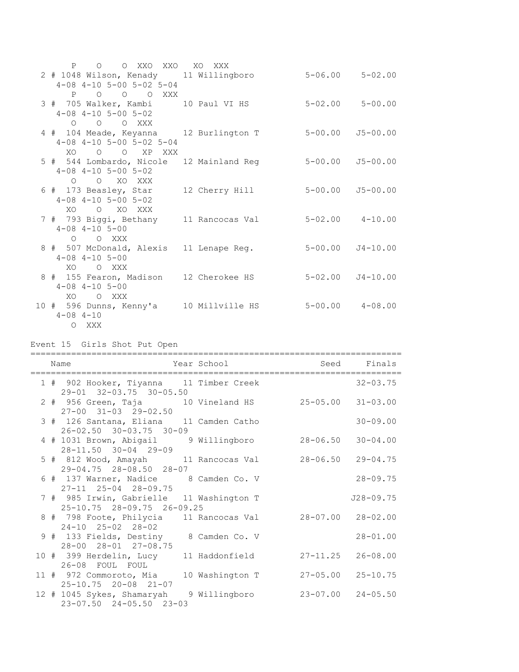| P O O XXO XXO XO XXX                                                                              |             |                         |                          |
|---------------------------------------------------------------------------------------------------|-------------|-------------------------|--------------------------|
| 2 # 1048 Wilson, Kenady 11 Willingboro 5-06.00 5-02.00<br>$4-08$ $4-10$ $5-00$ $5-02$ $5-04$      |             |                         |                          |
| P O O O XXX<br>3 # 705 Walker, Kambi 10 Paul VI HS<br>$4 - 08$ $4 - 10$ $5 - 00$ $5 - 02$         |             | $5 - 02.00$ $5 - 00.00$ |                          |
| O O O XXX<br>4 # 104 Meade, Keyanna 12 Burlington T 5-00.00<br>$4-08$ $4-10$ $5-00$ $5-02$ $5-04$ |             |                         | $J5 - 00.00$             |
| XO O O XP XXX<br>5 # 544 Lombardo, Nicole 12 Mainland Reg<br>$4-08$ $4-10$ $5-00$ $5-02$          |             | $5 - 00.00$             | $J5 - 00.00$             |
| O O XO XXX<br>6 # 173 Beasley, Star 12 Cherry Hill<br>$4-08$ $4-10$ $5-00$ $5-02$<br>XO O XO XXX  |             |                         | $5 - 00.00$ $J5 - 00.00$ |
| 7 # 793 Biggi, Bethany 11 Rancocas Val 5-02.00 4-10.00<br>$4 - 08$ $4 - 10$ $5 - 00$<br>O O XXX   |             |                         |                          |
| 8 # 507 McDonald, Alexis 11 Lenape Req. 5-00.00 J4-10.00<br>$4 - 08$ $4 - 10$ $5 - 00$<br>XO OXXX |             |                         |                          |
| 8 # 155 Fearon, Madison 12 Cherokee HS 5-02.00 J4-10.00<br>$4 - 08$ $4 - 10$ $5 - 00$             |             |                         |                          |
| XO OXXX<br>10 # 596 Dunns, Kenny'a 10 Millville HS 5-00.00 4-08.00<br>$4 - 08$ $4 - 10$           |             |                         |                          |
|                                                                                                   |             |                         |                          |
| O XXX<br>Event 15 Girls Shot Put Open                                                             |             |                         |                          |
| Name                                                                                              | Year School | Seed                    | Finals                   |
| 1 # 902 Hooker, Tiyanna 11 Timber Creek                                                           |             |                         | $32 - 03.75$             |
| 29-01 32-03.75 30-05.50<br>2 # 956 Green, Taja 10 Vineland HS 25-05.00 31-03.00                   |             |                         |                          |
| $27-00$ $31-03$ $29-02.50$<br>3 # 126 Santana, Eliana 11 Camden Catho                             |             |                         | $30 - 09.00$             |
| $26 - 02.50$ $30 - 03.75$ $30 - 09$<br>4 # 1031 Brown, Abigail 9 Willingboro 28-06.50 30-04.00    |             |                         |                          |
| 28-11.50 30-04 29-09<br>5 # 812 Wood, Amayah 11 Rancocas Val 28-06.50 29-04.75                    |             |                         |                          |
| 29-04.75 28-08.50 28-07<br>6 # 137 Warner, Nadice 8 Camden Co. V                                  |             |                         | $28 - 09.75$             |
| 27-11 25-04 28-09.75<br>7 # 985 Irwin, Gabrielle 11 Washington T                                  |             |                         | $J28 - 09.75$            |
| 25-10.75 28-09.75 26-09.25<br>8 # 798 Foote, Philycia 11 Rancocas Val 28-07.00 28-02.00           |             |                         |                          |
| 24-10 25-02 28-02<br>9 # 133 Fields, Destiny 8 Camden Co. V                                       |             |                         | $28 - 01.00$             |
| 28-00 28-01 27-08.75<br>10 # 399 Herdelin, Lucy 11 Haddonfield<br>26-08 FOUL FOUL                 |             | $27 - 11.25$            | $26 - 08.00$             |

12 # 1045 Sykes, Shamaryah 9 Willingboro 23-07.00 24-05.50 23-07.50 24-05.50 23-03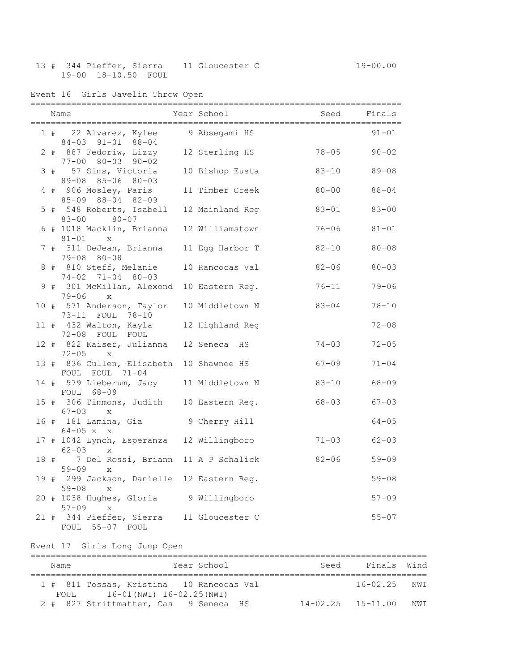## 13 # 344 Pieffer, Sierra 11 Gloucester C 19-00.00 19-00 18-10.50 FOUL

Event 16 Girls Javelin Throw Open

|  | Name                                                                                                   | <b>Example 2</b> Year School Controller Seed Finals |                        |                        |
|--|--------------------------------------------------------------------------------------------------------|-----------------------------------------------------|------------------------|------------------------|
|  | 1 # 22 Alvarez, Kylee 9 Absegami HS<br>84-03 91-01 88-04                                               |                                                     |                        | $91 - 01$              |
|  | 2 # 887 Fedoriw, Lizzy 12 Sterling HS 78-05<br>77-00 80-03 90-02                                       |                                                     |                        | $90 - 02$              |
|  | 3 # 57 Sims, Victoria 10 Bishop Eusta<br>89-08 85-06 80-03                                             |                                                     | $83 - 10$              | $89 - 08$              |
|  | 4 # 906 Mosley, Paris<br>85-09 88-04 82-09                                                             | 11 Timber Creek                                     | $80 - 00$              | $88 - 04$              |
|  | 5 # 548 Roberts, Isabell 12 Mainland Reg<br>83-00 80-07                                                |                                                     | $83 - 01$              | $83 - 00$              |
|  | 6 # 1018 Macklin, Brianna 12 Williamstown<br>$81 - 01$ x                                               |                                                     | $76 - 06$              | $81 - 01$              |
|  | 7 # 311 DeJean, Brianna 11 Egg Harbor T<br>79-08 80-08                                                 |                                                     | $82 - 10$              | $80 - 08$              |
|  | 8 # 810 Steff, Melanie<br>$74-02$ $71-04$ $80-03$                                                      | 10 Rancocas Val                                     | $82 - 06$              | $80 - 03$              |
|  | 9 # 301 McMillan, Alexond 10 Eastern Reg.<br>$79 - 06$ x                                               |                                                     | $76 - 11$              | $79 - 06$              |
|  | 10 # 571 Anderson, Taylor 10 Middletown N 83-04<br>73-11 FOUL 78-10                                    |                                                     |                        | $78 - 10$              |
|  | 11 # 432 Walton, Kayla 12 Highland Reg<br>72-08 FOUL FOUL                                              |                                                     |                        | $72 - 08$              |
|  | 12 # 822 Kaiser, Julianna 12 Seneca HS<br>$72 - 05$ x                                                  |                                                     | $74 - 03$              | $72 - 05$              |
|  | 13 # 836 Cullen, Elisabeth 10 Shawnee HS<br>FOUL FOUL 71-04<br>14 # 579 Lieberum, Jacy 11 Middletown N |                                                     | $67 - 09$              | $71 - 04$              |
|  | FOUL 68-09                                                                                             |                                                     | $83 - 10$<br>$68 - 03$ | $68 - 09$              |
|  | 15 # 306 Timmons, Judith 10 Eastern Reg.<br>$67 - 03$ x                                                |                                                     |                        | $67 - 03$<br>$64 - 05$ |
|  | 16 # 181 Lamina, Gia 9 Cherry Hill<br>$64 - 05$ x x<br>17 # 1042 Lynch, Esperanza 12 Willingboro       |                                                     | $71 - 03$              | $62 - 03$              |
|  | $62 - 03$ x<br>18 # 7 Del Rossi, Briann 11 A P Schalick                                                |                                                     | $82 - 06$              | $59 - 09$              |
|  | $59 - 09$<br>$\mathbf{x}$<br>19 # 299 Jackson, Danielle 12 Eastern Reg.                                |                                                     |                        | $59 - 08$              |
|  | $59 - 08$<br>$\mathbf{X}$<br>20 # 1038 Hughes, Gloria 9 Willingboro                                    |                                                     |                        | $57 - 09$              |
|  | $57 - 09$<br>$\mathbf{x}$<br>21 # 344 Pieffer, Sierra 11 Gloucester C                                  |                                                     |                        | $55 - 07$              |
|  | FOUL 55-07 FOUL                                                                                        |                                                     |                        |                        |
|  | Event 17 Girls Long Jump Open                                                                          |                                                     |                        |                        |
|  | Name                                                                                                   | Year School                                         | Seed                   | Finals<br>Wind         |

============================================================================== 1 # 811 Tossas, Kristina 10 Rancocas Val 16-02.25 NWI

2 # 827 Strittmatter, Cas 9 Seneca HS 14-02.25 15-11.00 NWI

FOUL 16-01(NWI) 16-02.25(NWI)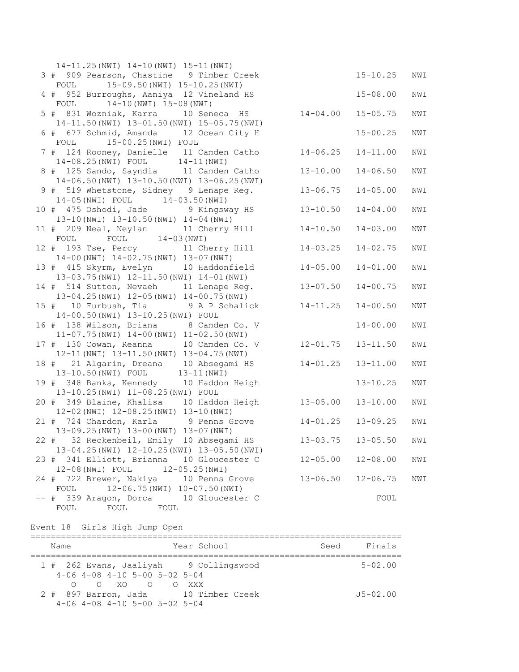| $14-11.25$ (NWI) $14-10$ (NWI) $15-11$ (NWI)      |                         |              |     |
|---------------------------------------------------|-------------------------|--------------|-----|
| 3 # 909 Pearson, Chastine 9 Timber Creek          |                         | $15 - 10.25$ | NWI |
| 15-09.50 (NWI) 15-10.25 (NWI)<br>FOUL             |                         |              |     |
| 4 # 952 Burroughs, Aaniya 12 Vineland HS          |                         | $15 - 08.00$ | NWI |
| $14-10$ (NWI) $15-08$ (NWI)<br>FOUL               |                         |              |     |
| 5 # 831 Wozniak, Karra 10 Seneca HS               | $14 - 04.00$            | $15 - 05.75$ | NWI |
| 14-11.50 (NWI) 13-01.50 (NWI) 15-05.75 (NWI)      |                         |              |     |
| 6 # 677 Schmid, Amanda 12 Ocean City H            |                         | $15 - 00.25$ | NWI |
| FOUL 15-00.25 (NWI) FOUL                          |                         |              |     |
| 7 # 124 Rooney, Danielle 11 Camden Catho          | $14 - 06.25$            | $14 - 11.00$ | NWI |
| 14-08.25 (NWI) FOUL 14-11 (NWI)                   |                         |              |     |
| 8 # 125 Sando, Sayndia 11 Camden Catho            | $13 - 10.00$            | $14 - 06.50$ | NWI |
| 14-06.50(NWI) 13-10.50(NWI) 13-06.25(NWI)         |                         |              |     |
| 9 # 519 Whetstone, Sidney 9 Lenape Reg.           | $13 - 06.75$            | $14 - 05.00$ | NWI |
| 14-05(NWI) FOUL 14-03.50(NWI)                     |                         |              |     |
| 10 # 475 Oshodi, Jade 9 Kingsway HS               | $13 - 10.50$            | $14 - 04.00$ | NWI |
| 13-10 (NWI) 13-10.50 (NWI) 14-04 (NWI)            |                         |              |     |
| 11 # 209 Neal, Neylan 11 Cherry Hill              | $14 - 10.50$            | $14 - 03.00$ | NWI |
| $FOUL$ $14-03 (NWI)$<br>FOUL                      |                         |              |     |
| 12 # 193 Tse, Percy 11 Cherry Hill                | $14 - 03.25$            | $14 - 02.75$ | NWI |
| 14-00 (NWI) 14-02.75 (NWI) 13-07 (NWI)            |                         |              |     |
| 13 # 415 Skyrm, Evelyn 10 Haddonfield             | $14 - 05.00$            | $14 - 01.00$ | NWI |
| 13-03.75 (NWI) 12-11.50 (NWI) 14-01 (NWI)         |                         |              |     |
| 14 # 514 Sutton, Nevaeh 11 Lenape Reg.            | $13 - 07.50$            | $14 - 00.75$ | NWI |
| 13-04.25(NWI) 12-05(NWI) 14-00.75(NWI)            |                         |              |     |
| 15 # 10 Furbush, Tia 9 A P Schalick               | $14 - 11.25$            | $14 - 00.50$ | NWI |
| 14-00.50(NWI) 13-10.25(NWI) FOUL                  |                         |              |     |
| 16 # 138 Wilson, Briana 8 Camden Co. V            |                         | $14 - 00.00$ | NWI |
| $11-07.75$ (NWI) $14-00$ (NWI) $11-02.50$ (NWI)   |                         |              |     |
| 17 # 130 Cowan, Reanna 10 Camden Co. V            | $12 - 01.75$            | $13 - 11.50$ | NWI |
| 12-11 (NWI) 13-11.50 (NWI) 13-04.75 (NWI)         |                         |              |     |
| 18 # 21 Algarin, Dreana 10 Absegami HS            | $14 - 01.25$            | $13 - 11.00$ | NWI |
| 13-10.50(NWI) FOUL 13-11(NWI)                     |                         |              |     |
| 19 # 348 Banks, Kennedy 10 Haddon Heigh           |                         | $13 - 10.25$ | NWI |
| 13-10.25(NWI) 11-08.25(NWI) FOUL                  |                         |              |     |
| 20 # 349 Blaine, Khalisa 10 Haddon Heigh 13-05.00 |                         | $13 - 10.00$ | NWI |
| 12-02 (NWI) 12-08.25 (NWI) 13-10 (NWI)            |                         |              |     |
| 21 # 724 Chardon, Karla 9 Penns Grove             | $14 - 01.25$            | $13 - 09.25$ | NWI |
| 13-09.25(NWI) 13-00(NWI) 13-07(NWI)               |                         |              |     |
| 22 # 32 Reckenbeil, Emily 10 Absegami HS          | 13-03.75  13-05.50  NWI |              |     |
| 13-04.25(NWI) 12-10.25(NWI) 13-05.50(NWI)         |                         |              |     |
| 23 # 341 Elliott, Brianna 10 Gloucester C         | $12 - 05.00$            | $12 - 08.00$ | NWI |
| 12-08(NWI) FOUL<br>$12 - 05.25$ (NWI)             |                         |              |     |
| 24 # 722 Brewer, Nakiya 10 Penns Grove<br>FOUL    | $13 - 06.50$            | $12 - 06.75$ | NWI |
| 12-06.75(NWI) 10-07.50(NWI)                       |                         |              |     |
| # 339 Aragon, Dorca 10 Gloucester C               |                         | FOUL         |     |
| FOUL<br>FOUL<br>FOUL                              |                         |              |     |

Event 18 Girls High Jump Open

| Name                                                                                                            | Year School | Seed | Finals       |
|-----------------------------------------------------------------------------------------------------------------|-------------|------|--------------|
| 1 # 262 Evans, Jaaliyah 9 Collingswood<br>$4-06$ $4-08$ $4-10$ $5-00$ $5-02$ $5-04$                             |             |      | $5 - 02.00$  |
| $O$ $O$ $XO$ $O$ $O$ $XXX$<br>2 # 897 Barron, Jada 10 Timber Creek<br>$4-06$ $4-08$ $4-10$ $5-00$ $5-02$ $5-04$ |             |      | $J5 - 02.00$ |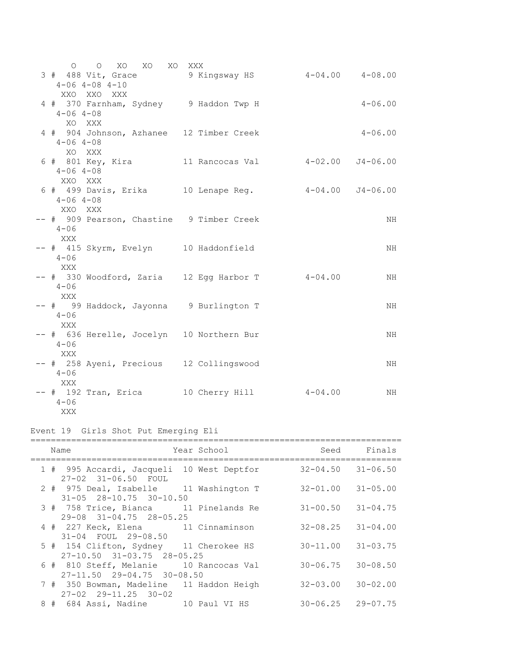| O O XO XO XO XXX                                     |  |             |
|------------------------------------------------------|--|-------------|
| 3 # 488 Vit, Grace 3 Kingsway HS 4-04.00 4-08.00     |  |             |
| $4 - 06$ $4 - 08$ $4 - 10$                           |  |             |
| XXO XXO XXX                                          |  |             |
| 4 # 370 Farnham, Sydney 9 Haddon Twp H               |  | $4 - 06.00$ |
| $4 - 06$ $4 - 08$                                    |  |             |
| XO XXX                                               |  |             |
| 4 # 904 Johnson, Azhanee 12 Timber Creek             |  | $4 - 06.00$ |
| $4 - 06$ $4 - 08$                                    |  |             |
| XO XXX                                               |  |             |
|                                                      |  |             |
| $4 - 06$ $4 - 08$                                    |  |             |
| XXO XXX                                              |  |             |
|                                                      |  |             |
| 6 # 499 Davis, Erika 10 Lenape Reg. 4-04.00 J4-06.00 |  |             |
| $4 - 06$ $4 - 08$                                    |  |             |
| XXO XXX                                              |  |             |
| -- # 909 Pearson, Chastine 9 Timber Creek            |  | NH          |
| $4 - 06$                                             |  |             |
| XXX                                                  |  |             |
| -- # 415 Skyrm, Evelyn 10 Haddonfield                |  | NH          |
| $4 - 06$                                             |  |             |
| <b>XXX</b>                                           |  |             |
| -- # 330 Woodford, Zaria 12 Egg Harbor T 4-04.00     |  | NH          |
| $4 - 06$                                             |  |             |
| XXX                                                  |  |             |
| -- # 99 Haddock, Jayonna 9 Burlington T              |  | NH          |
| $4 - 06$                                             |  |             |
| XXX                                                  |  |             |
| -- # 636 Herelle, Jocelyn 10 Northern Bur            |  | NH          |
| $4 - 06$                                             |  |             |
| XXX                                                  |  |             |
| -- # 258 Ayeni, Precious 12 Collingswood             |  | NH          |
| $4 - 06$                                             |  |             |
| XXX                                                  |  |             |
|                                                      |  | NH          |
| $4 - 06$                                             |  |             |
| XXX                                                  |  |             |

# Event 19 Girls Shot Put Emerging Eli

| Name                                                                             | Year School |                           | Seed Finals  |
|----------------------------------------------------------------------------------|-------------|---------------------------|--------------|
| 1 # 995 Accardi, Jacqueli 10 West Deptfor<br>27-02 31-06.50 FOUL                 |             | $32 - 04.50$ $31 - 06.50$ |              |
| 2 # 975 Deal, Isabelle 11 Washington T<br>$31 - 05$ $28 - 10.75$ $30 - 10.50$    |             | $32 - 01.00$ $31 - 05.00$ |              |
| 3 # 758 Trice, Bianca 11 Pinelands Re<br>$29-08$ $31-04.75$ $28-05.25$           |             | $31 - 00.50$ $31 - 04.75$ |              |
| 4 # 227 Keck, Elena 11 Cinnaminson<br>31-04 FOUL 29-08.50                        |             | $32 - 08.25$ $31 - 04.00$ |              |
| 5 # 154 Clifton, Sydney 11 Cherokee HS<br>$27 - 10.50$ $31 - 03.75$ $28 - 05.25$ |             | $30 - 11.00$ $31 - 03.75$ |              |
| 6 # 810 Steff, Melanie 10 Rancocas Val<br>$27 - 11.50$ $29 - 04.75$ $30 - 08.50$ |             | $30 - 06.75$ $30 - 08.50$ |              |
| 7 # 350 Bowman, Madeline 11 Haddon Heigh<br>$27 - 02$ $29 - 11.25$ $30 - 02$     |             | $32 - 03.00$              | $30 - 02.00$ |
| 8 # 684 Assi, Nadine 10 Paul VI HS                                               |             | $30 - 06.25$ 29-07.75     |              |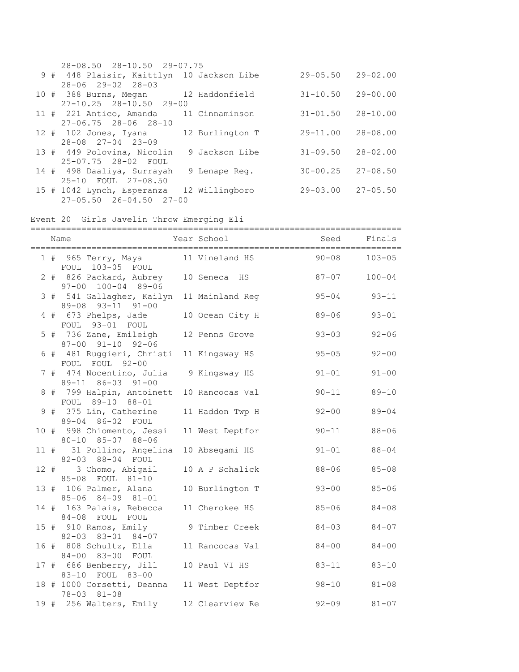| 28-08.50 28-10.50 29-07.75                |                 |              |              |
|-------------------------------------------|-----------------|--------------|--------------|
| 9 # 448 Plaisir, Kaittlyn 10 Jackson Libe |                 | $29 - 05.50$ | $29 - 02.00$ |
| $28 - 06$ 29-02 28-03                     |                 |              |              |
| 10 # 388 Burns, Megan 12 Haddonfield      |                 | $31 - 10.50$ | $29 - 00.00$ |
| $27 - 10.25$ $28 - 10.50$ $29 - 00$       |                 |              |              |
| 11 # 221 Antico, Amanda 11 Cinnaminson    |                 | $31 - 01.50$ | $28 - 10.00$ |
| $27 - 06.75$ $28 - 06$ $28 - 10$          |                 |              |              |
| 12 # 102 Jones, Iyana                     | 12 Burlington T | $29 - 11.00$ | $28 - 08.00$ |
| $28 - 08$ $27 - 04$ $23 - 09$             |                 |              |              |
| 13 # 449 Polovina, Nicolin                | 9 Jackson Libe  | $31 - 09.50$ | $28 - 02.00$ |
| 25-07.75 28-02 FOUL                       |                 |              |              |
| 14 # 498 Daaliya, Surrayah                | 9 Lenape Req.   | $30 - 00.25$ | $27 - 08.50$ |
| 25-10 FOUL 27-08.50                       |                 |              |              |
| 15 # 1042 Lynch, Esperanza 12 Willingboro |                 | 29-03.00     | $27 - 05.50$ |
| $27 - 05.50$ $26 - 04.50$ $27 - 00$       |                 |              |              |

Event 20 Girls Javelin Throw Emerging Eli

|      | Year School and Seed Finals<br>Name                               |                 |           |            |
|------|-------------------------------------------------------------------|-----------------|-----------|------------|
|      | 1 # 965 Terry, Maya 11 Vineland HS<br>FOUL 103-05 FOUL            |                 | $90 - 08$ | $103 - 05$ |
|      | 2 # 826 Packard, Aubrey 10 Seneca HS<br>97-00 100-04 89-06        |                 | $87 - 07$ | $100 - 04$ |
|      | 3 # 541 Gallagher, Kailyn 11 Mainland Reg<br>89-08 93-11 91-00    |                 | $95 - 04$ | $93 - 11$  |
|      | 4 # 673 Phelps, Jade<br>FOUL 93-01 FOUL                           | 10 Ocean City H | $89 - 06$ | $93 - 01$  |
|      | 5 # 736 Zane, Emileigh<br>87-00 91-10 92-06                       | 12 Penns Grove  | $93 - 03$ | $92 - 06$  |
|      | 6 # 481 Ruggieri, Christi<br>FOUL FOUL 92-00                      | 11 Kingsway HS  | $95 - 05$ | $92 - 00$  |
|      | 7 # 474 Nocentino, Julia<br>89-11 86-03 91-00                     | 9 Kingsway HS   | $91 - 01$ | $91 - 00$  |
|      | 8 # 799 Halpin, Antoinett<br>FOUL 89-10 88-01                     | 10 Rancocas Val | $90 - 11$ | $89 - 10$  |
|      | 9 # 375 Lin, Catherine<br>89-04 86-02 FOUL                        | 11 Haddon Twp H | $92 - 00$ | $89 - 04$  |
|      | 10 # 998 Chiomento, Jessi<br>80-10 85-07 88-06                    | 11 West Deptfor | $90 - 11$ | $88 - 06$  |
|      | 11 # 31 Pollino, Angelina 10 Absegami HS<br>82-03 88-04 FOUL      |                 | $91 - 01$ | $88 - 04$  |
|      | 12 # 3 Chomo, Abigail<br>85-08 FOUL 81-10                         | 10 A P Schalick | $88 - 06$ | $85 - 08$  |
|      | 13 # 106 Palmer, Alana<br>85-06 84-09 81-01                       | 10 Burlington T | $93 - 00$ | $85 - 06$  |
|      | 14 # 163 Palais, Rebecca<br>84-08 FOUL FOUL                       | 11 Cherokee HS  | $85 - 06$ | $84 - 08$  |
|      | 15 # 910 Ramos, Emily<br>82-03 83-01 84-07                        | 9 Timber Creek  | $84 - 03$ | $84 - 07$  |
|      | 16 # 808 Schultz, Ella<br>84-00 83-00 FOUL                        | 11 Rancocas Val | $84 - 00$ | $84 - 00$  |
|      | 17 # 686 Benberry, Jill<br>83-10 FOUL 83-00                       | 10 Paul VI HS   | $83 - 11$ | $83 - 10$  |
|      | 18 # 1000 Corsetti, Deanna 11 West Deptfor<br>$78 - 03$ $81 - 08$ |                 | $98 - 10$ | $81 - 08$  |
| 19 # | 256 Walters, Emily                                                | 12 Clearview Re | $92 - 09$ | $81 - 07$  |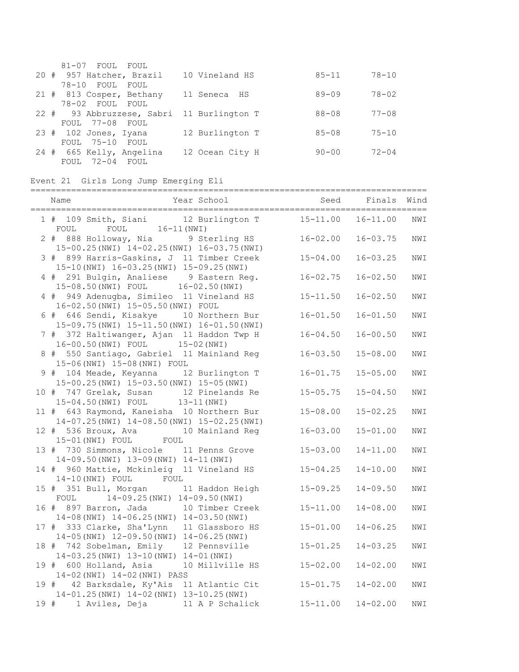| 81-07 FOUL FOUL           |                 |           |           |
|---------------------------|-----------------|-----------|-----------|
| 20 # 957 Hatcher, Brazil  | 10 Vineland HS  | $85 - 11$ | $78 - 10$ |
| 78-10 FOUL FOUL           |                 |           |           |
| 21 # 813 Cosper, Bethany  | 11 Seneca HS    | $89 - 09$ | $78 - 02$ |
| 78-02 FOUL FOUL           |                 |           |           |
| 22 # 93 Abbruzzese, Sabri | 11 Burlington T | $88 - 08$ | $77 - 08$ |
| FOUL 77-08 FOUL           |                 |           |           |
| $23$ # 102 Jones, Iyana   | 12 Burlington T | $85 - 08$ | $75 - 10$ |
| FOUL 75-10 FOUL           |                 |           |           |
| 24 # 665 Kelly, Angelina  | 12 Ocean City H | $90 - 00$ | $72 - 04$ |
| FOUL 72-04 FOUL           |                 |           |           |

# Event 21 Girls Long Jump Emerging Eli

| Year School<br>Name                                                                             | Seed         | Finals Wind<br>=================== |     |
|-------------------------------------------------------------------------------------------------|--------------|------------------------------------|-----|
| 1 # 109 Smith, Siani 12 Burlington T<br>FOUL 16-11 (NWI)<br>FOUL                                | $15 - 11.00$ | $16 - 11.00$                       | NWI |
| 2 # 888 Holloway, Nia 9 Sterling HS<br>15-00.25(NWI) 14-02.25(NWI) 16-03.75(NWI)                | $16 - 02.00$ | $16 - 03.75$                       | NWI |
| 3 # 899 Harris-Gaskins, J 11 Timber Creek<br>15-10 (NWI) 16-03.25 (NWI) 15-09.25 (NWI)          | $15 - 04.00$ | $16 - 03.25$                       | NWI |
| 4 # 291 Bulgin, Analiese 9 Eastern Reg.<br>15-08.50(NWI) FOUL 16-02.50(NWI)                     | $16 - 02.75$ | $16 - 02.50$                       | NWI |
| 4 # 949 Adenugba, Simileo 11 Vineland HS<br>16-02.50 (NWI) 15-05.50 (NWI) FOUL                  | $15 - 11.50$ | $16 - 02.50$                       | NWI |
| 6 # 646 Sendi, Kisakye 10 Northern Bur<br>15-09.75 (NWI) 15-11.50 (NWI) 16-01.50 (NWI)          | $16 - 01.50$ | $16 - 01.50$                       | NWI |
| 7 # 372 Haltiwanger, Ajan 11 Haddon Twp H<br>16-00.50(NWI) FOUL 15-02(NWI)                      | $16 - 04.50$ | $16 - 00.50$                       | NWI |
| 8 # 550 Santiago, Gabriel 11 Mainland Reg<br>15-06(NWI) 15-08(NWI) FOUL                         | $16 - 03.50$ | $15 - 08.00$                       | NWI |
| 9 # 104 Meade, Keyanna 12 Burlington T<br>15-00.25(NWI) 15-03.50(NWI) 15-05(NWI)                | $16 - 01.75$ | $15 - 05.00$                       | NWI |
| 10 # 747 Grelak, Susan 12 Pinelands Re<br>15-04.50(NWI) FOUL 13-11(NWI)                         | $15 - 05.75$ | $15 - 04.50$                       | NWI |
| 11 # 643 Raymond, Kaneisha 10 Northern Bur<br>14-07.25(NWI) 14-08.50(NWI) 15-02.25(NWI)         | $15 - 08.00$ | $15 - 02.25$                       | NWI |
| 10 Mainland Reg<br>12 # 536 Broux, Ava<br>15-01 (NWI) FOUL FOUL                                 | $16 - 03.00$ | $15 - 01.00$                       | NWI |
| 13 # 730 Simmons, Nicole 11 Penns Grove<br>14-09.50 (NWI) 13-09 (NWI) 14-11 (NWI)               | $15 - 03.00$ | $14 - 11.00$                       | NWI |
| 14 # 960 Mattie, Mckinleig 11 Vineland HS<br>14-10 (NWI) FOUL FOUL                              | $15 - 04.25$ | $14 - 10.00$                       | NWI |
| 15 # 351 Bull, Morgan<br>11 Haddon Heigh<br>14-09.25(NWI) 14-09.50(NWI)<br>FOUL                 | $15 - 09.25$ | $14 - 09.50$                       | NWI |
| 16 # 897 Barron, Jada<br>10 Timber Creek<br>14-08 (NWI) 14-06.25 (NWI) 14-03.50 (NWI)           | $15 - 11.00$ | $14 - 08.00$                       | NWI |
| 17 # 333 Clarke, Sha'Lynn<br>11 Glassboro HS<br>$14-05$ (NWI) $12-09.50$ (NWI) $14-06.25$ (NWI) | $15 - 01.00$ | $14 - 06.25$                       | NWI |
| 18 # 742 Sobelman, Emily<br>12 Pennsville<br>14-03.25(NWI) 13-10(NWI) 14-01(NWI)                | $15 - 01.25$ | $14 - 03.25$                       | NWI |
| 19 # 600 Holland, Asia<br>10 Millville HS<br>14-02 (NWI) 14-02 (NWI) PASS                       | $15 - 02.00$ | $14 - 02.00$                       | NWI |
| 19 # 42 Barksdale, Ky'Ais 11 Atlantic Cit<br>14-01.25(NWI) 14-02(NWI) 13-10.25(NWI)             | $15 - 01.75$ | $14 - 02.00$                       | NWI |
| 19 # 1 Aviles, Deja 11 A P Schalick                                                             | $15 - 11.00$ | $14 - 02.00$                       | NWI |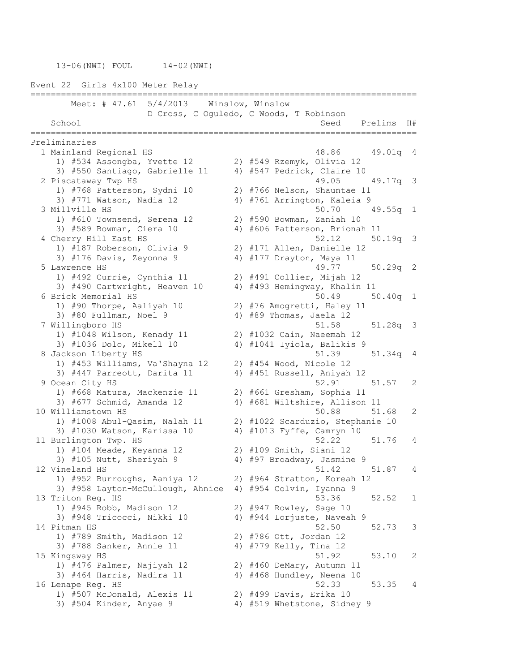13-06(NWI) FOUL 14-02(NWI)

Event 22 Girls 4x100 Meter Relay ============================================================================ Meet: # 47.61 5/4/2013 Winslow, Winslow D Cross, C Oguledo, C Woods, T Robinson School Seed Prelims H# ============================================================================ Preliminaries 1 Mainland Regional HS 48.86 49.01q 4 1) #534 Assongba, Yvette 12 2) #549 Rzemyk, Olivia 12 3) #550 Santiago, Gabrielle 11 4) #547 Pedrick, Claire 10 2 Piscataway Twp HS 49.05 49.17q 3 1) #768 Patterson, Sydni 10 2) #766 Nelson, Shauntae 11 3) #771 Watson, Nadia 12 4) #761 Arrington, Kaleia 9 3 Millville HS 50.70 49.55q 1 1) #610 Townsend, Serena 12 2) #590 Bowman, Zaniah 10 3) #589 Bowman, Ciera 10 4) #606 Patterson, Brionah 11 4 Cherry Hill East HS 52.12 50.19q 3 1) #187 Roberson, Olivia 9 2) #171 Allen, Danielle 12 3) #176 Davis, Zeyonna 9 4) #177 Drayton, Maya 11 5 Lawrence HS 49.77 50.29q 2 1) #492 Currie, Cynthia 11 2) #491 Collier, Mijah 12 3) #490 Cartwright, Heaven 10 4) #493 Hemingway, Khalin 11 6 Brick Memorial HS 50.49 50.40q 1 1) #90 Thorpe, Aaliyah 10 2) #76 Amogretti, Haley 11 3) #80 Fullman, Noel 9 4) #89 Thomas, Jaela 12 7 Willingboro HS 51.58 51.28q 3 1) #1048 Wilson, Kenady 11 2) #1032 Cain, Naeemah 12 3) #1036 Dolo, Mikell 10 4) #1041 Iyiola, Balikis 9 8 Jackson Liberty HS 51.39 51.34q 4 1) #453 Williams, Va'Shayna 12 2) #454 Wood, Nicole 12 3) #447 Parreott, Darita 11 4) #451 Russell, Aniyah 12 9 Ocean City HS 52.91 51.57 2 1) #668 Matura, Mackenzie 11 2) #661 Gresham, Sophia 11 3) #677 Schmid, Amanda 12 4) #681 Wiltshire, Allison 11 10 Williamstown HS 50.88 51.68 2 1) #1008 Abul-Qasim, Nalah 11 2) #1022 Scarduzio, Stephanie 10 3) #1030 Watson, Karissa 10 4) #1013 Fyffe, Camryn 10 11 Burlington Twp. HS 52.22 51.76 4 1) #104 Meade, Keyanna 12 2) #109 Smith, Siani 12 3) #105 Nutt, Sheriyah 9 4) #97 Broadway, Jasmine 9 12 Vineland HS 61.42 51.87 4 1) #952 Burroughs, Aaniya 12 2) #964 Stratton, Koreah 12 3) #958 Layton-McCullough, Ahnice 4) #954 Colvin, Iyanna 9 13 Triton Reg. HS 53.36 52.52 1 1) #945 Robb, Madison 12 2) #947 Rowley, Sage 10 3) #948 Tricocci, Nikki 10 4) #944 Lorjuste, Naveah 9 14 Pitman HS 52.50 52.73 3 1) #789 Smith, Madison 12 2) #786 Ott, Jordan 12 3) #788 Sanker, Annie 11 4) #779 Kelly, Tina 12 15 Kingsway HS 61.92 53.10 2 1) #476 Palmer, Najiyah 12 2) #460 DeMary, Autumn 11 3) #464 Harris, Nadira 11 4) #468 Hundley, Neena 10 16 Lenape Reg. HS 52.33 53.35 4 1) #507 McDonald, Alexis 11 2) #499 Davis, Erika 10 3) #504 Kinder, Anyae 9 4) #519 Whetstone, Sidney 9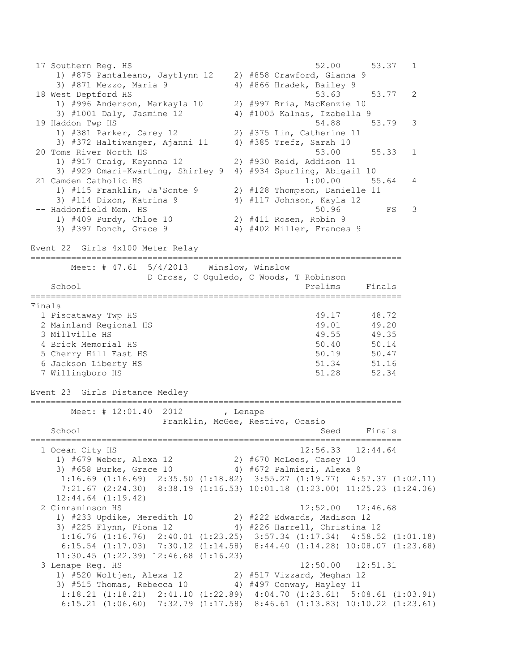17 Southern Reg. HS 52.00 53.37 1 1) #875 Pantaleano, Jaytlynn 12 2) #858 Crawford, Gianna 9 3) #871 Mezzo, Maria 9 4) #866 Hradek, Bailey 9 18 West Deptford HS 53.63 53.77 2 1) #996 Anderson, Markayla 10 2) #997 Bria, MacKenzie 10 3) #1001 Daly, Jasmine 12 4) #1005 Kalnas, Izabella 9 19 Haddon Twp HS 54.88 53.79 3 1) #381 Parker, Carey 12 2) #375 Lin, Catherine 11 3) #372 Haltiwanger, Ajanni 11 4) #385 Trefz, Sarah 10 20 Toms River North HS 53.00 55.33 1 1) #917 Craig, Keyanna 12 2) #930 Reid, Addison 11 3) #929 Omari-Kwarting, Shirley 9 4) #934 Spurling, Abigail 10 21 Camden Catholic HS 1:00.00 55.64 4 1) #115 Franklin, Ja'Sonte 9 2) #128 Thompson, Danielle 11 3) #114 Dixon, Katrina 9 4) #117 Johnson, Kayla 12 -- Haddonfield Mem. HS 50.96 FS 3 1) #409 Purdy, Chloe 10 2) #411 Rosen, Robin 9 3) #397 Donch, Grace 9 4) #402 Miller, Frances 9 Event 22 Girls 4x100 Meter Relay ========================================================================= Meet: # 47.61 5/4/2013 Winslow, Winslow D Cross, C Oguledo, C Woods, T Robinson School **Prelims** Finals ========================================================================= Finals 1 Piscataway Twp HS 49.17 48.72 2 Mainland Regional HS 49.01 49.20 3 Millville HS 49.55<br>4 Brick Memorial HS 49.55 4 Brick Memorial HS 5 Cherry Hill East HS 50.19 50.47<br>51.34 51.16 51.16 6 Jackson Liberty HS 51.34 51.16 7 Willingboro HS 51.28 52.34 Event 23 Girls Distance Medley ========================================================================= Meet: # 12:01.40 2012 , Lenape Franklin, McGee, Restivo, Ocasio School School Seed Finals ========================================================================= 1 Ocean City HS 12:56.33 12:44.64 1) #679 Weber, Alexa 12 2) #670 McLees, Casey 10 3) #658 Burke, Grace 10 4) #672 Palmieri, Alexa 9 1:16.69 (1:16.69) 2:35.50 (1:18.82) 3:55.27 (1:19.77) 4:57.37 (1:02.11) 7:21.67 (2:24.30) 8:38.19 (1:16.53) 10:01.18 (1:23.00) 11:25.23 (1:24.06) 12:44.64 (1:19.42) 2 Cinnaminson HS 12:52.00 12:46.68 1) #233 Updike, Meredith 10 2) #222 Edwards, Madison 12 3) #225 Flynn, Fiona 12 4) #226 Harrell, Christina 12 1:16.76 (1:16.76) 2:40.01 (1:23.25) 3:57.34 (1:17.34) 4:58.52 (1:01.18) 6:15.54 (1:17.03) 7:30.12 (1:14.58) 8:44.40 (1:14.28) 10:08.07 (1:23.68) 11:30.45 (1:22.39) 12:46.68 (1:16.23) 3 Lenape Reg. HS 12:50.00 12:51.31 1) #520 Woltjen, Alexa 12 2) #517 Vizzard, Meghan 12 3) #515 Thomas, Rebecca 10 4) #497 Conway, Hayley 11 1:18.21 (1:18.21) 2:41.10 (1:22.89) 4:04.70 (1:23.61) 5:08.61 (1:03.91) 6:15.21 (1:06.60) 7:32.79 (1:17.58) 8:46.61 (1:13.83) 10:10.22 (1:23.61)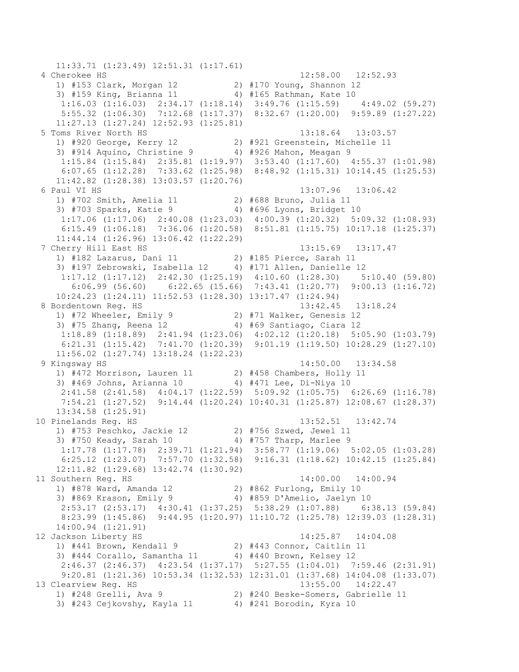11:33.71 (1:23.49) 12:51.31 (1:17.61) 4 Cherokee HS 12:58.00 12:52.93 1) #153 Clark, Morgan 12 2) #170 Young, Shannon 12 3) #159 King, Brianna 11 4) #165 Rathman, Kate 10 1:16.03 (1:16.03) 2:34.17 (1:18.14) 3:49.76 (1:15.59) 4:49.02 (59.27) 5:55.32 (1:06.30) 7:12.68 (1:17.37) 8:32.67 (1:20.00) 9:59.89 (1:27.22) 11:27.13 (1:27.24) 12:52.93 (1:25.81) 5 Toms River North HS 13:18.64 13:03.57 1) #920 George, Kerry 12 2) #921 Greenstein, Michelle 11 3) #914 Aquino, Christine 9 4) #926 Mahon, Meagan 9 1:15.84 (1:15.84) 2:35.81 (1:19.97) 3:53.40 (1:17.60) 4:55.37 (1:01.98) 6:07.65 (1:12.28) 7:33.62 (1:25.98) 8:48.92 (1:15.31) 10:14.45 (1:25.53) 11:42.82 (1:28.38) 13:03.57 (1:20.76) 6 Paul VI HS 13:07.96 13:06.42 1) #702 Smith, Amelia 11 2) #688 Bruno, Julia 11 3) #703 Sparks, Katie 9 4) #696 Lyons, Bridget 10 1:17.06 (1:17.06) 2:40.08 (1:23.03) 4:00.39 (1:20.32) 5:09.32 (1:08.93) 6:15.49 (1:06.18) 7:36.06 (1:20.58) 8:51.81 (1:15.75) 10:17.18 (1:25.37) 11:44.14 (1:26.96) 13:06.42 (1:22.29) 7 Cherry Hill East HS 13:15.69 13:17.47 1) #182 Lazarus, Dani 11 2) #185 Pierce, Sarah 11 3) #197 Zebrowski, Isabella 12 4) #171 Allen, Danielle 12 1:17.12 (1:17.12) 2:42.30 (1:25.19) 4:10.60 (1:28.30) 5:10.40 (59.80) 6:06.99 (56.60) 6:22.65 (15.66) 7:43.41 (1:20.77) 9:00.13 (1:16.72) 10:24.23 (1:24.11) 11:52.53 (1:28.30) 13:17.47 (1:24.94) 8 Bordentown Reg. HS 13:42.45 13:18.24 1) #72 Wheeler, Emily 9 2) #71 Walker, Genesis 12 3) #75 Zhang, Reena 12 4) #69 Santiago, Ciara 12 1:18.89 (1:18.89) 2:41.94 (1:23.06) 4:02.12 (1:20.18) 5:05.90 (1:03.79) 6:21.31 (1:15.42) 7:41.70 (1:20.39) 9:01.19 (1:19.50) 10:28.29 (1:27.10) 11:56.02 (1:27.74) 13:18.24 (1:22.23) 9 Kingsway HS 14:50.00 13:34.58 1) #472 Morrison, Lauren 11 2) #458 Chambers, Holly 11 3) #469 Johns, Arianna 10 4) #471 Lee, Di-Niya 10 2:41.58 (2:41.58) 4:04.17 (1:22.59) 5:09.92 (1:05.75) 6:26.69 (1:16.78) 7:54.21 (1:27.52) 9:14.44 (1:20.24) 10:40.31 (1:25.87) 12:08.67 (1:28.37) 13:34.58 (1:25.91) 10 Pinelands Reg. HS 13:52.51 13:42.74 1) #753 Peschko, Jackie 12 2) #756 Szwed, Jewel 11 3) #750 Keady, Sarah 10 4) #757 Tharp, Marlee 9 1:17.78 (1:17.78) 2:39.71 (1:21.94) 3:58.77 (1:19.06) 5:02.05 (1:03.28) 6:25.12 (1:23.07) 7:57.70 (1:32.58) 9:16.31 (1:18.62) 10:42.15 (1:25.84) 12:11.82 (1:29.68) 13:42.74 (1:30.92) 11 Southern Reg. HS 14:00.00 14:00.94 1) #878 Ward, Amanda 12 2) #862 Furlong, Emily 10 3) #869 Krason, Emily 9 4) #859 D'Amelio, Jaelyn 10 2:53.17 (2:53.17) 4:30.41 (1:37.25) 5:38.29 (1:07.88) 6:38.13 (59.84) 8:23.99 (1:45.86) 9:44.95 (1:20.97) 11:10.72 (1:25.78) 12:39.03 (1:28.31) 14:00.94 (1:21.91) 12 Jackson Liberty HS 14:25.87 14:04.08 1) #441 Brown, Kendall 9 2) #443 Connor, Caitlin 11 3) #444 Corallo, Samantha 11 4) #440 Brown, Kelsey 12 2:46.37 (2:46.37) 4:23.54 (1:37.17) 5:27.55 (1:04.01) 7:59.46 (2:31.91) 9:20.81 (1:21.36) 10:53.34 (1:32.53) 12:31.01 (1:37.68) 14:04.08 (1:33.07) 13 Clearview Reg. HS 13:55.00 14:22.47 1) #248 Grelli, Ava 9 2) #240 Beske-Somers, Gabrielle 11 3) #243 Cejkovshy, Kayla 11 4) #241 Borodin, Kyra 10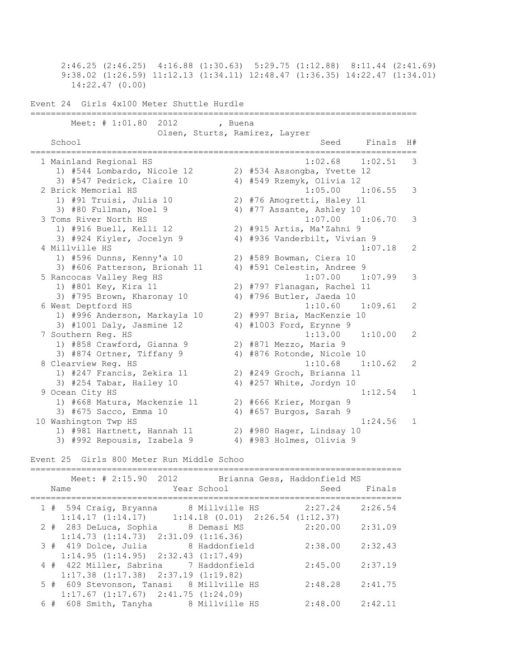2:46.25 (2:46.25) 4:16.88 (1:30.63) 5:29.75 (1:12.88) 8:11.44 (2:41.69) 9:38.02 (1:26.59) 11:12.13 (1:34.11) 12:48.47 (1:36.35) 14:22.47 (1:34.01) 14:22.47 (0.00) Event 24 Girls 4x100 Meter Shuttle Hurdle ============================================================================ Meet: # 1:01.80 2012 , Buena Olsen, Sturts, Ramirez, Layrer School Seed Finals H# ============================================================================ 1 Mainland Regional HS 1:02.68 1:02.51 3 1) #544 Lombardo, Nicole 12 2) #534 Assongba, Yvette 12 3) #547 Pedrick, Claire 10 4) #549 Rzemyk, Olivia 12 2 Brick Memorial HS 1:05.00 1:06.55 3 1) #91 Truisi, Julia 10 2) #76 Amogretti, Haley 11 3) #80 Fullman, Noel 9 4) #77 Assante, Ashley 10 3 Toms River North HS 1:07.00 1:06.70 3 1) #916 Buell, Kelli 12 2) #915 Artis, Ma'Zahni 9 3) #924 Kiyler, Jocelyn 9 4) #936 Vanderbilt, Vivian 9 4 Millville HS 1:07.18 2 1) #596 Dunns, Kenny'a 10 2) #589 Bowman, Ciera 10 3) #606 Patterson, Brionah 11 4) #591 Celestin, Andree 9 5 Rancocas Valley Reg HS 1:07.00 1:07.99 3 1) #801 Key, Kira 11 2) #797 Flanagan, Rachel 11 3) #795 Brown, Kharonay 10 4) #796 Butler, Jaeda 10 6 West Deptford HS 1:10.60 1:09.61 2 1) #996 Anderson, Markayla 10 2) #997 Bria, MacKenzie 10 3) #1001 Daly, Jasmine 12 4) #1003 Ford, Erynne 9 7 Southern Reg. HS 1:13.00 1:10.00 2 1) #858 Crawford, Gianna 9 2) #871 Mezzo, Maria 9 3) #874 Ortner, Tiffany 9 4) #876 Rotonde, Nicole 10 8 Clearview Reg. HS 1:10.68 1:10.62 2 1) #247 Francis, Zekira 11 2) #249 Groch, Brianna 11 3) #254 Tabar, Hailey 10 4) #257 White, Jordyn 10 9 Ocean City HS 1:12.54 1 1) #668 Matura, Mackenzie 11 2) #666 Krier, Morgan 9 3) #675 Sacco, Emma 10 4) #657 Burgos, Sarah 9 10 Washington Twp HS 1:24.56 1 1) #981 Hartnett, Hannah 11 2) #980 Hager, Lindsay 10 3) #992 Repousis, Izabela 9 4) #983 Holmes, Olivia 9 Event 25 Girls 800 Meter Run Middle Schoo ========================================================================= Meet: # 2:15.90 2012 Brianna Gess, Haddonfield MS Name Year School Seed Finals ========================================================================= 1 # 594 Craig, Bryanna 8 Millville HS 2:27.24 2:26.54 1:14.17 (1:14.17) 1:14.18 (0.01) 2:26.54 (1:12.37) 2 # 283 DeLuca, Sophia 8 Demasi MS 2:20.00 2:31.09 1:14.73 (1:14.73) 2:31.09 (1:16.36) 3 # 419 Dolce, Julia 8 Haddonfield 2:38.00 2:32.43 1:14.95 (1:14.95) 2:32.43 (1:17.49) 4 # 422 Miller, Sabrina 7 Haddonfield 2:45.00 2:37.19 1:17.38 (1:17.38) 2:37.19 (1:19.82) 5 # 609 Stevonson, Tanasi 8 Millville HS 2:48.28 2:41.75 1:17.67 (1:17.67) 2:41.75 (1:24.09) 6 # 608 Smith, Tanyha 8 Millville HS 2:48.00 2:42.11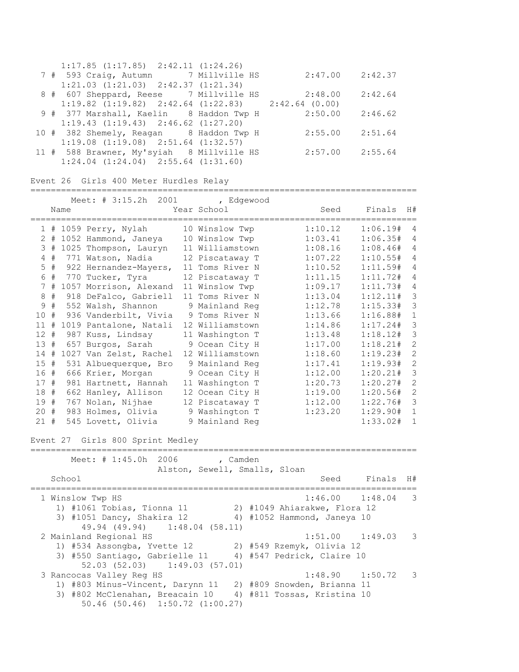|  | $1:17.85$ $(1:17.85)$ $2:42.11$ $(1:24.26)$                    |         |         |
|--|----------------------------------------------------------------|---------|---------|
|  | 7 # 593 Craig, Autumn 7 Millville HS                           | 2:47.00 | 2:42.37 |
|  | $1:21.03$ $(1:21.03)$ $2:42.37$ $(1:21.34)$                    |         |         |
|  | 8 # 607 Sheppard, Reese 7 Millville HS                         | 2:48.00 | 2:42.64 |
|  | $1:19.82$ $(1:19.82)$ $2:42.64$ $(1:22.83)$ $2:42.64$ $(0.00)$ |         |         |
|  | 9 # 377 Marshall, Kaelin 8 Haddon Twp H                        | 2:50.00 | 2:46.62 |
|  | $1:19.43$ $(1:19.43)$ $2:46.62$ $(1:27.20)$                    |         |         |
|  | 10 # 382 Shemely, Reagan 8 Haddon Twp H                        | 2:55.00 | 2:51.64 |
|  | $1:19.08$ $(1:19.08)$ $2:51.64$ $(1:32.57)$                    |         |         |
|  | 11 # 588 Brawner, My'syiah 8 Millville HS                      | 2:57.00 | 2:55.64 |
|  | $1:24.04$ $(1:24.04)$ $2:55.64$ $(1:31.60)$                    |         |         |

## Event 26 Girls 400 Meter Hurdles Relay

#### ============================================================================

|        | Name   | Meet: $\#$ 3:15.2h<br>2001                          | , Edgewood<br>Year School     | Seed                               | Finals   | H#             |
|--------|--------|-----------------------------------------------------|-------------------------------|------------------------------------|----------|----------------|
|        |        |                                                     | 10 Winslow Twp                | 1:10.12                            | 1:06.19# | 4              |
|        |        | $1$ # 1059 Perry, Nylah<br>2 # 1052 Hammond, Janeya | 10 Winslow Twp                | 1:03.41                            | 1:06.35# | 4              |
|        |        | 3 # 1025 Thompson, Lauryn                           | 11 Williamstown               | 1:08.16                            | 1:08.46# | 4              |
|        | $4$ #  | 771 Watson, Nadia                                   | 12 Piscataway T               | 1:07.22                            | 1:10.55# | $\overline{4}$ |
|        | $5$ #  | 922 Hernandez-Mayers,                               | 11 Toms River N               | 1:10.52                            | 1:11.59# | $\overline{4}$ |
|        | 6 #    | 770 Tucker, Tyra                                    | 12 Piscataway T               | 1:11.15                            | 1:11.72# | $\overline{4}$ |
|        |        | 7 # 1057 Morrison, Alexand                          | 11 Winslow Twp                | 1:09.17                            | 1:11.73# | 4              |
|        | 8#     | 918 DeFalco, Gabriell                               | 11 Toms River N               | 1:13.04                            | 1:12.11# | 3              |
|        | 9#     | 552 Walsh, Shannon                                  | 9 Mainland Req                | 1:12.78                            | 1:15.33# | 3              |
| 10#    |        | 936 Vanderbilt, Vivia                               | 9 Toms River N                | 1:13.66                            | 1:16.88# | $\,1\,$        |
| 11#    |        | 1019 Pantalone, Natali                              | 12 Williamstown               | 1:14.86                            | 1:17.24# | 3              |
| 12#    |        | 987 Kuss, Lindsay                                   | 11 Washington T               | 1:13.48                            | 1:18.12# | 3              |
| 13#    |        | 657 Burgos, Sarah                                   | 9 Ocean City H                | 1:17.00                            | 1:18.21# | $\overline{2}$ |
| 14#    |        | 1027 Van Zelst, Rachel                              | 12 Williamstown               | 1:18.60                            | 1:19.23# | $\overline{c}$ |
| 15#    |        | 531 Albuequerque, Bro                               | 9 Mainland Reg                | 1:17.41                            | 1:19.93# | $\overline{2}$ |
| 16#    |        | 666 Krier, Morgan                                   | 9 Ocean City H                | 1:12.00                            | 1:20.21# | $\mathfrak{Z}$ |
| 17#    |        | 981 Hartnett, Hannah                                | 11 Washington T               | 1:20.73                            | 1:20.27# | $\overline{2}$ |
| 18#    |        | 662 Hanley, Allison                                 | 12 Ocean City H               | 1:19.00                            | 1:20.56# | $\mathbf{2}$   |
| 19#    |        | 767 Nolan, Nijhae                                   | 12 Piscataway T               | 1:12.00                            | 1:22.76# | 3              |
| 20#    |        | 983 Holmes, Olivia                                  | 9 Washington T                | 1:23.20                            | 1:29.90# | $\mathbf{1}$   |
| $21 +$ |        | 545 Lovett, Olivia                                  | 9 Mainland Reg                |                                    | 1:33.02# | $\mathbf{1}$   |
|        |        | Event 27 Girls 800 Sprint Medley                    |                               |                                    |          |                |
|        |        | Meet: # 1:45.0h<br>2006                             | , Camden                      |                                    |          |                |
|        |        |                                                     | Alston, Sewell, Smalls, Sloan |                                    |          |                |
|        | School | ==============================                      |                               | Seed                               | Finals   | H#             |
|        |        | 1 Winslow Twp HS                                    |                               | =======================<br>1:46.00 | 1:48.04  | 3              |
|        |        | 1) #1061 Tobias, Tionna 11                          |                               | 2) #1049 Ahiarakwe, Flora 12       |          |                |
|        |        | 3) #1051 Dancy, Shakira 12<br>49.94 (49.94)         | 1:48.04(58.11)                | 4) #1052 Hammond, Janeya 10        |          |                |
|        |        | 2 Mainland Regional HS                              |                               | $1:51.00$ $1:49.03$                |          | 3              |
|        |        | 1) #534 Assongba, Yvette 12                         |                               | 2) #549 Rzemyk, Olivia 12          |          |                |
|        |        | 3) #550 Santiago, Gabrielle 11                      |                               | 4) #547 Pedrick, Claire 10         |          |                |
|        |        | 52.03(52.03)                                        | 1:49.03(57.01)                |                                    |          |                |
|        |        | 3 Rancocas Valley Reg HS                            |                               | 1:48.90                            | 1:50.72  | 3              |
|        |        | 1) #803 Minus-Vincent, Darynn 11                    |                               | 2) #809 Snowden, Brianna 11        |          |                |

3) #802 McClenahan, Breacain 10 4) #811 Tossas, Kristina 10

50.46 (50.46) 1:50.72 (1:00.27)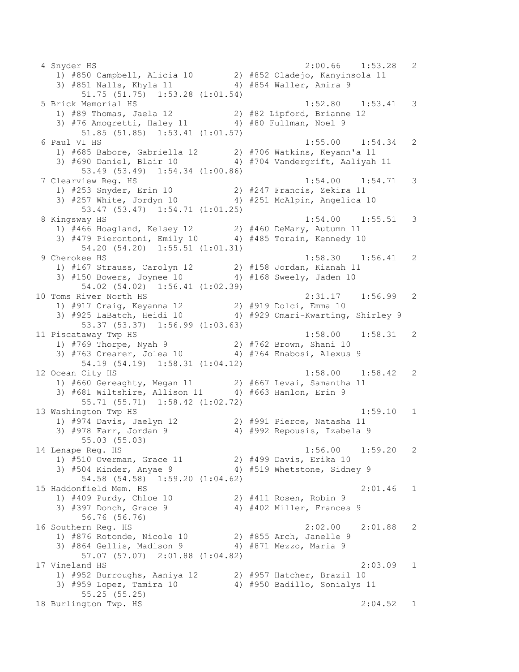4 Snyder HS 2:00.66 1:53.28 2 1) #850 Campbell, Alicia 10 2) #852 Oladejo, Kanyinsola 11 3) #851 Nalls, Khyla 11 4) #854 Waller, Amira 9 51.75 (51.75) 1:53.28 (1:01.54) 5 Brick Memorial HS 1:52.80 1:53.41 3 1) #89 Thomas, Jaela 12 2) #82 Lipford, Brianne 12 3) #76 Amogretti, Haley 11 4) #80 Fullman, Noel 9 51.85 (51.85) 1:53.41 (1:01.57) 6 Paul VI HS 1:55.00 1:54.34 2 1) #685 Babore, Gabriella 12 2) #706 Watkins, Keyann'a 11 3) #690 Daniel, Blair 10 4) #704 Vandergrift, Aaliyah 11 53.49 (53.49) 1:54.34 (1:00.86) 7 Clearview Reg. HS 1:54.00 1:54.71 3 1) #253 Snyder, Erin 10 2) #247 Francis, Zekira 11 3) #257 White, Jordyn 10 4) #251 McAlpin, Angelica 10 53.47 (53.47) 1:54.71 (1:01.25) 8 Kingsway HS 1:54.00 1:55.51 3 1) #466 Hoagland, Kelsey 12 2) #460 DeMary, Autumn 11 3) #479 Pierontoni, Emily 10 4) #485 Torain, Kennedy 10 54.20 (54.20) 1:55.51 (1:01.31) 9 Cherokee HS 1:58.30 1:56.41 2 1) #167 Strauss, Carolyn 12 2) #158 Jordan, Kianah 11 3) #150 Bowers, Joynee 10 4) #168 Sweely, Jaden 10 54.02 (54.02) 1:56.41 (1:02.39) 10 Toms River North HS 2:31.17 1:56.99 2 1) #917 Craig, Keyanna 12 2) #919 Dolci, Emma 10 3) #925 LaBatch, Heidi 10 4) #929 Omari-Kwarting, Shirley 9 53.37 (53.37) 1:56.99 (1:03.63) 11 Piscataway Twp HS 1:58.00 1:58.31 2 1) #769 Thorpe, Nyah 9 2) #762 Brown, Shani 10 3) #763 Crearer, Jolea 10 4) #764 Enabosi, Alexus 9 54.19 (54.19) 1:58.31 (1:04.12) 12 Ocean City HS 1:58.00 1:58.42 2 1) #660 Gereaghty, Megan 11 2) #667 Levai, Samantha 11 3) #681 Wiltshire, Allison 11 4) #663 Hanlon, Erin 9 55.71 (55.71) 1:58.42 (1:02.72) 13 Washington Twp HS 1:59.10 1 1) #974 Davis, Jaelyn 12 2) #991 Pierce, Natasha 11 3) #978 Farr, Jordan 9 4) #992 Repousis, Izabela 9 55.03 (55.03) 14 Lenape Reg. HS 1:56.00 1:59.20 2 1) #510 Overman, Grace 11 2) #499 Davis, Erika 10 3) #504 Kinder, Anyae 9 4) #519 Whetstone, Sidney 9 54.58 (54.58) 1:59.20 (1:04.62) 15 Haddonfield Mem. HS 2:01.46 1 1) #409 Purdy, Chloe 10 2) #411 Rosen, Robin 9 3) #397 Donch, Grace 9 4) #402 Miller, Frances 9 56.76 (56.76) 16 Southern Reg. HS 2:02.00 2:01.88 2 1) #876 Rotonde, Nicole 10 2) #855 Arch, Janelle 9 3) #864 Gellis, Madison 9 4) #871 Mezzo, Maria 9 57.07 (57.07) 2:01.88 (1:04.82) 17 Vineland HS 2:03.09 1 1) #952 Burroughs, Aaniya 12 2) #957 Hatcher, Brazil 10 3) #959 Lopez, Tamira 10 4) #950 Badillo, Sonialys 11 55.25 (55.25) 18 Burlington Twp. HS 2:04.52 1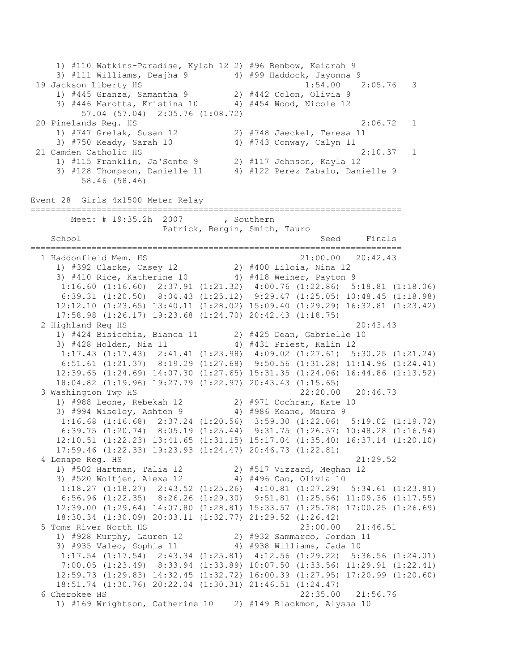1) #110 Watkins-Paradise, Kylah 12 2) #96 Benbow, Keiarah 9 3) #111 Williams, Deajha 9 4) #99 Haddock, Jayonna 9 19 Jackson Liberty HS 1:54.00 2:05.76 3 1) #445 Granza, Samantha 9 2) #442 Colon, Olivia 9 3) #446 Marotta, Kristina 10 4) #454 Wood, Nicole 12 57.04 (57.04) 2:05.76 (1:08.72) 20 Pinelands Reg. HS 2:06.72 1 1) #747 Grelak, Susan 12 2) #748 Jaeckel, Teresa 11 3) #750 Keady, Sarah 10 4) #743 Conway, Calyn 11 21 Camden Catholic HS 2:10.37 1 1) #115 Franklin, Ja'Sonte 9 2) #117 Johnson, Kayla 12 3) #128 Thompson, Danielle 11 4) #122 Perez Zabalo, Danielle 9 58.46 (58.46) Event 28 Girls 4x1500 Meter Relay ========================================================================= Meet: # 19:35.2h 2007 , Southern Patrick, Bergin, Smith, Tauro School Seed Finals ========================================================================= 1 Haddonfield Mem. HS 21:00.00 20:42.43 1) #392 Clarke, Casey 12 2) #400 Liloia, Nina 12 3) #410 Rice, Katherine 10 4) #418 Weiner, Payton 9 1:16.60 (1:16.60) 2:37.91 (1:21.32) 4:00.76 (1:22.86) 5:18.81 (1:18.06) 6:39.31 (1:20.50) 8:04.43 (1:25.12) 9:29.47 (1:25.05) 10:48.45 (1:18.98) 12:12.10 (1:23.65) 13:40.11 (1:28.02) 15:09.40 (1:29.29) 16:32.81 (1:23.42) 17:58.98 (1:26.17) 19:23.68 (1:24.70) 20:42.43 (1:18.75) 2 Highland Reg HS 20:43.43 1) #424 Bisicchia, Bianca 11 2) #425 Dean, Gabrielle 10 3) #428 Holden, Nia 11 4) #431 Priest, Kalin 12 1:17.43 (1:17.43) 2:41.41 (1:23.98) 4:09.02 (1:27.61) 5:30.25 (1:21.24) 6:51.61 (1:21.37) 8:19.29 (1:27.68) 9:50.56 (1:31.28) 11:14.96 (1:24.41) 12:39.65 (1:24.69) 14:07.30 (1:27.65) 15:31.35 (1:24.06) 16:44.86 (1:13.52) 18:04.82 (1:19.96) 19:27.79 (1:22.97) 20:43.43 (1:15.65) 3 Washington Twp HS 22:20.00 20:46.73 1) #988 Leone, Rebekah 12 2) #971 Cochran, Kate 10 3) #994 Wiseley, Ashton 9 4) #986 Keane, Maura 9 1:16.68 (1:16.68) 2:37.24 (1:20.56) 3:59.30 (1:22.06) 5:19.02 (1:19.72) 6:39.75 (1:20.74) 8:05.19 (1:25.44) 9:31.75 (1:26.57) 10:48.28 (1:16.54) 12:10.51 (1:22.23) 13:41.65 (1:31.15) 15:17.04 (1:35.40) 16:37.14 (1:20.10) 17:59.46 (1:22.33) 19:23.93 (1:24.47) 20:46.73 (1:22.81) 4 Lenape Reg. HS 21:29.52 1) #502 Hartman, Talia 12 2) #517 Vizzard, Meghan 12 3) #520 Woltjen, Alexa 12 4) #496 Cao, Olivia 10 1:18.27 (1:18.27) 2:43.52 (1:25.26) 4:10.81 (1:27.29) 5:34.61 (1:23.81) 6:56.96 (1:22.35) 8:26.26 (1:29.30) 9:51.81 (1:25.56) 11:09.36 (1:17.55) 12:39.00 (1:29.64) 14:07.80 (1:28.81) 15:33.57 (1:25.78) 17:00.25 (1:26.69) 18:30.34 (1:30.09) 20:03.11 (1:32.77) 21:29.52 (1:26.42) 5 Toms River North HS 23:00.00 21:46.51 1) #928 Murphy, Lauren 12 2) #932 Sammarco, Jordan 11 3) #935 Valeo, Sophia 11 4) #938 Williams, Jada 10 1:17.54 (1:17.54) 2:43.34 (1:25.81) 4:12.56 (1:29.22) 5:36.56 (1:24.01) 7:00.05 (1:23.49) 8:33.94 (1:33.89) 10:07.50 (1:33.56) 11:29.91 (1:22.41) 12:59.73 (1:29.83) 14:32.45 (1:32.72) 16:00.39 (1:27.95) 17:20.99 (1:20.60) 18:51.74 (1:30.76) 20:22.04 (1:30.31) 21:46.51 (1:24.47) 6 Cherokee HS 22:35.00 21:56.76 1) #169 Wrightson, Catherine 10 2) #149 Blackmon, Alyssa 10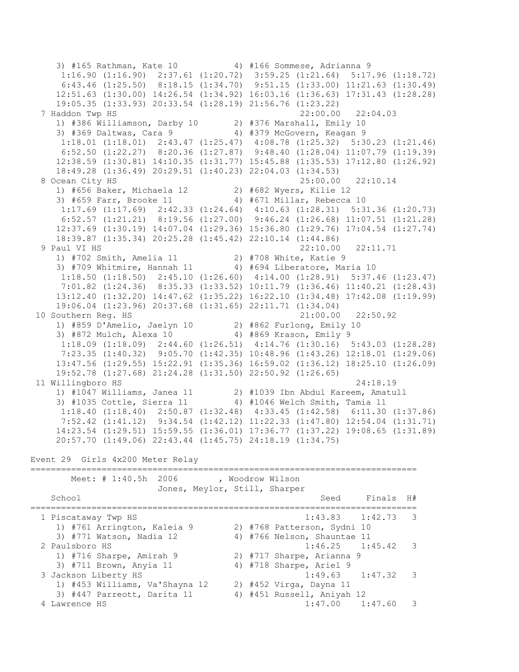3) #165 Rathman, Kate 10 4) #166 Sommese, Adrianna 9 1:16.90 (1:16.90) 2:37.61 (1:20.72) 3:59.25 (1:21.64) 5:17.96 (1:18.72) 6:43.46 (1:25.50) 8:18.15 (1:34.70) 9:51.15 (1:33.00) 11:21.63 (1:30.49) 12:51.63 (1:30.00) 14:26.54 (1:34.92) 16:03.16 (1:36.63) 17:31.43 (1:28.28) 19:05.35 (1:33.93) 20:33.54 (1:28.19) 21:56.76 (1:23.22) 7 Haddon Twp HS 22:00.00 22:04.03 1) #386 Williamson, Darby 10 2) #376 Marshall, Emily 10 3) #369 Daltwas, Cara 9 4) #379 McGovern, Keagan 9 1:18.01 (1:18.01) 2:43.47 (1:25.47) 4:08.78 (1:25.32) 5:30.23 (1:21.46) 6:52.50 (1:22.27) 8:20.36 (1:27.87) 9:48.40 (1:28.04) 11:07.79 (1:19.39) 12:38.59 (1:30.81) 14:10.35 (1:31.77) 15:45.88 (1:35.53) 17:12.80 (1:26.92) 18:49.28 (1:36.49) 20:29.51 (1:40.23) 22:04.03 (1:34.53) 8 Ocean City HS 25:00.00 22:10.14 1) #656 Baker, Michaela 12 2) #682 Wyers, Kilie 12 3) #659 Farr, Brooke 11 4) #671 Millar, Rebecca 10 1:17.69 (1:17.69) 2:42.33 (1:24.64) 4:10.63 (1:28.31) 5:31.36 (1:20.73) 6:52.57 (1:21.21) 8:19.56 (1:27.00) 9:46.24 (1:26.68) 11:07.51 (1:21.28) 12:37.69 (1:30.19) 14:07.04 (1:29.36) 15:36.80 (1:29.76) 17:04.54 (1:27.74) 18:39.87 (1:35.34) 20:25.28 (1:45.42) 22:10.14 (1:44.86) 9 Paul VI HS 22:10.00 22:11.71 1) #702 Smith, Amelia 11 2) #708 White, Katie 9 3) #709 Whitmire, Hannah 11 4) #694 Liberatore, Maria 10 1:18.50 (1:18.50) 2:45.10 (1:26.60) 4:14.00 (1:28.91) 5:37.46 (1:23.47) 7:01.82 (1:24.36) 8:35.33 (1:33.52) 10:11.79 (1:36.46) 11:40.21 (1:28.43) 13:12.40 (1:32.20) 14:47.62 (1:35.22) 16:22.10 (1:34.48) 17:42.08 (1:19.99) 19:06.04 (1:23.96) 20:37.68 (1:31.65) 22:11.71 (1:34.04) 10 Southern Reg. HS 21:00.00 22:50.92 1) #859 D'Amelio, Jaelyn 10 2) #862 Furlong, Emily 10 3) #872 Mulch, Alexa 10 4) #869 Krason, Emily 9 1:18.09 (1:18.09) 2:44.60 (1:26.51) 4:14.76 (1:30.16) 5:43.03 (1:28.28) 7:23.35 (1:40.32) 9:05.70 (1:42.35) 10:48.96 (1:43.26) 12:18.01 (1:29.06) 13:47.56 (1:29.55) 15:22.91 (1:35.36) 16:59.02 (1:36.12) 18:25.10 (1:26.09) 19:52.78 (1:27.68) 21:24.28 (1:31.50) 22:50.92 (1:26.65) 11 Willingboro HS 24:18.19 1) #1047 Williams, Janea 11 2) #1039 Ibn Abdul Kareem, Amatull 3) #1035 Cottle, Sierra 11 4) #1046 Welch Smith, Tamia 11 1:18.40 (1:18.40) 2:50.87 (1:32.48) 4:33.45 (1:42.58) 6:11.30 (1:37.86) 7:52.42 (1:41.12) 9:34.54 (1:42.12) 11:22.33 (1:47.80) 12:54.04 (1:31.71) 14:23.54 (1:29.51) 15:59.55 (1:36.01) 17:36.77 (1:37.22) 19:08.65 (1:31.89) 20:57.70 (1:49.06) 22:43.44 (1:45.75) 24:18.19 (1:34.75)

Event 29 Girls 4x200 Meter Relay

| Meet: # 1:40.5h 2006           |  | , Woodrow Wilson            |        |          |
|--------------------------------|--|-----------------------------|--------|----------|
| Jones, Meylor, Still, Sharper  |  |                             |        |          |
| School                         |  | Seed                        | Finals | H#       |
| 1 Piscataway Twp HS            |  | $1:43.83$ $1:42.73$         |        | $\sim$ 3 |
|                                |  |                             |        |          |
| 1) #761 Arrington, Kaleia 9    |  | 2) #768 Patterson, Sydni 10 |        |          |
| 3) #771 Watson, Nadia 12       |  | 4) #766 Nelson, Shauntae 11 |        |          |
| 2 Paulsboro HS                 |  | $1:46.25$ $1:45.42$ 3       |        |          |
| 1) #716 Sharpe, Amirah 9       |  | 2) #717 Sharpe, Arianna 9   |        |          |
| 3) #711 Brown, Anyia 11        |  | 4) #718 Sharpe, Ariel 9     |        |          |
| 3 Jackson Liberty HS           |  | $1:49.63$ $1:47.32$         |        | -3       |
| 1) #453 Williams, Va'Shayna 12 |  | 2) #452 Virga, Dayna 11     |        |          |
| 3) #447 Parreott, Darita 11    |  | 4) #451 Russell, Aniyah 12  |        |          |
| 4 Lawrence HS                  |  | $1:47.00$ $1:47.60$         |        |          |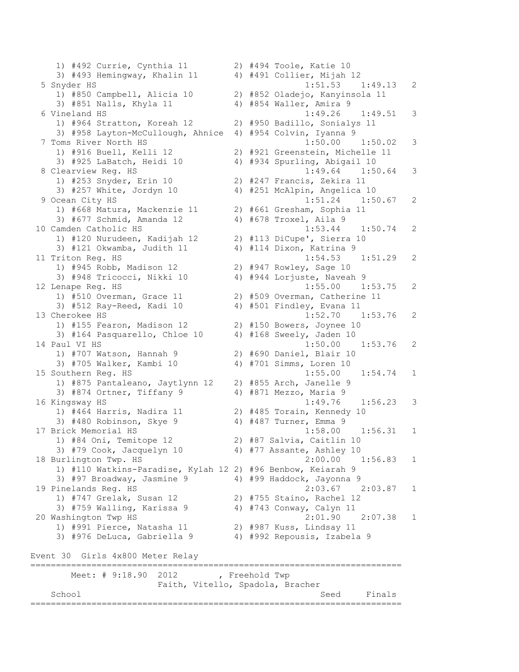1) #492 Currie, Cynthia 11 2) #494 Toole, Katie 10 3) #493 Hemingway, Khalin 11 4) #491 Collier, Mijah 12 5 Snyder HS 1:51.53 1:49.13 2 1) #850 Campbell, Alicia 10 2) #852 Oladejo, Kanyinsola 11 3) #851 Nalls, Khyla 11 4) #854 Waller, Amira 9 6 Vineland HS 1:49.26 1:49.51 3 1) #964 Stratton, Koreah 12 2) #950 Badillo, Sonialys 11 3) #958 Layton-McCullough, Ahnice 4) #954 Colvin, Iyanna 9 7 Toms River North HS 1:50.00 1:50.02 3 1) #916 Buell, Kelli 12 2) #921 Greenstein, Michelle 11 3) #925 LaBatch, Heidi 10 4) #934 Spurling, Abigail 10 8 Clearview Reg. HS 1:49.64 1:50.64 3 1) #253 Snyder, Erin 10 2) #247 Francis, Zekira 11 3) #257 White, Jordyn 10 4) #251 McAlpin, Angelica 10 9 Ocean City HS 1:51.24 1:50.67 2 1) #668 Matura, Mackenzie 11 2) #661 Gresham, Sophia 11 3) #677 Schmid, Amanda 12 4) #678 Troxel, Aila 9 10 Camden Catholic HS 1:53.44 1:50.74 2 1) #120 Nurudeen, Kadijah 12 2) #113 DiCupe', Sierra 10 3) #121 Okwamba, Judith 11 4) #114 Dixon, Katrina 9 11 Triton Reg. HS 1:54.53 1:51.29 2 1) #945 Robb, Madison 12 2) #947 Rowley, Sage 10 3) #948 Tricocci, Nikki 10 4) #944 Lorjuste, Naveah 9 12 Lenape Reg. HS 1:55.00 1:53.75 2 1) #510 Overman, Grace 11 2) #509 Overman, Catherine 11 3) #512 Ray-Reed, Kadi 10 4) #501 Findley, Evana 11 13 Cherokee HS 1:52.70 1:53.76 2 1) #155 Fearon, Madison 12 2) #150 Bowers, Joynee 10 3) #164 Pasquarello, Chloe 10 4) #168 Sweely, Jaden 10 14 Paul VI HS 1:50.00 1:53.76 2 1) #707 Watson, Hannah 9 2) #690 Daniel, Blair 10 3) #705 Walker, Kambi 10 4) #701 Simms, Loren 10 15 Southern Reg. HS 1:55.00 1:54.74 1 1) #875 Pantaleano, Jaytlynn 12 2) #855 Arch, Janelle 9 3) #874 Ortner, Tiffany 9 4) #871 Mezzo, Maria 9 16 Kingsway HS 1:49.76 1:56.23 3 1) #464 Harris, Nadira 11 2) #485 Torain, Kennedy 10 3) #480 Robinson, Skye 9 4) #487 Turner, Emma 9 17 Brick Memorial HS 1:58.00 1:56.31 1 1) #84 Oni, Temitope 12 2) #87 Salvia, Caitlin 10 3) #79 Cook, Jacquelyn 10 4) #77 Assante, Ashley 10 18 Burlington Twp. HS 2:00.00 1:56.83 1 1) #110 Watkins-Paradise, Kylah 12 2) #96 Benbow, Keiarah 9 3) #97 Broadway, Jasmine 9 4) #99 Haddock, Jayonna 9 19 Pinelands Reg. HS 2:03.67 2:03.87 1 1) #747 Grelak, Susan 12 2) #755 Staino, Rachel 12 3)  $#759$  Walling, Karissa 9  $4)$   $#743$  Conway, Calyn 11 20 Washington Twp HS 2:01.90 2:07.38 1 1) #991 Pierce, Natasha 11 2) #987 Kuss, Lindsay 11 3) #976 DeLuca, Gabriella 9 4) #992 Repousis, Izabela 9 Event 30 Girls 4x800 Meter Relay ========================================================================= Meet: # 9:18.90 2012 , Freehold Twp Faith, Vitello, Spadola, Bracher School Seed Finals =========================================================================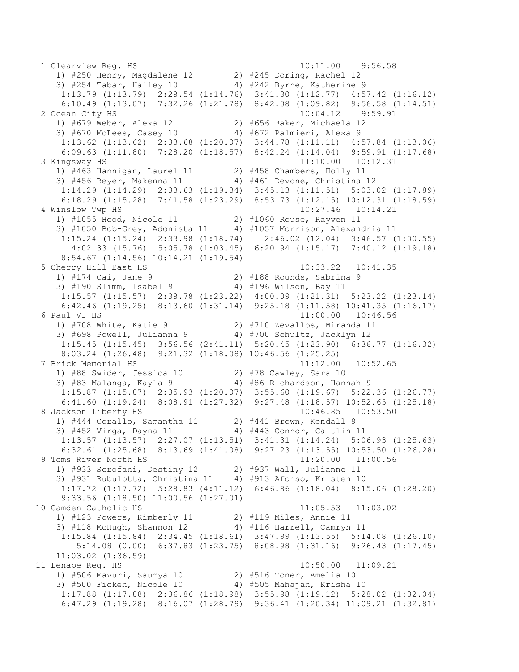1 Clearview Reg. HS 10:11.00 9:56.58 1) #250 Henry, Magdalene 12 2) #245 Doring, Rachel 12 3) #254 Tabar, Hailey 10 4) #242 Byrne, Katherine 9 1:13.79 (1:13.79) 2:28.54 (1:14.76) 3:41.30 (1:12.77) 4:57.42 (1:16.12) 6:10.49 (1:13.07) 7:32.26 (1:21.78) 8:42.08 (1:09.82) 9:56.58 (1:14.51) 2 Ocean City HS 10:04.12 9:59.91 1) #679 Weber, Alexa 12 2) #656 Baker, Michaela 12 3) #670 McLees, Casey 10 4) #672 Palmieri, Alexa 9 1:13.62 (1:13.62) 2:33.68 (1:20.07) 3:44.78 (1:11.11) 4:57.84 (1:13.06) 6:09.63 (1:11.80) 7:28.20 (1:18.57) 8:42.24 (1:14.04) 9:59.91 (1:17.68) 3 Kingsway HS 11:10.00 10:12.31 1) #463 Hannigan, Laurel 11 2) #458 Chambers, Holly 11 3) #456 Beyer, Makenna 11 4) #461 Devone, Christina 12 1:14.29 (1:14.29) 2:33.63 (1:19.34) 3:45.13 (1:11.51) 5:03.02 (1:17.89) 6:18.29 (1:15.28) 7:41.58 (1:23.29) 8:53.73 (1:12.15) 10:12.31 (1:18.59) 4 Winslow Twp HS 10:27.46 10:14.21 1) #1055 Hood, Nicole 11 2) #1060 Rouse, Rayven 11 3) #1050 Bob-Grey, Adonista 11 4) #1057 Morrison, Alexandria 11 1:15.24 (1:15.24) 2:33.98 (1:18.74) 2:46.02 (12.04) 3:46.57 (1:00.55) 4:02.33 (15.76) 5:05.78 (1:03.45) 6:20.94 (1:15.17) 7:40.12 (1:19.18) 8:54.67 (1:14.56) 10:14.21 (1:19.54) 5 Cherry Hill East HS 10:33.22 10:41.35<br>1) #174 Cai, Jane 9 2) #188 Rounds, Sabrina 9 1) #174 Cai, Jane 9 2) #188 Rounds, Sabrina 9 3) #190 Slimm, Isabel 9 4) #196 Wilson, Bay 11 1:15.57 (1:15.57) 2:38.78 (1:23.22) 4:00.09 (1:21.31) 5:23.22 (1:23.14) 6:42.46 (1:19.25) 8:13.60 (1:31.14) 9:25.18 (1:11.58) 10:41.35 (1:16.17) 6 Paul VI HS 11:00.00 10:46.56 1) #708 White, Katie 9 2) #710 Zevallos, Miranda 11 3) #698 Powell, Julianna 9 4) #700 Schultz, Jacklyn 12 1:15.45 (1:15.45) 3:56.56 (2:41.11) 5:20.45 (1:23.90) 6:36.77 (1:16.32) 8:03.24 (1:26.48) 9:21.32 (1:18.08) 10:46.56 (1:25.25) 7 Brick Memorial HS 11:12.00 10:52.65 1) #88 Swider, Jessica 10 2) #78 Cawley, Sara 10 3) #83 Malanga, Kayla 9 4) #86 Richardson, Hannah 9 1:15.87 (1:15.87) 2:35.93 (1:20.07) 3:55.60 (1:19.67) 5:22.36 (1:26.77) 6:41.60 (1:19.24) 8:08.91 (1:27.32) 9:27.48 (1:18.57) 10:52.65 (1:25.18) 8 Jackson Liberty HS 10:46.85 10:53.50 1) #444 Corallo, Samantha 11 2) #441 Brown, Kendall 9 3) #452 Virga, Dayna 11 4) #443 Connor, Caitlin 11 1:13.57 (1:13.57) 2:27.07 (1:13.51) 3:41.31 (1:14.24) 5:06.93 (1:25.63) 6:32.61 (1:25.68) 8:13.69 (1:41.08) 9:27.23 (1:13.55) 10:53.50 (1:26.28) 9 Toms River North HS 11:20.00 11:00.56 1) #933 Scrofani, Destiny 12 2) #937 Wall, Julianne 11 3) #931 Rubulotta, Christina 11 4) #913 Afonso, Kristen 10 1:17.72 (1:17.72) 5:28.83 (4:11.12) 6:46.86 (1:18.04) 8:15.06 (1:28.20) 9:33.56 (1:18.50) 11:00.56 (1:27.01) 10 Camden Catholic HS 11:05.53 11:03.02 1) #123 Powers, Kimberly 11 2) #119 Miles, Annie 11 3) #118 McHugh, Shannon 12 4) #116 Harrell, Camryn 11 1:15.84 (1:15.84) 2:34.45 (1:18.61) 3:47.99 (1:13.55) 5:14.08 (1:26.10) 5:14.08 (0.00) 6:37.83 (1:23.75) 8:08.98 (1:31.16) 9:26.43 (1:17.45) 11:03.02 (1:36.59) 11 Lenape Reg. HS 10:50.00 11:09.21 1) #506 Mavuri, Saumya 10 2) #516 Toner, Amelia 10 3) #500 Ficken, Nicole 10 4) #505 Mahajan, Krisha 10 1:17.88 (1:17.88) 2:36.86 (1:18.98) 3:55.98 (1:19.12) 5:28.02 (1:32.04) 6:47.29 (1:19.28) 8:16.07 (1:28.79) 9:36.41 (1:20.34) 11:09.21 (1:32.81)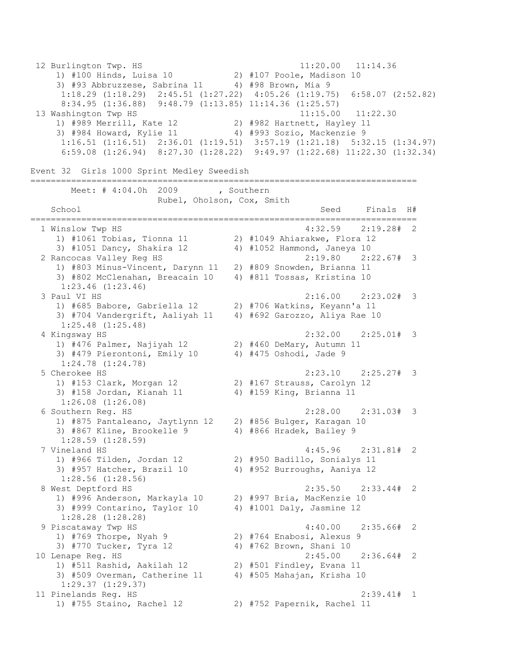12 Burlington Twp. HS 11:20.00 11:14.36 1) #100 Hinds, Luisa 10 2) #107 Poole, Madison 10 3) #93 Abbruzzese, Sabrina 11 4) #98 Brown, Mia 9 1:18.29 (1:18.29) 2:45.51 (1:27.22) 4:05.26 (1:19.75) 6:58.07 (2:52.82) 8:34.95 (1:36.88) 9:48.79 (1:13.85) 11:14.36 (1:25.57) 13 Washington Twp HS 11:15.00 11:22.30 1) #989 Merrill, Kate 12 2) #982 Hartnett, Hayley 11 3) #984 Howard, Kylie 11 4) #993 Sozio, Mackenzie 9 1:16.51 (1:16.51) 2:36.01 (1:19.51) 3:57.19 (1:21.18) 5:32.15 (1:34.97) 6:59.08 (1:26.94) 8:27.30 (1:28.22) 9:49.97 (1:22.68) 11:22.30 (1:32.34) Event 32 Girls 1000 Sprint Medley Sweedish ============================================================================ Meet: # 4:04.0h 2009 , Southern Rubel, Oholson, Cox, Smith School School Seed Finals H# ============================================================================ 1 Winslow Twp HS 4:32.59 2:19.28# 2 1) #1061 Tobias, Tionna 11 2) #1049 Ahiarakwe, Flora 12 3) #1051 Dancy, Shakira 12 4) #1052 Hammond, Janeya 10 2 Rancocas Valley Reg HS 2:19.80 2:22.67# 3 1) #803 Minus-Vincent, Darynn 11 2) #809 Snowden, Brianna 11 3) #802 McClenahan, Breacain 10 4) #811 Tossas, Kristina 10 1:23.46 (1:23.46) 3 Paul VI HS 2:16.00 2:23.02# 3 1) #685 Babore, Gabriella 12 2) #706 Watkins, Keyann'a 11 3) #704 Vandergrift, Aaliyah 11 4) #692 Garozzo, Aliya Rae 10 1:25.48 (1:25.48) 4 Kingsway HS 2:32.00 2:25.01# 3 1) #476 Palmer, Najiyah 12 2) #460 DeMary, Autumn 11 3) #479 Pierontoni, Emily 10 4) #475 Oshodi, Jade 9 1:24.78 (1:24.78) 5 Cherokee HS 2:23.10 2:25.27# 3 1) #153 Clark, Morgan 12 2) #167 Strauss, Carolyn 12 3) #158 Jordan, Kianah 11 4) #159 King, Brianna 11 1:26.08 (1:26.08) 6 Southern Reg. HS 2:28.00 2:31.03# 3 1) #875 Pantaleano, Jaytlynn 12 2) #856 Bulger, Karagan 10 3) #867 Kline, Brookelle 9 4) #866 Hradek, Bailey 9 1:28.59 (1:28.59) 7 Vineland HS 4:45.96 2:31.81# 2 1) #966 Tilden, Jordan 12 2) #950 Badillo, Sonialys 11 3) #957 Hatcher, Brazil 10 4) #952 Burroughs, Aaniya 12 1:28.56 (1:28.56) 8 West Deptford HS 2:35.50 2:33.44# 2 1) #996 Anderson, Markayla 10 2) #997 Bria, MacKenzie 10 3) #999 Contarino, Taylor 10  $4$ ) #1001 Daly, Jasmine 12 1:28.28 (1:28.28) 9 Piscataway Twp HS 4:40.00 2:35.66# 2 1) #769 Thorpe, Nyah 9 2) #764 Enabosi, Alexus 9 3) #770 Tucker, Tyra 12 4) #762 Brown, Shani 10 10 Lenape Reg. HS 2:45.00 2:36.64# 2 1) #511 Rashid, Aakilah 12 2) #501 Findley, Evana 11 3) #509 Overman, Catherine 11 4) #505 Mahajan, Krisha 10 1:29.37 (1:29.37) 11 Pinelands Reg. HS 2:39.41# 1 1) #755 Staino, Rachel 12 2) #752 Papernik, Rachel 11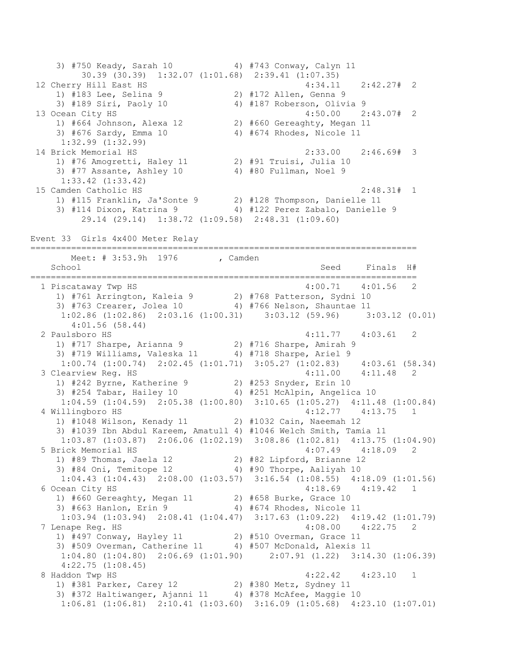3) #750 Keady, Sarah 10 4) #743 Conway, Calyn 11 30.39 (30.39) 1:32.07 (1:01.68) 2:39.41 (1:07.35) 12 Cherry Hill East HS 4:34.11 2:42.27# 2 1) #183 Lee, Selina 9 2) #172 Allen, Genna 9 3) #189 Siri, Paoly 10 4) #187 Roberson, Olivia 9 13 Ocean City HS 4:50.00 2:43.07# 2 1) #664 Johnson, Alexa 12 2) #660 Gereaghty, Megan 11 3) #676 Sardy, Emma 10 4) #674 Rhodes, Nicole 11 1:32.99 (1:32.99) 14 Brick Memorial HS 2:33.00 2:46.69# 3 1) #76 Amogretti, Haley 11 2) #91 Truisi, Julia 10 3) #77 Assante, Ashley 10 4) #80 Fullman, Noel 9 1:33.42 (1:33.42) 15 Camden Catholic HS 2:48.31# 1 1) #115 Franklin, Ja'Sonte 9 2) #128 Thompson, Danielle 11 3) #114 Dixon, Katrina 9 4) #122 Perez Zabalo, Danielle 9 29.14 (29.14) 1:38.72 (1:09.58) 2:48.31 (1:09.60) Event 33 Girls 4x400 Meter Relay ============================================================================ Meet: # 3:53.9h 1976 , Camden School School Seed Finals H# ============================================================================ 1 Piscataway Twp HS 4:00.71 4:01.56 2 1) #761 Arrington, Kaleia 9 2) #768 Patterson, Sydni 10 3) #763 Crearer, Jolea 10 4) #766 Nelson, Shauntae 11 1:02.86 (1:02.86) 2:03.16 (1:00.31) 3:03.12 (59.96) 3:03.12 (0.01) 4:01.56 (58.44) 2 Paulsboro HS 4:11.77 4:03.61 2 1) #717 Sharpe, Arianna 9 2) #716 Sharpe, Amirah 9 3) #719 Williams, Valeska 11 4) #718 Sharpe, Ariel 9 1:00.74 (1:00.74) 2:02.45 (1:01.71) 3:05.27 (1:02.83) 4:03.61 (58.34) 3 Clearview Reg. HS 4:11.00 4:11.48 2 1) #242 Byrne, Katherine 9 2) #253 Snyder, Erin 10 3) #254 Tabar, Hailey 10 4) #251 McAlpin, Angelica 10 1:04.59 (1:04.59) 2:05.38 (1:00.80) 3:10.65 (1:05.27) 4:11.48 (1:00.84) 4 Willingboro HS 4:12.77 4:13.75 1 1) #1048 Wilson, Kenady 11 2) #1032 Cain, Naeemah 12 3) #1039 Ibn Abdul Kareem, Amatull 4) #1046 Welch Smith, Tamia 11 1:03.87 (1:03.87) 2:06.06 (1:02.19) 3:08.86 (1:02.81) 4:13.75 (1:04.90) 5 Brick Memorial HS 4:07.49 4:18.09 2 1) #89 Thomas, Jaela 12 2) #82 Lipford, Brianne 12 3) #84 Oni, Temitope 12 4) #90 Thorpe, Aaliyah 10 1:04.43 (1:04.43) 2:08.00 (1:03.57) 3:16.54 (1:08.55) 4:18.09 (1:01.56) 6 Ocean City HS 4:18.69 4:19.42 1 1) #660 Gereaghty, Megan 11 2) #658 Burke, Grace 10 3) #663 Hanlon, Erin 9 4) #674 Rhodes, Nicole 11 1:03.94 (1:03.94) 2:08.41 (1:04.47) 3:17.63 (1:09.22) 4:19.42 (1:01.79) 7 Lenape Reg. HS 4:08.00 4:22.75 2 1) #497 Conway, Hayley 11 2) #510 Overman, Grace 11 3) #509 Overman, Catherine 11 4) #507 McDonald, Alexis 11 1:04.80 (1:04.80) 2:06.69 (1:01.90) 2:07.91 (1.22) 3:14.30 (1:06.39) 4:22.75 (1:08.45) 8 Haddon Twp HS 4:22.42 4:23.10 1 1) #381 Parker, Carey 12 2) #380 Metz, Sydney 11 3) #372 Haltiwanger, Ajanni 11 4) #378 McAfee, Maggie 10 1:06.81 (1:06.81) 2:10.41 (1:03.60) 3:16.09 (1:05.68) 4:23.10 (1:07.01)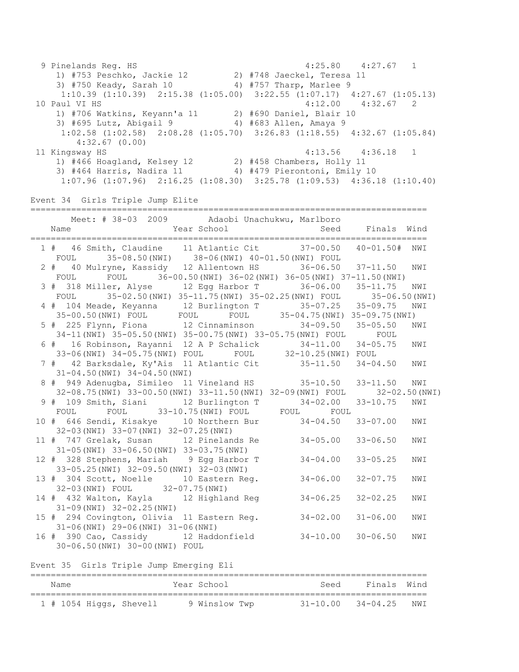9 Pinelands Reg. HS 4:25.80 4:27.67 1 1) #753 Peschko, Jackie 12 2) #748 Jaeckel, Teresa 11 3) #750 Keady, Sarah 10 4) #757 Tharp, Marlee 9 1:10.39 (1:10.39) 2:15.38 (1:05.00) 3:22.55 (1:07.17) 4:27.67 (1:05.13) 10 Paul VI HS 4:12.00 4:32.67 2 1) #706 Watkins, Keyann'a 11 2) #690 Daniel, Blair 10 3) #695 Lutz, Abigail 9 4) #683 Allen, Amaya 9 1:02.58 (1:02.58) 2:08.28 (1:05.70) 3:26.83 (1:18.55) 4:32.67 (1:05.84) 4:32.67 (0.00) 11 Kingsway HS 4:13.56 4:36.18 1 1) #466 Hoagland, Kelsey 12 2) #458 Chambers, Holly 11 3) #464 Harris, Nadira 11 4) #479 Pierontoni, Emily 10 1:07.96 (1:07.96) 2:16.25 (1:08.30) 3:25.78 (1:09.53) 4:36.18 (1:10.40) Event 34 Girls Triple Jump Elite ============================================================================== Meet: # 38-03 2009 Adaobi Unachukwu, Marlboro Name **Seed** Finals Wind ============================================================================== 1 # 46 Smith, Claudine 11 Atlantic Cit 37-00.50 40-01.50# NWI FOUL 35-08.50(NWI) 38-06(NWI) 40-01.50(NWI) FOUL 2 # 40 Mulryne, Kassidy 12 Allentown HS 36-06.50 37-11.50 NWI FOUL FOUL 36-00.50(NWI) 36-02(NWI) 36-05(NWI) 37-11.50(NWI) 3 # 318 Miller, Alyse 12 Egg Harbor T 36-06.00 35-11.75 NWI FOUL 35-02.50(NWI) 35-11.75(NWI) 35-02.25(NWI) FOUL 35-06.50(NWI) 4 # 104 Meade, Keyanna 12 Burlington T 35-07.25 35-09.75 NWI 35-00.50(NWI) FOUL FOUL FOUL 35-04.75(NWI) 35-09.75(NWI) 5 # 225 Flynn, Fiona 12 Cinnaminson 34-09.50 35-05.50 NWI 34-11(NWI) 35-05.50(NWI) 35-00.75(NWI) 33-05.75(NWI) FOUL FOUL 6 # 16 Robinson, Rayanni 12 A P Schalick 34-11.00 34-05.75 NWI 33-06(NWI) 34-05.75(NWI) FOUL FOUL 32-10.25(NWI) FOUL 7 # 42 Barksdale, Ky'Ais 11 Atlantic Cit 35-11.50 34-04.50 NWI 31-04.50(NWI) 34-04.50(NWI) 8 # 949 Adenugba, Simileo 11 Vineland HS 35-10.50 33-11.50 NWI 32-08.75(NWI) 33-00.50(NWI) 33-11.50(NWI) 32-09(NWI) FOUL 32-02.50(NWI) 9 # 109 Smith, Siani 12 Burlington T 34-02.00 33-10.75 NWI FOUL FOUL 33-10.75(NWI) FOUL FOUL FOUL 10 # 646 Sendi, Kisakye 10 Northern Bur 34-04.50 33-07.00 NWI 32-03(NWI) 33-07(NWI) 32-07.25(NWI) 11 # 747 Grelak, Susan 12 Pinelands Re 34-05.00 33-06.50 NWI 31-05(NWI) 33-06.50(NWI) 33-03.75(NWI) 12 # 328 Stephens, Mariah 9 Egg Harbor T 34-04.00 33-05.25 NWI 33-05.25(NWI) 32-09.50(NWI) 32-03(NWI) 13 # 304 Scott, Noelle 10 Eastern Reg. 34-06.00 32-07.75 NWI 32-03(NWI) FOUL 32-07.75(NWI) 14 # 432 Walton, Kayla 12 Highland Reg 34-06.25 32-02.25 NWI 31-09(NWI) 32-02.25(NWI) 15 # 294 Covington, Olivia 11 Eastern Reg. 34-02.00 31-06.00 NWI 31-06(NWI) 29-06(NWI) 31-06(NWI) 16 # 390 Cao, Cassidy 12 Haddonfield 34-10.00 30-06.50 NWI 30-06.50(NWI) 30-00(NWI) FOUL Event 35 Girls Triple Jump Emerging Eli ============================================================================== Name **Seed Finals Wind Seed Finals Wind** ==============================================================================

1 # 1054 Higgs, Shevell 9 Winslow Twp 31-10.00 34-04.25 NWI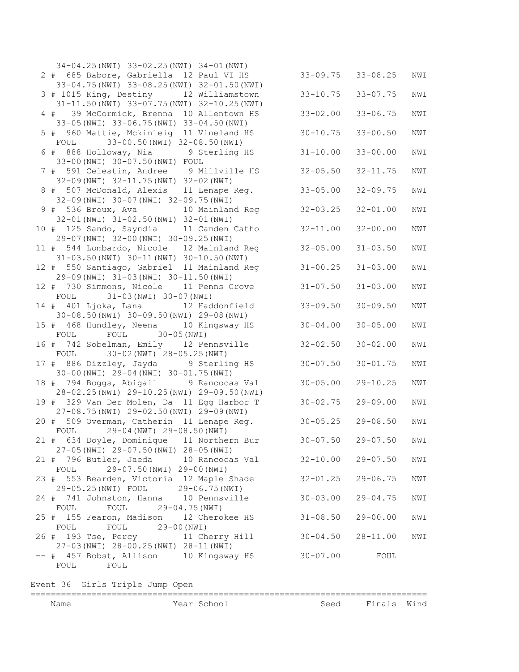| 34-04.25(NWI) 33-02.25(NWI) 34-01(NWI)                                              |              |                       |     |
|-------------------------------------------------------------------------------------|--------------|-----------------------|-----|
| 2 # 685 Babore, Gabriella 12 Paul VI HS                                             | $33 - 09.75$ | $33 - 08.25$          | NWI |
| 33-04.75 (NWI) 33-08.25 (NWI) 32-01.50 (NWI)                                        |              |                       |     |
| 3 # 1015 King, Destiny<br>12 Williamstown                                           | $33 - 10.75$ | $33 - 07.75$          | NWI |
| 31-11.50 (NWI) 33-07.75 (NWI) 32-10.25 (NWI)                                        |              |                       |     |
| 4 # 39 McCormick, Brenna<br>10 Allentown HS                                         | $33 - 02.00$ | $33 - 06.75$          | NWI |
| 33-05 (NWI) 33-06.75 (NWI) 33-04.50 (NWI)                                           |              |                       |     |
| 5 # 960 Mattie, Mckinleig 11 Vineland HS                                            | $30 - 10.75$ | $33 - 00.50$          | NWI |
| FOUL 33-00.50 (NWI) 32-08.50 (NWI)<br>6 # 888 Holloway, Nia 9 Sterling HS           | $31 - 10.00$ | $33 - 00.00$          | NWI |
| 33-00 (NWI) 30-07.50 (NWI) FOUL                                                     |              |                       |     |
| 7 # 591 Celestin, Andree 9 Millville HS                                             | $32 - 05.50$ | $32 - 11.75$          | NWI |
| 32-09 (NWI) 32-11.75 (NWI) 32-02 (NWI)                                              |              |                       |     |
| 8 # 507 McDonald, Alexis 11 Lenape Req.                                             | $33 - 05.00$ | $32 - 09.75$          | NWI |
| 32-09 (NWI) 30-07 (NWI) 32-09.75 (NWI)                                              |              |                       |     |
| 9 # 536 Broux, Ava 10 Mainland Reg                                                  | $32 - 03.25$ | $32 - 01.00$          | NWI |
| 32-01 (NWI) 31-02.50 (NWI) 32-01 (NWI)                                              |              |                       |     |
| 10 # 125 Sando, Sayndia 11 Camden Catho                                             | $32 - 11.00$ | $32 - 00.00$          | NWI |
| 29-07 (NWI) 32-00 (NWI) 30-09.25 (NWI)                                              |              |                       |     |
| 11 # 544 Lombardo, Nicole 12 Mainland Req                                           | $32 - 05.00$ | $31 - 03.50$          | NWI |
| 31-03.50 (NWI) 30-11 (NWI) 30-10.50 (NWI)                                           |              |                       |     |
| 12 # 550 Santiago, Gabriel 11 Mainland Reg                                          | $31 - 00.25$ | $31 - 03.00$          | NWI |
| 29-09 (NWI) 31-03 (NWI) 30-11.50 (NWI)<br>12 # 730 Simmons, Nicole 11 Penns Grove   | $31 - 07.50$ | $31 - 03.00$          | NWI |
| FOUL 31-03 (NWI) 30-07 (NWI)                                                        |              |                       |     |
| 14 # 401 Ljoka, Lana 12 Haddonfield                                                 | $33 - 09.50$ | $30 - 09.50$          | NWI |
| 30-08.50 (NWI) 30-09.50 (NWI) 29-08 (NWI)                                           |              |                       |     |
| 15 # 468 Hundley, Neena 10 Kingsway HS                                              | $30 - 04.00$ | $30 - 05.00$          | NWI |
| FOUL 30-05 (NWI)<br>FOUL                                                            |              |                       |     |
| 16 # 742 Sobelman, Emily 12 Pennsville                                              | $32 - 02.50$ | $30 - 02.00$          | NWI |
| 30-02 (NWI) 28-05.25 (NWI)<br>FOUL                                                  |              |                       |     |
| 17 # 886 Dizzley, Jayda 9 Sterling HS                                               | $30 - 07.50$ | $30 - 01.75$          | NWI |
| 30-00 (NWI) 29-04 (NWI) 30-01.75 (NWI)                                              |              |                       |     |
| 18 # 794 Boggs, Abigail 9 Rancocas Val<br>28-02.25(NWI) 29-10.25(NWI) 29-09.50(NWI) | $30 - 05.00$ | $29 - 10.25$          | NWI |
| 19 # 329 Van Der Molen, Da 11 Egg Harbor T                                          | $30 - 02.75$ | $29 - 09.00$          | NWI |
| 27-08.75(NWI) 29-02.50(NWI) 29-09(NWI)                                              |              |                       |     |
| 20 # 509 Overman, Catherin 11 Lenape Req.                                           | $30 - 05.25$ | $29 - 08.50$          | NWI |
| 29-04 (NWI) 29-08.50 (NWI)<br>FOUL                                                  |              |                       |     |
| 21 # 634 Doyle, Dominique 11 Northern Bur                                           |              | $30 - 07.50$ 29-07.50 | NWI |
| 27-05(NWI) 29-07.50(NWI) 28-05(NWI)                                                 |              |                       |     |
| 21 # 796 Butler, Jaeda 10 Rancocas Val                                              | $32 - 10.00$ | $29 - 07.50$          | NWI |
| 29-07.50 (NWI) 29-00 (NWI)<br>FOUL                                                  |              |                       |     |
| 23 # 553 Bearden, Victoria 12 Maple Shade                                           | $32 - 01.25$ | $29 - 06.75$          | NWI |
| 29-05.25(NWI) FOUL 29-06.75(NWI)                                                    |              |                       |     |
| 24 # 741 Johnston, Hanna 10 Pennsville                                              | $30 - 03.00$ | $29 - 04.75$          | NWI |
| $29 - 04.75$ (NWI)<br>FOUL<br>FOUL                                                  |              | $29 - 00.00$          |     |
| 25 # 155 Fearon, Madison 12 Cherokee HS<br>FOUL 29-00 (NWI)<br>FOUL                 | $31 - 08.50$ |                       | NWI |
| 26 # 193 Tse, Percy 11 Cherry Hill                                                  | $30 - 04.50$ | $28 - 11.00$          | NWI |
| 27-03(NWI) 28-00.25(NWI) 28-11(NWI)                                                 |              |                       |     |
| -- # 457 Bobst, Allison 10 Kingsway HS                                              | $30 - 07.00$ | FOUL                  |     |
| FOUL<br>FOUL                                                                        |              |                       |     |
|                                                                                     |              |                       |     |

Event 36 Girls Triple Jump Open

## ============================================================================== Name **Name** Year School Seed Finals Wind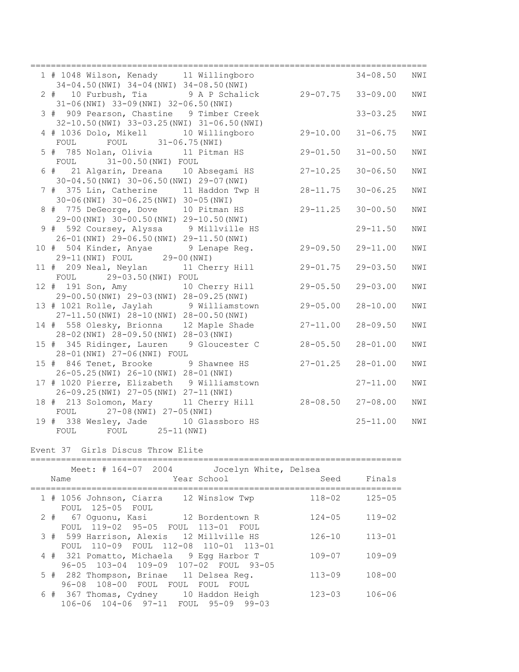| 1 # 1048 Wilson, Kenady 11 Willingboro                                              | $34 - 08.50$ |              | NWI |
|-------------------------------------------------------------------------------------|--------------|--------------|-----|
| $34-04.50$ (NWI) $34-04$ (NWI) $34-08.50$ (NWI)                                     |              |              |     |
| 2 # 10 Furbush, Tia<br>9 A P Schalick<br>29-07.75 33-09.00                          |              |              | NWI |
| $31-06$ (NWI) $33-09$ (NWI) $32-06.50$ (NWI)                                        |              |              |     |
| 3 # 909 Pearson, Chastine 9 Timber Creek                                            |              | $33 - 03.25$ | NWI |
| 32-10.50(NWI) 33-03.25(NWI) 31-06.50(NWI)                                           |              |              |     |
| 4 # 1036 Dolo, Mikell 10 Willingboro                                                | $29 - 10.00$ | $31 - 06.75$ | NWI |
| FOUL 31-06.75 (NWI)<br>FOUL                                                         |              |              |     |
| 5 # 785 Nolan, Olivia 11 Pitman HS                                                  | $29 - 01.50$ | $31 - 00.50$ | NWI |
| FOUL 31-00.50 (NWI) FOUL                                                            |              |              |     |
| 6 # 21 Algarin, Dreana 10 Absegami HS                                               | $27 - 10.25$ | $30 - 06.50$ | NWI |
| 30-04.50 (NWI) 30-06.50 (NWI) 29-07 (NWI)                                           |              |              |     |
| 7 # 375 Lin, Catherine 11 Haddon Twp H                                              | $28 - 11.75$ | $30 - 06.25$ | NWI |
| $30-06$ (NWI) $30-06.25$ (NWI) $30-05$ (NWI)                                        |              |              |     |
| 8 # 775 DeGeorge, Dove 10 Pitman HS                                                 | $29 - 11.25$ | $30 - 00.50$ | NWI |
| 29-00 (NWI) 30-00.50 (NWI) 29-10.50 (NWI)                                           |              |              |     |
| 9 # 592 Coursey, Alyssa 9 Millville HS                                              |              | $29 - 11.50$ | NWI |
| 26-01 (NWI) 29-06.50 (NWI) 29-11.50 (NWI)                                           |              |              |     |
| 10 # 504 Kinder, Anyae 9 Lenape Reg.                                                | $29 - 09.50$ | $29 - 11.00$ | NWI |
| 29-11 (NWI) FOUL 29-00 (NWI)                                                        |              |              |     |
| 11 # 209 Neal, Neylan 11 Cherry Hill                                                | $29 - 01.75$ | $29 - 03.50$ | NWI |
| FOUL 29-03.50 (NWI) FOUL                                                            |              |              |     |
| 12 # 191 Son, Amy 10 Cherry Hill                                                    | $29 - 05.50$ | $29 - 03.00$ | NWI |
| 29-00.50(NWI) 29-03(NWI) 28-09.25(NWI)                                              |              |              |     |
|                                                                                     | $29 - 05.00$ | $28 - 10.00$ | NWI |
| 13 # 1021 Rolle, Jaylah 9 Williamstown<br>27-11.50 (NWI) 28-10 (NWI) 28-00.50 (NWI) |              |              |     |
| 14 # 558 Olesky, Brionna 12 Maple Shade                                             | $27 - 11.00$ | $28 - 09.50$ | NWI |
| 28-02 (NWI) 28-09.50 (NWI) 28-03 (NWI)                                              |              |              |     |
| 15 # 345 Ridinger, Lauren 9 Gloucester C                                            | $28 - 05.50$ | $28 - 01.00$ | NWI |
| 28-01 (NWI) 27-06 (NWI) FOUL                                                        |              |              |     |
|                                                                                     | $27 - 01.25$ |              |     |
| 15 # 846 Tenet, Brooke 9 Shawnee HS                                                 |              | $28 - 01.00$ | NWI |
| 26-05.25 (NWI) 26-10 (NWI) 28-01 (NWI)                                              |              |              |     |
| 17 # 1020 Pierre, Elizabeth 9 Williamstown                                          |              | $27 - 11.00$ | NWI |
| 26-09.25 (NWI) 27-05 (NWI) 27-11 (NWI)                                              |              |              |     |
| 18 # 213 Solomon, Mary 11 Cherry Hill 28-08.50                                      |              | $27 - 08.00$ | NWI |
| 27-08 (NWI) 27-05 (NWI)<br>FOUL                                                     |              |              |     |
| 19 # 338 Wesley, Jade 10 Glassboro HS                                               |              | $25 - 11.00$ | NWI |
| FOUL 25-11 (NWI)<br>FOUL                                                            |              |              |     |
|                                                                                     |              |              |     |

## Event 37 Girls Discus Throw Elite

|       | Meet: # 164-07 2004<br>Jocelyn White, Delsea<br>Year School<br>Name               | Seed       | Finals     |
|-------|-----------------------------------------------------------------------------------|------------|------------|
|       | 1 # 1056 Johnson, Ciarra 12 Winslow Twp<br>FOUL 125-05 FOUL                       | $118 - 02$ | $125 - 05$ |
| $2 +$ | 67 Oquonu, Kasi       12 Bordentown R<br>FOUL 119-02 95-05 FOUL 113-01 FOUL       | $124 - 05$ | $119 - 02$ |
|       | 3 # 599 Harrison, Alexis 12 Millville HS<br>FOUL 110-09 FOUL 112-08 110-01 113-01 | $126 - 10$ | $113 - 01$ |
|       | 4 # 321 Pomatto, Michaela 9 Egg Harbor T<br>96-05 103-04 109-09 107-02 FOUL 93-05 | $109 - 07$ | $109 - 09$ |
|       | 5 # 282 Thompson, Brinae 11 Delsea Req.<br>96-08 108-00 FOUL FOUL FOUL<br>FOUL    | $113 - 09$ | $108 - 00$ |
|       | 6 # 367 Thomas, Cydney 10 Haddon Heigh<br>106-06 104-06 97-11 FOUL 95-09 99-03    | $123 - 03$ | $106 - 06$ |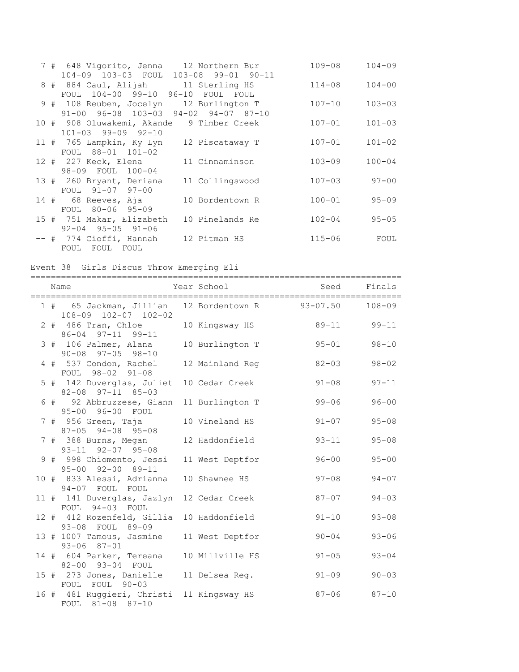|  | 7 # 648 Vigorito, Jenna 12 Northern Bur   |                 | $109 - 08$ | $104 - 09$ |
|--|-------------------------------------------|-----------------|------------|------------|
|  | 104-09 103-03 FOUL 103-08 99-01 90-11     |                 |            |            |
|  | 8 # 884 Caul, Alijah 11 Sterling HS       |                 | $114 - 08$ | $104 - 00$ |
|  | FOUL 104-00 99-10 96-10 FOUL FOUL         |                 |            |            |
|  | 9 # 108 Reuben, Jocelyn 12 Burlington T   |                 | $107 - 10$ | $103 - 03$ |
|  | 91-00 96-08 103-03 94-02 94-07 87-10      |                 |            |            |
|  | 10 # 908 Oluwakemi, Akande 9 Timber Creek |                 | $107 - 01$ | $101 - 03$ |
|  | $101 - 03$ 99-09 92-10                    |                 |            |            |
|  | 11 # 765 Lampkin, Ky Lyn                  | 12 Piscataway T | $107 - 01$ | $101 - 02$ |
|  | FOUL 88-01 101-02                         |                 |            |            |
|  | 12 # 227 Keck, Elena                      | 11 Cinnaminson  | $103 - 09$ | $100 - 04$ |
|  | 98-09 FOUL 100-04                         |                 |            |            |
|  | 13 # 260 Bryant, Deriana                  | 11 Collingswood | $107 - 03$ | $97 - 00$  |
|  | FOUL 91-07 97-00                          |                 |            |            |
|  | 14 # 68 Reeves, Aja                       | 10 Bordentown R | $100 - 01$ | $95 - 09$  |
|  | FOUL 80-06 95-09                          |                 |            |            |
|  | 15 # 751 Makar, Elizabeth                 | 10 Pinelands Re | $102 - 04$ | $95 - 05$  |
|  | $92 - 04$ $95 - 05$ $91 - 06$             |                 |            |            |
|  | -- # 774 Cioffi, Hannah                   | 12 Pitman HS    | $115 - 06$ | FOUL       |
|  | FOUL FOUL FOUL                            |                 |            |            |

Event 38 Girls Discus Throw Emerging Eli

|  | Name<br>================================                                 | Year School     | Seed Finals<br>---------------------- |             |
|--|--------------------------------------------------------------------------|-----------------|---------------------------------------|-------------|
|  | 1 # 65 Jackman, Jillian 12 Bordentown R 93-07.50<br>108-09 102-07 102-02 |                 |                                       | $108 - 09$  |
|  | 2 # 486 Tran, Chloe<br>86-04 97-11 99-11                                 | 10 Kingsway HS  |                                       | 89-11 99-11 |
|  | 3 # 106 Palmer, Alana<br>$90 - 08$ $97 - 05$ $98 - 10$                   | 10 Burlington T | $95 - 01$                             | $98 - 10$   |
|  | 4 # 537 Condon, Rachel<br>FOUL 98-02 91-08                               | 12 Mainland Reg | $82 - 03$                             | $98 - 02$   |
|  | 5 # 142 Duverglas, Juliet 10 Cedar Creek<br>82-08 97-11 85-03            |                 | $91 - 08$                             | $97 - 11$   |
|  | 6 # 92 Abbruzzese, Giann 11 Burlington T<br>95-00 96-00 FOUL             |                 | $99 - 06$                             | $96 - 00$   |
|  | 7 # 956 Green, Taja<br>$87 - 05$ 94-08 95-08                             | 10 Vineland HS  | $91 - 07$                             | $95 - 08$   |
|  | 7 # 388 Burns, Megan<br>93-11 92-07 95-08                                | 12 Haddonfield  | $93 - 11$                             | $95 - 08$   |
|  | 9 # 998 Chiomento, Jessi<br>95-00 92-00 89-11                            | 11 West Deptfor | $96 - 00$                             | $95 - 00$   |
|  | 10 # 833 Alessi, Adrianna<br>94-07 FOUL FOUL                             | 10 Shawnee HS   | $97 - 08$                             | $94 - 07$   |
|  | 11 # 141 Duverglas, Jazlyn 12 Cedar Creek<br>FOUL 94-03 FOUL             |                 | $87 - 07$                             | $94 - 03$   |
|  | 12 # 412 Rozenfeld, Gillia<br>93-08 FOUL 89-09                           | 10 Haddonfield  | $91 - 10$                             | $93 - 08$   |
|  | 13 # 1007 Tamous, Jasmine 11 West Deptfor<br>$93 - 06$ $87 - 01$         |                 | $90 - 04$                             | $93 - 06$   |
|  | 14 # 604 Parker, Tereana 10 Millville HS<br>82-00 93-04 FOUL             |                 | $91 - 05$                             | $93 - 04$   |
|  | 15 # 273 Jones, Danielle 11 Delsea Req.<br>FOUL FOUL 90-03               |                 | $91 - 09$                             | $90 - 03$   |
|  | 16 # 481 Ruggieri, Christi 11 Kingsway HS<br>FOUL 81-08 87-10            |                 | $87 - 06$                             | $87 - 10$   |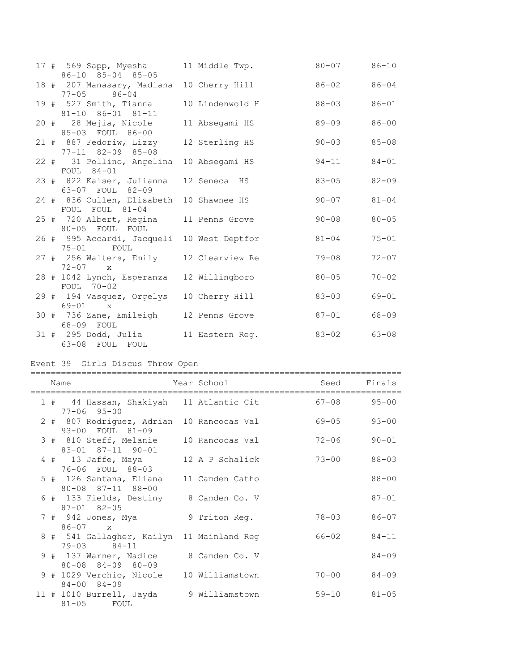|  | 17 # 569 Sapp, Myesha<br>86-10 85-04 85-05                   | 11 Middle Twp.  | 80-07 86-10 |           |
|--|--------------------------------------------------------------|-----------------|-------------|-----------|
|  | 18 # 207 Manasary, Madiana 10 Cherry Hill<br>$77 - 05$ 86-04 |                 | 86-02 86-04 |           |
|  | 19 # 527 Smith, Tianna<br>81-10 86-01 81-11                  | 10 Lindenwold H | $88 - 03$   | $86 - 01$ |
|  | 20 # 28 Mejia, Nicole<br>85-03 FOUL 86-00                    | 11 Absegami HS  | $89 - 09$   | $86 - 00$ |
|  | 21 # 887 Fedoriw, Lizzy<br>77-11 82-09 85-08                 | 12 Sterling HS  | $90 - 03$   | $85 - 08$ |
|  | 22 # 31 Pollino, Angelina 10 Absegami HS<br>FOUL 84-01       |                 | $94 - 11$   | $84 - 01$ |
|  | 23 # 822 Kaiser, Julianna<br>63-07 FOUL 82-09                | 12 Seneca HS    | $83 - 05$   | $82 - 09$ |
|  | 24 # 836 Cullen, Elisabeth<br>FOUL FOUL 81-04                | 10 Shawnee HS   | $90 - 07$   | $81 - 04$ |
|  | 25 # 720 Albert, Regina 11 Penns Grove<br>80-05 FOUL FOUL    |                 | $90 - 08$   | $80 - 05$ |
|  | 26 # 995 Accardi, Jacqueli 10 West Deptfor<br>75-01 FOUL     |                 | $81 - 04$   | $75 - 01$ |
|  | 27 # 256 Walters, Emily 12 Clearview Re<br>$72 - 07$ x       |                 | $79 - 08$   | $72 - 07$ |
|  | 28 # 1042 Lynch, Esperanza<br>FOUL 70-02                     | 12 Willingboro  | $80 - 05$   | $70 - 02$ |
|  | 29 # 194 Vasquez, Orgelys<br>$69 - 01$ x                     | 10 Cherry Hill  | $83 - 03$   | $69 - 01$ |
|  | 30 # 736 Zane, Emileigh 12 Penns Grove<br>68-09 FOUL         |                 | $87 - 01$   | $68 - 09$ |
|  | 31 # 295 Dodd, Julia<br>63-08 FOUL FOUL                      | 11 Eastern Req. | 83-02 63-08 |           |

# Event 39 Girls Discus Throw Open

|  | Name                                                                     | Year School I | Seed      | Finals    |
|--|--------------------------------------------------------------------------|---------------|-----------|-----------|
|  | 1 # 44 Hassan, Shakiyah 11 Atlantic Cit<br>$77 - 06$ 95-00               |               | $67 - 08$ | $95 - 00$ |
|  | 2 # 807 Rodriguez, Adrian 10 Rancocas Val<br>93-00 FOUL 81-09            |               | $69 - 05$ | $93 - 00$ |
|  | 3 # 810 Steff, Melanie 10 Rancocas Val<br>83-01 87-11 90-01              |               | $72 - 06$ | $90 - 01$ |
|  | 4 # 13 Jaffe, Maya 12 A P Schalick<br>76-06 FOUL 88-03                   |               | $73 - 00$ | $88 - 03$ |
|  | 5 # 126 Santana, Eliana 11 Camden Catho<br>$80 - 08$ $87 - 11$ $88 - 00$ |               |           | $88 - 00$ |
|  | 6 # 133 Fields, Destiny 8 Camden Co. V<br>$87 - 01$ $82 - 05$            |               |           | $87 - 01$ |
|  | 7 # 942 Jones, Mya<br>$86 - 07$ x                                        | 9 Triton Reg. | $78 - 03$ | $86 - 07$ |
|  | 8 # 541 Gallagher, Kailyn 11 Mainland Reg<br>$79 - 03$ $84 - 11$         |               | 66-02     | $84 - 11$ |
|  | 9 # 137 Warner, Nadice 8 Camden Co. V<br>$80 - 08$ $84 - 09$ $80 - 09$   |               |           | $84 - 09$ |
|  | 9 # 1029 Verchio, Nicole 10 Williamstown<br>$84 - 00$ $84 - 09$          |               | $70 - 00$ | $84 - 09$ |
|  | 11 # 1010 Burrell, Jayda 9 Williamstown<br>$81-05$ FOUL                  |               | $59 - 10$ | $81 - 05$ |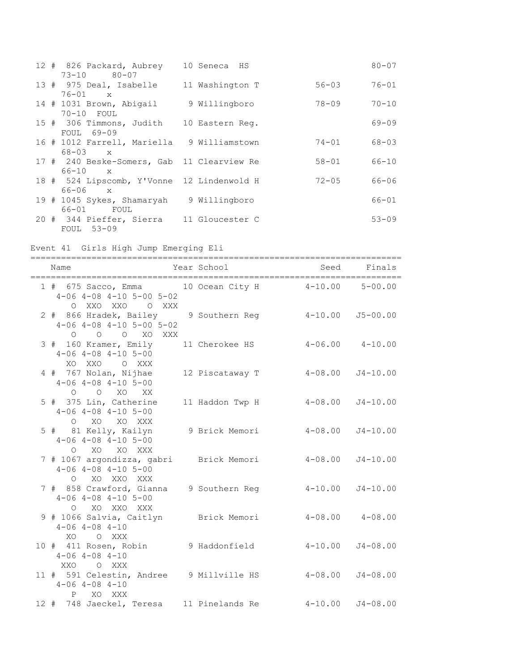| 12 # 826 Packard, Aubrey 10 Seneca HS      |                 |           | $80 - 07$ |
|--------------------------------------------|-----------------|-----------|-----------|
| $73 - 10$ 80-07                            |                 |           |           |
| 13 # 975 Deal, Isabelle 11 Washington T    |                 | $56 - 03$ | $76 - 01$ |
| $76 - 01$<br>$\mathbf{x}$                  |                 |           |           |
| 14 # 1031 Brown, Abigail                   | 9 Willingboro   | 78-09     | $70 - 10$ |
| 70-10 FOUL                                 |                 |           |           |
| 15 # 306 Timmons, Judith                   | 10 Eastern Req. |           | $69 - 09$ |
| FOUL 69-09                                 |                 |           |           |
| 16 # 1012 Farrell, Mariella 9 Williamstown |                 | 74-01     | $68 - 03$ |
| $68 - 03$<br>$\mathbf{x}$                  |                 |           |           |
| 17 # 240 Beske-Somers, Gab 11 Clearview Re |                 | $58 - 01$ | $66 - 10$ |
| $66 - 10$<br>$\mathbf{x}$                  |                 |           |           |
| 18 # 524 Lipscomb, Y'Vonne 12 Lindenwold H |                 | $72 - 05$ | $66 - 06$ |
| $66 - 06$<br>$\mathbf{x}$                  |                 |           |           |
| 19 # 1045 Sykes, Shamaryah                 | 9 Willingboro   |           | $66 - 01$ |
| 66-01 FOUL                                 |                 |           |           |
|                                            |                 |           |           |
| 20 # 344 Pieffer, Sierra 11 Gloucester C   |                 |           | $53 - 09$ |
| FOUL 53-09                                 |                 |           |           |

Event 41 Girls High Jump Emerging Eli

========================================================================= Name Tear School Seed Finals ========================================================================= 1 # 675 Sacco, Emma 10 Ocean City H 4-10.00 5-00.00 4-06 4-08 4-10 5-00 5-02 O XXO XXO O XXX 2 # 866 Hradek, Bailey 9 Southern Reg 4-10.00 J5-00.00 4-06 4-08 4-10 5-00 5-02 O O O XO XXX 3 # 160 Kramer, Emily 11 Cherokee HS 4-06.00 4-10.00 4-06 4-08 4-10 5-00 XO XXO O XXX 4 # 767 Nolan, Nijhae 12 Piscataway T 4-08.00 J4-10.00 4-06 4-08 4-10 5-00 O O XO XX 5 # 375 Lin, Catherine 11 Haddon Twp H 4-08.00 J4-10.00 4-06 4-08 4-10 5-00 O XO XO XXX 5 # 81 Kelly, Kailyn 9 Brick Memori 4-08.00 J4-10.00 4-06 4-08 4-10 5-00 O XO XO XXX 7 # 1067 argondizza, gabri Brick Memori 4-08.00 J4-10.00 4-06 4-08 4-10 5-00 O XO XXO XXX 7 # 858 Crawford, Gianna 9 Southern Reg 4-10.00 J4-10.00 4-06 4-08 4-10 5-00 O XO XXO XXX 9 # 1066 Salvia, Caitlyn Brick Memori 4-08.00 4-08.00 4-06 4-08 4-10 XO O XXX 10 # 411 Rosen, Robin 9 Haddonfield 4-10.00 J4-08.00 4-06 4-08 4-10 XXO O XXX 11 # 591 Celestin, Andree 9 Millville HS 4-08.00 J4-08.00 4-06 4-08 4-10 P XO XXX 12 # 748 Jaeckel, Teresa 11 Pinelands Re 4-10.00 J4-08.00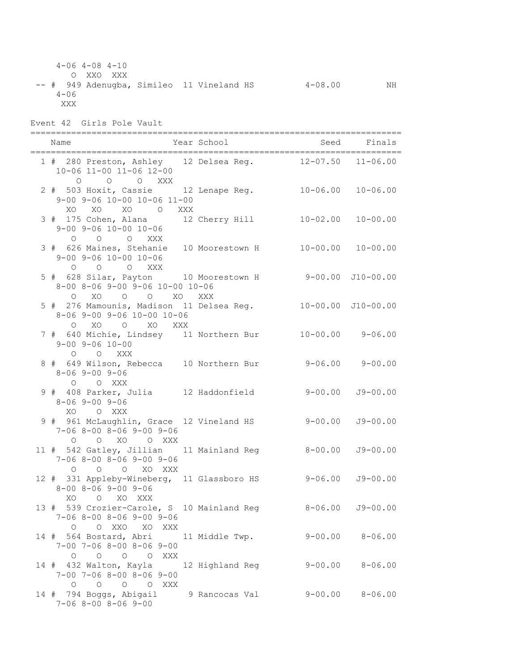4-06 4-08 4-10 O XXO XXX -- # 949 Adenugba, Simileo 11 Vineland HS 4-08.00 NH  $4 - 06$  XXX Event 42 Girls Pole Vault ========================================================================= Name  $Year School$  Seed Finals ========================================================================= 1 # 280 Preston, Ashley 12 Delsea Reg. 12-07.50 11-06.00 10-06 11-00 11-06 12-00 O O O XXX 2 # 503 Hoxit, Cassie 12 Lenape Reg. 10-06.00 10-06.00 9-00 9-06 10-00 10-06 11-00 XO XO XO O XXX 3 # 175 Cohen, Alana 12 Cherry Hill 10-02.00 10-00.00 9-00 9-06 10-00 10-06 O O O XXX 3 # 626 Maines, Stehanie 10 Moorestown H 10-00.00 10-00.00 9-00 9-06 10-00 10-06 O O O XXX 5 # 628 Silar, Payton 10 Moorestown H 9-00.00 J10-00.00 8-00 8-06 9-00 9-06 10-00 10-06 O XO O O XO XXX 5 # 276 Mamounis, Madison 11 Delsea Reg. 10-00.00 J10-00.00 8-06 9-00 9-06 10-00 10-06 O XO O XO XXX 7 # 640 Michie, Lindsey 11 Northern Bur 10-00.00 9-06.00 9-00 9-06 10-00 O O XXX 8 # 649 Wilson, Rebecca 10 Northern Bur 9-06.00 9-00.00 8-06 9-00 9-06 O O XXX 9 # 408 Parker, Julia 12 Haddonfield 9-00.00 J9-00.00 8-06 9-00 9-06 XO O XXX 9 # 961 McLaughlin, Grace 12 Vineland HS 9-00.00 J9-00.00 7-06 8-00 8-06 9-00 9-06 O O XO O XXX 11 # 542 Gatley, Jillian 11 Mainland Reg 8-00.00 J9-00.00 7-06 8-00 8-06 9-00 9-06 O O O XO XXX 12 # 331 Appleby-Wineberg, 11 Glassboro HS 9-06.00 J9-00.00 8-00 8-06 9-00 9-06 XO O XO XXX 13 # 539 Crozier-Carole, S 10 Mainland Reg 8-06.00 J9-00.00 7-06 8-00 8-06 9-00 9-06 O O XXO XO XXX 14 # 564 Bostard, Abri 11 Middle Twp. 9-00.00 8-06.00 7-00 7-06 8-00 8-06 9-00 O O O O XXX 14 # 432 Walton, Kayla 12 Highland Reg 9-00.00 8-06.00 7-00 7-06 8-00 8-06 9-00 O O O O XXX 14 # 794 Boggs, Abigail 9 Rancocas Val 9-00.00 8-06.00 7-06 8-00 8-06 9-00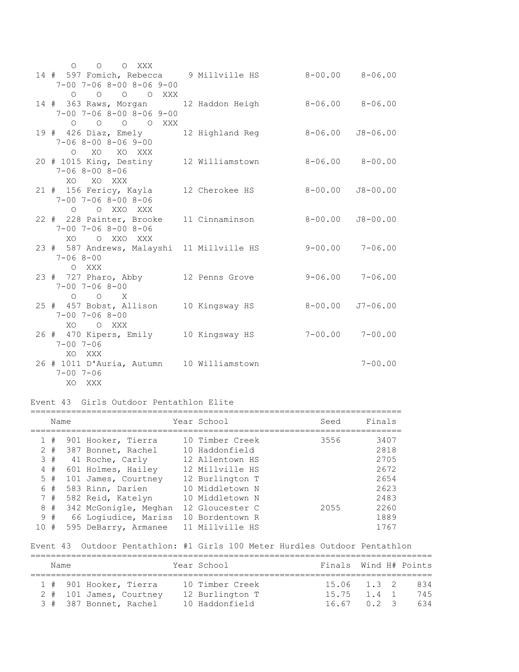| $O$ $O$ $O$ $XXX$                                          |                 |                         |                     |
|------------------------------------------------------------|-----------------|-------------------------|---------------------|
| 14 # 597 Fomich, Rebecca 9 Millville HS 8-00.00 8-06.00    |                 |                         |                     |
| 7-00 7-06 8-00 8-06 9-00                                   |                 |                         |                     |
| $O$ $O$ $O$ $O$ $XXX$                                      |                 |                         |                     |
| 14 # 363 Raws, Morgan                                      | 12 Haddon Heigh | $8 - 06.00$ $8 - 06.00$ |                     |
| $7 - 00$ $7 - 06$ $8 - 00$ $8 - 06$ $9 - 00$               |                 |                         |                     |
| $O$ $O$ $O$ $O$ $XXX$                                      |                 |                         |                     |
| 19 # 426 Diaz, Emely 12 Highland Reg 8-06.00 J8-06.00      |                 |                         |                     |
| $7 - 068 - 008 - 069 - 00$                                 |                 |                         |                     |
| O XO XO XXX                                                |                 |                         |                     |
| 20 # 1015 King, Destiny 12 Williamstown 8-06.00 8-00.00    |                 |                         |                     |
| $7 - 068 - 008 - 06$                                       |                 |                         |                     |
| XO XO XXX                                                  |                 |                         |                     |
| 21 # 156 Fericy, Kayla 12 Cherokee HS 8-00.00              |                 |                         | $J8 - 00.00$        |
| $7 - 00$ $7 - 06$ $8 - 00$ $8 - 06$                        |                 |                         |                     |
| O O XXO XXX                                                |                 |                         |                     |
| 22 # 228 Painter, Brooke                                   | 11 Cinnaminson  | $8 - 00.00$             | $J8 - 00.00$        |
| $7 - 00$ $7 - 06$ $8 - 00$ $8 - 06$                        |                 |                         |                     |
| XO O XXO XXX                                               |                 |                         |                     |
| 23 # 587 Andrews, Malayshi 11 Millville HS 9-00.00 7-06.00 |                 |                         |                     |
| $7 - 068 - 00$                                             |                 |                         |                     |
| O XXX                                                      |                 |                         |                     |
|                                                            |                 |                         | $9 - 06.00$ 7-06.00 |
| 23 # 727 Pharo, Abby 12 Penns Grove                        |                 |                         |                     |
| $7 - 00$ $7 - 06$ $8 - 00$                                 |                 |                         |                     |
| $O$ $O$ $X$                                                |                 |                         |                     |
| 25 # 457 Bobst, Allison 10 Kingsway HS                     |                 | $8 - 00.00$             | $J7 - 06.00$        |
| $7 - 00$ $7 - 06$ $8 - 00$                                 |                 |                         |                     |
| XO OXXX                                                    |                 |                         |                     |
| 26 # 470 Kipers, Emily 10 Kingsway HS 7-00.00 7-00.00      |                 |                         |                     |
| $7 - 00$ $7 - 06$                                          |                 |                         |                     |
| XO XXX                                                     |                 |                         |                     |
| 26 # 1011 D'Auria, Autumn 10 Williamstown                  |                 |                         | $7 - 00.00$         |
| $7 - 00$ $7 - 06$                                          |                 |                         |                     |
| XO XXX                                                     |                 |                         |                     |

#### Event 43 Girls Outdoor Pentathlon Elite

|             | Name                                         |                                                                                                                                                                            | Year School                                                                                                                                         | Seed         | Finals                                                       |
|-------------|----------------------------------------------|----------------------------------------------------------------------------------------------------------------------------------------------------------------------------|-----------------------------------------------------------------------------------------------------------------------------------------------------|--------------|--------------------------------------------------------------|
| 2<br>4<br>6 | 1#<br>#<br>3#<br>#<br>$5 +$<br>#<br>7#<br>8# | 901 Hooker, Tierra<br>387 Bonnet, Rachel<br>41 Roche, Carly<br>601 Holmes, Hailey<br>101 James, Courtney<br>583 Rinn, Darien<br>582 Reid, Katelyn<br>342 McGonigle, Meghan | 10 Timber Creek<br>10 Haddonfield<br>12 Allentown HS<br>12 Millville HS<br>12 Burlington T<br>10 Middletown N<br>10 Middletown N<br>12 Gloucester C | 3556<br>2055 | 3407<br>2818<br>2705<br>2672<br>2654<br>2623<br>2483<br>2260 |
| 10          | 9#<br>#                                      | 66 Logiudice, Mariss<br>595 DeBarry, Armanee                                                                                                                               | 10 Bordentown R<br>11 Millville HS                                                                                                                  |              | 1889<br>1767                                                 |

#### Event 43 Outdoor Pentathlon: #1 Girls 100 Meter Hurdles Outdoor Pentathlon

| Name |                         | Year School |                 | Finals Wind H# Points |  |     |
|------|-------------------------|-------------|-----------------|-----------------------|--|-----|
|      | 1 # 901 Hooker, Tierra  |             | 10 Timber Creek | $15.06$ $1.3$ 2       |  | 834 |
|      | 2 # 101 James, Courtney |             | 12 Burlington T | 15.75 1.4 1           |  | 745 |
|      | 3 # 387 Bonnet, Rachel  |             | 10 Haddonfield  | $16.67$ 0.2 3         |  | 634 |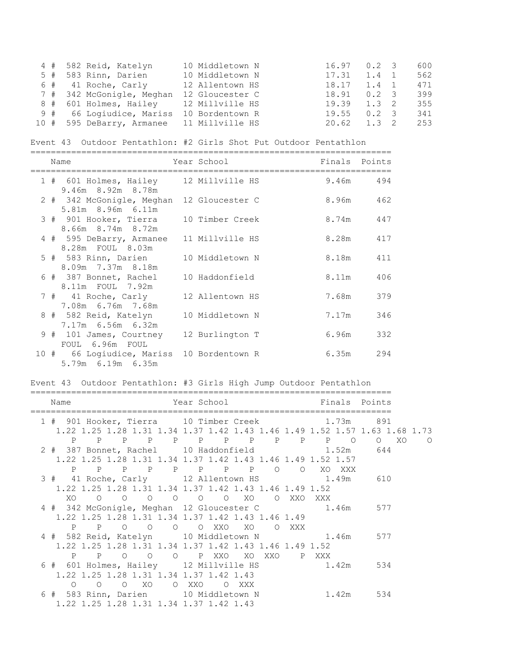|  | 4 # 582 Reid, Katelyn                     | 10 Middletown N | $16.97$ 0.2 3       |               | 600 |
|--|-------------------------------------------|-----------------|---------------------|---------------|-----|
|  | 5 # 583 Rinn, Darien                      | 10 Middletown N | 17.31               | $1.4 \quad 1$ | 562 |
|  | $6$ # 41 Roche, Carly                     | 12 Allentown HS | $18.17$ $1.4$ 1     |               | 471 |
|  | 7 # 342 McGonigle, Meghan                 | 12 Gloucester C | $18.91 \t 0.2 \t 3$ |               | 399 |
|  | 8 # 601 Holmes, Hailey 12 Millville HS    |                 | $19.39$ $1.3$ 2     |               | 355 |
|  | 9 # 66 Logiudice, Mariss                  | 10 Bordentown R | $19.55 \t 0.2 \t 3$ |               | 341 |
|  | 10 # 595 DeBarry, Armanee 11 Millville HS |                 | $20.62$ 1.3 2       |               | 253 |

Event 43 Outdoor Pentathlon: #2 Girls Shot Put Outdoor Pentathlon

|  | Name                                                           | Year School     | Finals Points |           |
|--|----------------------------------------------------------------|-----------------|---------------|-----------|
|  | 1 # 601 Holmes, Hailey 12 Millville HS<br>9.46m 8.92m 8.78m    |                 |               | 9.46m 494 |
|  | 2 # 342 McGonigle, Meghan 12 Gloucester C<br>5.81m 8.96m 6.11m |                 |               | 8.96m 462 |
|  | 3 # 901 Hooker, Tierra 10 Timber Creek<br>8.66m 8.74m 8.72m    |                 |               | 8.74m 447 |
|  | 4 # 595 DeBarry, Armanee 11 Millville HS<br>8.28m FOUL 8.03m   |                 | 8.28m         | 417       |
|  | 5 # 583 Rinn, Darien<br>8.09m 7.37m 8.18m                      | 10 Middletown N | 8.18m         | 411       |
|  | 6 # 387 Bonnet, Rachel<br>8.11m FOUL 7.92m                     | 10 Haddonfield  | 8.11m         | 406       |
|  | 7 # 41 Roche, Carly 12 Allentown HS<br>7.08m 6.76m 7.68m       |                 | 7.68m         | 379       |
|  | 8 # 582 Reid, Katelyn<br>7.17m 6.56m 6.32m                     | 10 Middletown N | 7.17m         | 346       |
|  | 9 # 101 James, Courtney 12 Burlington T<br>FOUL 6.96m FOUL     |                 | 6.96m         | 332       |
|  | 10 # 66 Logiudice, Mariss 10 Bordentown R<br>5.79m 6.19m 6.35m |                 | 6.35m         | 294       |

#### Event 43 Outdoor Pentathlon: #3 Girls High Jump Outdoor Pentathlon

| Name                                             | Year School <b>Finals</b> Points                            |                                                                            |
|--------------------------------------------------|-------------------------------------------------------------|----------------------------------------------------------------------------|
|                                                  |                                                             |                                                                            |
| 1 # 901 Hooker, Tierra 10 Timber Creek 1.73m 891 |                                                             | 1.22 1.25 1.28 1.31 1.34 1.37 1.42 1.43 1.46 1.49 1.52 1.57 1.63 1.68 1.73 |
|                                                  |                                                             |                                                                            |
|                                                  | P P P P P P P P P P P O                                     | O XO<br>$\Omega$                                                           |
| 2 # 387 Bonnet, Rachel 10 Haddonfield 1.52m      |                                                             | 644                                                                        |
|                                                  | 1.22 1.25 1.28 1.31 1.34 1.37 1.42 1.43 1.46 1.49 1.52 1.57 |                                                                            |
| P P P P P P P P O                                |                                                             | O XO XXX                                                                   |
| 3 # 41 Roche, Carly 12 Allentown HS 1.49m 610    |                                                             |                                                                            |
|                                                  | 1.22 1.25 1.28 1.31 1.34 1.37 1.42 1.43 1.46 1.49 1.52      |                                                                            |
| XO.                                              | O XXO XXX                                                   |                                                                            |
| 4 # 342 McGonigle, Meghan 12 Gloucester C        |                                                             | 1.46m 577                                                                  |
|                                                  | 1.22 1.25 1.28 1.31 1.34 1.37 1.42 1.43 1.46 1.49           |                                                                            |
| P<br>P O O O O XXO XO                            | O XXX                                                       |                                                                            |
| 4 # 582 Reid, Katelyn 10 Middletown N 1.46m 577  |                                                             |                                                                            |
|                                                  | 1.22 1.25 1.28 1.31 1.34 1.37 1.42 1.43 1.46 1.49 1.52      |                                                                            |
| $\mathbf{P}$<br>$P$ 0                            | O O PXXO XOXXO                                              | P XXX                                                                      |
| 6 # 601 Holmes, Hailey 12 Millville HS 1.42m 534 |                                                             |                                                                            |
| 1.22 1.25 1.28 1.31 1.34 1.37 1.42 1.43          |                                                             |                                                                            |
|                                                  |                                                             |                                                                            |
| $O$ XO<br>$\circ$<br>$\Omega$                    | O XXO<br>O XXX                                              |                                                                            |
| 6 # 583 Rinn, Darien 10 Middletown N             |                                                             | 1.42m 534                                                                  |
| 1.22 1.25 1.28 1.31 1.34 1.37 1.42 1.43          |                                                             |                                                                            |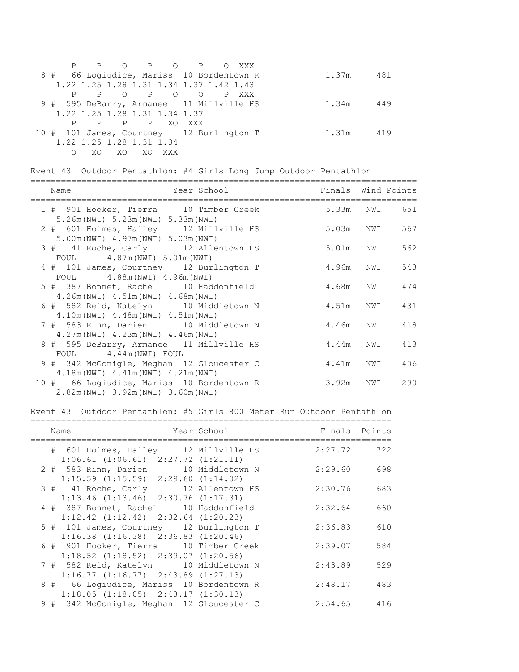|                                          |                          |              |        | P P O P O P O XXX                       |  |  |       |     |
|------------------------------------------|--------------------------|--------------|--------|-----------------------------------------|--|--|-------|-----|
| 8 # 66 Loqiudice, Mariss 10 Bordentown R |                          |              |        |                                         |  |  | 1.37m | 481 |
|                                          |                          |              |        | 1.22 1.25 1.28 1.31 1.34 1.37 1.42 1.43 |  |  |       |     |
|                                          |                          |              |        | P P O P O O P XXX                       |  |  |       |     |
| 9 # 595 DeBarry, Armanee 11 Millville HS |                          |              |        |                                         |  |  | 1.34m | 449 |
| 1.22 1.25 1.28 1.31 1.34 1.37            |                          |              |        |                                         |  |  |       |     |
|                                          |                          | P P P XO XXX |        |                                         |  |  |       |     |
| 10 # 101 James, Courtney 12 Burlington T |                          |              |        |                                         |  |  | 1.31m | 419 |
|                                          | 1.22 1.25 1.28 1.31 1.34 |              |        |                                         |  |  |       |     |
| $\bigcirc$                               | XO.                      | XO           | XO XXX |                                         |  |  |       |     |

Event 43 Outdoor Pentathlon: #4 Girls Long Jump Outdoor Pentathlon

| Name<br>Year School in the School and the School and the School and the School and the School and the School | Finals Wind Points |               |
|--------------------------------------------------------------------------------------------------------------|--------------------|---------------|
| 1 # 901 Hooker, Tierra 10 Timber Creek<br>$5.26m(NWI)$ $5.23m(NWI)$ $5.33m(NWI)$                             |                    | 5.33m NWI 651 |
| 2 # 601 Holmes, Hailey 12 Millville HS<br>5.00m (NWI) 4.97m (NWI) 5.03m (NWI)                                | 5.03m NWI          | 567           |
| 3 # 41 Roche, Carly 12 Allentown HS<br>FOUL 4.87m (NWI) 5.01m (NWI)                                          | 5.01m NWI          | 562           |
| 4 # 101 James, Courtney 12 Burlington T<br>$FOUL$ 4.88m (NWI) 4.96m (NWI)                                    | 4.96m NWI          | 548           |
| 5 # 387 Bonnet, Rachel 10 Haddonfield<br>$4.26m(NWI)$ $4.51m(NWI)$ $4.68m(NWI)$                              | 4.68m NWI          | 474           |
| 6 # 582 Reid, Katelyn 10 Middletown N<br>4.10m (NWI) 4.48m (NWI) 4.51m (NWI)                                 | 4.51m NWI 431      |               |
| 7 # 583 Rinn, Darien 10 Middletown N<br>$4.27m(NWI)$ $4.23m(NWI)$ $4.46m(NWI)$                               | 4.46m NWI 418      |               |
| 8 # 595 DeBarry, Armanee 11 Millville HS<br>FOUL 4.44m (NWI) FOUL                                            | 4.44m NWI          | 413           |
| 9 # 342 McGonigle, Meghan 12 Gloucester C<br>4.18m (NWI) 4.41m (NWI) 4.21m (NWI)                             | 4.41m NWI          | 406           |
| 10 # 66 Logiudice, Mariss 10 Bordentown R<br>2.82m (NWI) 3.92m (NWI) 3.60m (NWI)                             | 3.92m NWI          | 290           |

Event 43 Outdoor Pentathlon: #5 Girls 800 Meter Run Outdoor Pentathlon

|  | Name                                                                                     | Year School | Finals Points |     |
|--|------------------------------------------------------------------------------------------|-------------|---------------|-----|
|  | 1 # 601 Holmes, Hailey 12 Millville HS                                                   |             | 2:27.72       | 722 |
|  | $1:06.61$ $(1:06.61)$ $2:27.72$ $(1:21.11)$<br>2 # 583 Rinn, Darien 10 Middletown N      |             | 2:29.60       | 698 |
|  | $1:15.59$ $(1:15.59)$ $2:29.60$ $(1:14.02)$<br>3 # 41 Roche, Carly 12 Allentown HS       |             | 2:30.76       | 683 |
|  | $1:13.46$ $(1:13.46)$ $2:30.76$ $(1:17.31)$                                              |             | 2:32.64       | 660 |
|  | 4 # 387 Bonnet, Rachel 10 Haddonfield<br>$1:12.42$ $(1:12.42)$ $2:32.64$ $(1:20.23)$     |             |               |     |
|  | 5 # 101 James, Courtney 12 Burlington T<br>$1:16.38$ $(1:16.38)$ $2:36.83$ $(1:20.46)$   |             | 2:36.83       | 610 |
|  | 6 # 901 Hooker, Tierra 10 Timber Creek<br>$1:18.52$ $(1:18.52)$ $2:39.07$ $(1:20.56)$    |             | 2:39.07       | 584 |
|  | 7 # 582 Reid, Katelyn 10 Middletown N                                                    |             | 2:43.89       | 529 |
|  | $1:16.77$ $(1:16.77)$ $2:43.89$ $(1:27.13)$<br>8 # 66 Logiudice, Mariss 10 Bordentown R  |             | 2:48.17       | 483 |
|  | $1:18.05$ $(1:18.05)$ $2:48.17$ $(1:30.13)$<br>9 # 342 McGonigle, Meghan 12 Gloucester C |             | 2:54.65       | 416 |